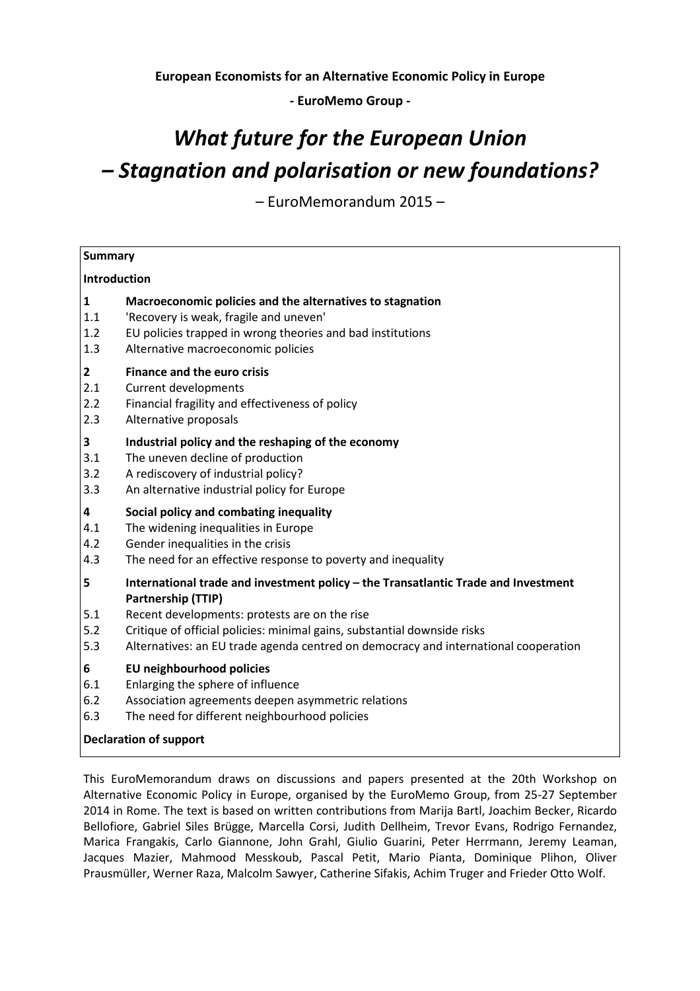**European Economists for an Alternative Economic Policy in Europe** 

**- EuroMemo Group -** 

# *What future for the European Union – Stagnation and polarisation or new foundations?*

– EuroMemorandum 2015 –

| <b>Summary</b>                |                                                                                                                                                                                                                                                                                                                              |  |  |  |
|-------------------------------|------------------------------------------------------------------------------------------------------------------------------------------------------------------------------------------------------------------------------------------------------------------------------------------------------------------------------|--|--|--|
| Introduction                  |                                                                                                                                                                                                                                                                                                                              |  |  |  |
| $\mathbf{1}$                  | Macroeconomic policies and the alternatives to stagnation                                                                                                                                                                                                                                                                    |  |  |  |
| 1.1                           | 'Recovery is weak, fragile and uneven'                                                                                                                                                                                                                                                                                       |  |  |  |
| 1.2                           | EU policies trapped in wrong theories and bad institutions                                                                                                                                                                                                                                                                   |  |  |  |
| 1.3                           | Alternative macroeconomic policies                                                                                                                                                                                                                                                                                           |  |  |  |
| $\mathbf{2}$                  | <b>Finance and the euro crisis</b>                                                                                                                                                                                                                                                                                           |  |  |  |
| 2.1                           | <b>Current developments</b>                                                                                                                                                                                                                                                                                                  |  |  |  |
| 2.2                           | Financial fragility and effectiveness of policy                                                                                                                                                                                                                                                                              |  |  |  |
| 2.3                           | Alternative proposals                                                                                                                                                                                                                                                                                                        |  |  |  |
| 3                             | Industrial policy and the reshaping of the economy                                                                                                                                                                                                                                                                           |  |  |  |
| 3.1                           | The uneven decline of production                                                                                                                                                                                                                                                                                             |  |  |  |
| 3.2                           | A rediscovery of industrial policy?                                                                                                                                                                                                                                                                                          |  |  |  |
| 3.3                           | An alternative industrial policy for Europe                                                                                                                                                                                                                                                                                  |  |  |  |
| 4                             | Social policy and combating inequality                                                                                                                                                                                                                                                                                       |  |  |  |
| 4.1                           | The widening inequalities in Europe                                                                                                                                                                                                                                                                                          |  |  |  |
| 4.2                           | Gender inequalities in the crisis                                                                                                                                                                                                                                                                                            |  |  |  |
| 4.3                           | The need for an effective response to poverty and inequality                                                                                                                                                                                                                                                                 |  |  |  |
| 5<br>5.1<br>5.2<br>5.3        | International trade and investment policy - the Transatlantic Trade and Investment<br>Partnership (TTIP)<br>Recent developments: protests are on the rise<br>Critique of official policies: minimal gains, substantial downside risks<br>Alternatives: an EU trade agenda centred on democracy and international cooperation |  |  |  |
| 6                             | EU neighbourhood policies                                                                                                                                                                                                                                                                                                    |  |  |  |
| 6.1                           | Enlarging the sphere of influence                                                                                                                                                                                                                                                                                            |  |  |  |
| 6.2                           | Association agreements deepen asymmetric relations                                                                                                                                                                                                                                                                           |  |  |  |
| 6.3                           | The need for different neighbourhood policies                                                                                                                                                                                                                                                                                |  |  |  |
| <b>Declaration of support</b> |                                                                                                                                                                                                                                                                                                                              |  |  |  |

This EuroMemorandum draws on discussions and papers presented at the 20th Workshop on Alternative Economic Policy in Europe, organised by the EuroMemo Group, from 25-27 September 2014 in Rome. The text is based on written contributions from Marija Bartl, Joachim Becker, Ricardo Bellofiore, Gabriel Siles Brügge, Marcella Corsi, Judith Dellheim, Trevor Evans, Rodrigo Fernandez, Marica Frangakis, Carlo Giannone, John Grahl, Giulio Guarini, Peter Herrmann, Jeremy Leaman, Jacques Mazier, Mahmood Messkoub, Pascal Petit, Mario Pianta, Dominique Plihon, Oliver Prausmüller, Werner Raza, Malcolm Sawyer, Catherine Sifakis, Achim Truger and Frieder Otto Wolf.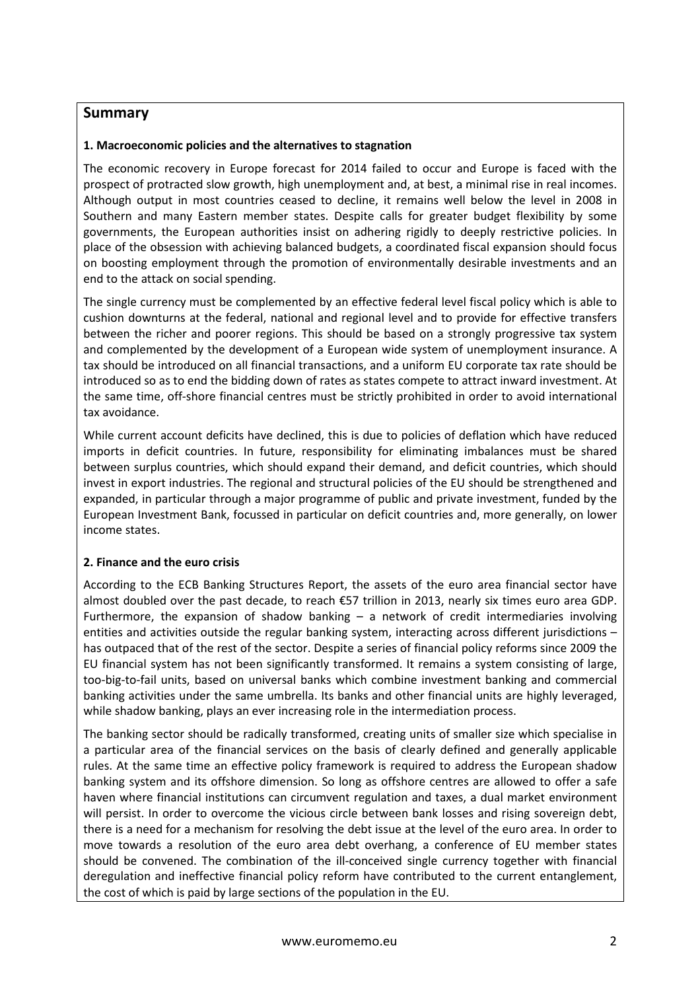#### **Summary**

#### **1. Macroeconomic policies and the alternatives to stagnation**

The economic recovery in Europe forecast for 2014 failed to occur and Europe is faced with the prospect of protracted slow growth, high unemployment and, at best, a minimal rise in real incomes. Although output in most countries ceased to decline, it remains well below the level in 2008 in Southern and many Eastern member states. Despite calls for greater budget flexibility by some governments, the European authorities insist on adhering rigidly to deeply restrictive policies. In place of the obsession with achieving balanced budgets, a coordinated fiscal expansion should focus on boosting employment through the promotion of environmentally desirable investments and an end to the attack on social spending.

The single currency must be complemented by an effective federal level fiscal policy which is able to cushion downturns at the federal, national and regional level and to provide for effective transfers between the richer and poorer regions. This should be based on a strongly progressive tax system and complemented by the development of a European wide system of unemployment insurance. A tax should be introduced on all financial transactions, and a uniform EU corporate tax rate should be introduced so as to end the bidding down of rates as states compete to attract inward investment. At the same time, off-shore financial centres must be strictly prohibited in order to avoid international tax avoidance.

While current account deficits have declined, this is due to policies of deflation which have reduced imports in deficit countries. In future, responsibility for eliminating imbalances must be shared between surplus countries, which should expand their demand, and deficit countries, which should invest in export industries. The regional and structural policies of the EU should be strengthened and expanded, in particular through a major programme of public and private investment, funded by the European Investment Bank, focussed in particular on deficit countries and, more generally, on lower income states.

#### **2. Finance and the euro crisis**

According to the ECB Banking Structures Report, the assets of the euro area financial sector have almost doubled over the past decade, to reach €57 trillion in 2013, nearly six times euro area GDP. Furthermore, the expansion of shadow banking – a network of credit intermediaries involving entities and activities outside the regular banking system, interacting across different jurisdictions – has outpaced that of the rest of the sector. Despite a series of financial policy reforms since 2009 the EU financial system has not been significantly transformed. It remains a system consisting of large, too-big-to-fail units, based on universal banks which combine investment banking and commercial banking activities under the same umbrella. Its banks and other financial units are highly leveraged, while shadow banking, plays an ever increasing role in the intermediation process.

The banking sector should be radically transformed, creating units of smaller size which specialise in a particular area of the financial services on the basis of clearly defined and generally applicable rules. At the same time an effective policy framework is required to address the European shadow banking system and its offshore dimension. So long as offshore centres are allowed to offer a safe haven where financial institutions can circumvent regulation and taxes, a dual market environment will persist. In order to overcome the vicious circle between bank losses and rising sovereign debt, there is a need for a mechanism for resolving the debt issue at the level of the euro area. In order to move towards a resolution of the euro area debt overhang, a conference of EU member states should be convened. The combination of the ill-conceived single currency together with financial deregulation and ineffective financial policy reform have contributed to the current entanglement, the cost of which is paid by large sections of the population in the EU.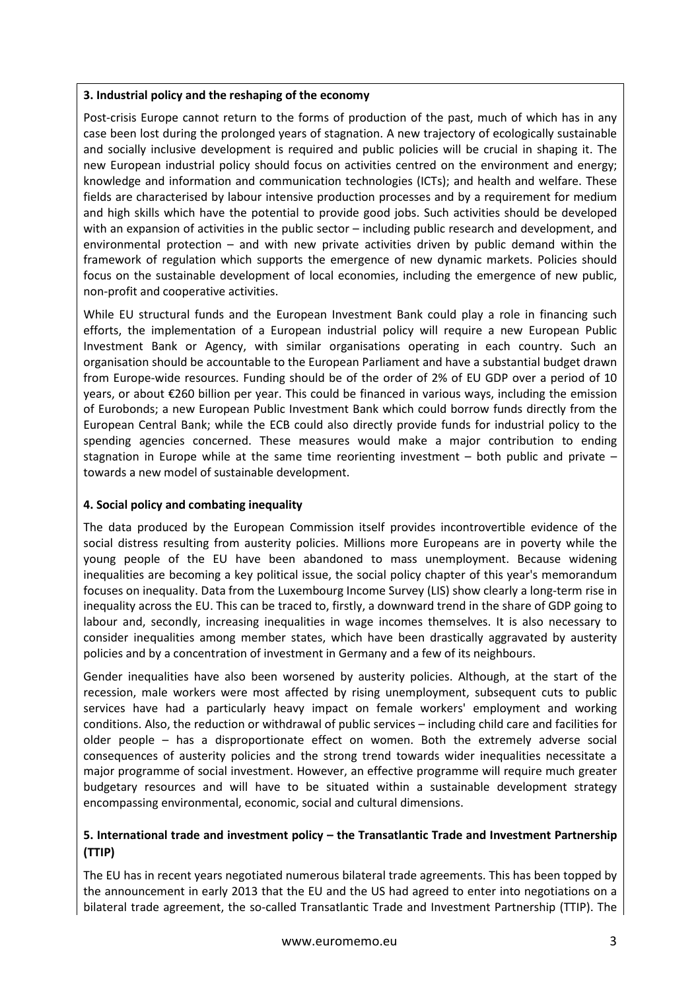#### **3. Industrial policy and the reshaping of the economy**

Post-crisis Europe cannot return to the forms of production of the past, much of which has in any case been lost during the prolonged years of stagnation. A new trajectory of ecologically sustainable and socially inclusive development is required and public policies will be crucial in shaping it. The new European industrial policy should focus on activities centred on the environment and energy; knowledge and information and communication technologies (ICTs); and health and welfare. These fields are characterised by labour intensive production processes and by a requirement for medium and high skills which have the potential to provide good jobs. Such activities should be developed with an expansion of activities in the public sector – including public research and development, and environmental protection – and with new private activities driven by public demand within the framework of regulation which supports the emergence of new dynamic markets. Policies should focus on the sustainable development of local economies, including the emergence of new public, non-profit and cooperative activities.

While EU structural funds and the European Investment Bank could play a role in financing such efforts, the implementation of a European industrial policy will require a new European Public Investment Bank or Agency, with similar organisations operating in each country. Such an organisation should be accountable to the European Parliament and have a substantial budget drawn from Europe-wide resources. Funding should be of the order of 2% of EU GDP over a period of 10 years, or about €260 billion per year. This could be financed in various ways, including the emission of Eurobonds; a new European Public Investment Bank which could borrow funds directly from the European Central Bank; while the ECB could also directly provide funds for industrial policy to the spending agencies concerned. These measures would make a major contribution to ending stagnation in Europe while at the same time reorienting investment – both public and private – towards a new model of sustainable development.

#### **4. Social policy and combating inequality**

The data produced by the European Commission itself provides incontrovertible evidence of the social distress resulting from austerity policies. Millions more Europeans are in poverty while the young people of the EU have been abandoned to mass unemployment. Because widening inequalities are becoming a key political issue, the social policy chapter of this year's memorandum focuses on inequality. Data from the Luxembourg Income Survey (LIS) show clearly a long-term rise in inequality across the EU. This can be traced to, firstly, a downward trend in the share of GDP going to labour and, secondly, increasing inequalities in wage incomes themselves. It is also necessary to consider inequalities among member states, which have been drastically aggravated by austerity policies and by a concentration of investment in Germany and a few of its neighbours.

Gender inequalities have also been worsened by austerity policies. Although, at the start of the recession, male workers were most affected by rising unemployment, subsequent cuts to public services have had a particularly heavy impact on female workers' employment and working conditions. Also, the reduction or withdrawal of public services – including child care and facilities for older people – has a disproportionate effect on women. Both the extremely adverse social consequences of austerity policies and the strong trend towards wider inequalities necessitate a major programme of social investment. However, an effective programme will require much greater budgetary resources and will have to be situated within a sustainable development strategy encompassing environmental, economic, social and cultural dimensions.

#### **5. International trade and investment policy – the Transatlantic Trade and Investment Partnership (TTIP)**

The EU has in recent years negotiated numerous bilateral trade agreements. This has been topped by the announcement in early 2013 that the EU and the US had agreed to enter into negotiations on a bilateral trade agreement, the so-called Transatlantic Trade and Investment Partnership (TTIP). The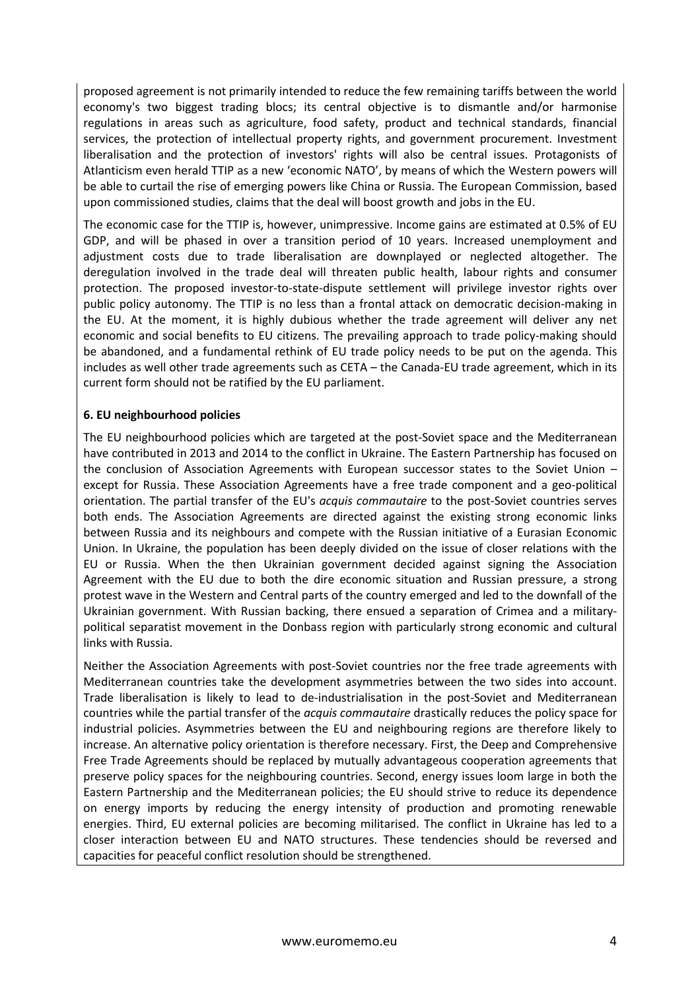proposed agreement is not primarily intended to reduce the few remaining tariffs between the world economy's two biggest trading blocs; its central objective is to dismantle and/or harmonise regulations in areas such as agriculture, food safety, product and technical standards, financial services, the protection of intellectual property rights, and government procurement. Investment liberalisation and the protection of investors' rights will also be central issues. Protagonists of Atlanticism even herald TTIP as a new ʻeconomic NATO', by means of which the Western powers will be able to curtail the rise of emerging powers like China or Russia. The European Commission, based upon commissioned studies, claims that the deal will boost growth and jobs in the EU.

The economic case for the TTIP is, however, unimpressive. Income gains are estimated at 0.5% of EU GDP, and will be phased in over a transition period of 10 years. Increased unemployment and adjustment costs due to trade liberalisation are downplayed or neglected altogether. The deregulation involved in the trade deal will threaten public health, labour rights and consumer protection. The proposed investor-to-state-dispute settlement will privilege investor rights over public policy autonomy. The TTIP is no less than a frontal attack on democratic decision-making in the EU. At the moment, it is highly dubious whether the trade agreement will deliver any net economic and social benefits to EU citizens. The prevailing approach to trade policy-making should be abandoned, and a fundamental rethink of EU trade policy needs to be put on the agenda. This includes as well other trade agreements such as CETA – the Canada-EU trade agreement, which in its current form should not be ratified by the EU parliament.

#### **6. EU neighbourhood policies**

The EU neighbourhood policies which are targeted at the post-Soviet space and the Mediterranean have contributed in 2013 and 2014 to the conflict in Ukraine. The Eastern Partnership has focused on the conclusion of Association Agreements with European successor states to the Soviet Union – except for Russia. These Association Agreements have a free trade component and a geo-political orientation. The partial transfer of the EU's *acquis commautaire* to the post-Soviet countries serves both ends. The Association Agreements are directed against the existing strong economic links between Russia and its neighbours and compete with the Russian initiative of a Eurasian Economic Union. In Ukraine, the population has been deeply divided on the issue of closer relations with the EU or Russia. When the then Ukrainian government decided against signing the Association Agreement with the EU due to both the dire economic situation and Russian pressure, a strong protest wave in the Western and Central parts of the country emerged and led to the downfall of the Ukrainian government. With Russian backing, there ensued a separation of Crimea and a militarypolitical separatist movement in the Donbass region with particularly strong economic and cultural links with Russia.

Neither the Association Agreements with post-Soviet countries nor the free trade agreements with Mediterranean countries take the development asymmetries between the two sides into account. Trade liberalisation is likely to lead to de-industrialisation in the post-Soviet and Mediterranean countries while the partial transfer of the *acquis commautaire* drastically reduces the policy space for industrial policies. Asymmetries between the EU and neighbouring regions are therefore likely to increase. An alternative policy orientation is therefore necessary. First, the Deep and Comprehensive Free Trade Agreements should be replaced by mutually advantageous cooperation agreements that preserve policy spaces for the neighbouring countries. Second, energy issues loom large in both the Eastern Partnership and the Mediterranean policies; the EU should strive to reduce its dependence on energy imports by reducing the energy intensity of production and promoting renewable energies. Third, EU external policies are becoming militarised. The conflict in Ukraine has led to a closer interaction between EU and NATO structures. These tendencies should be reversed and capacities for peaceful conflict resolution should be strengthened.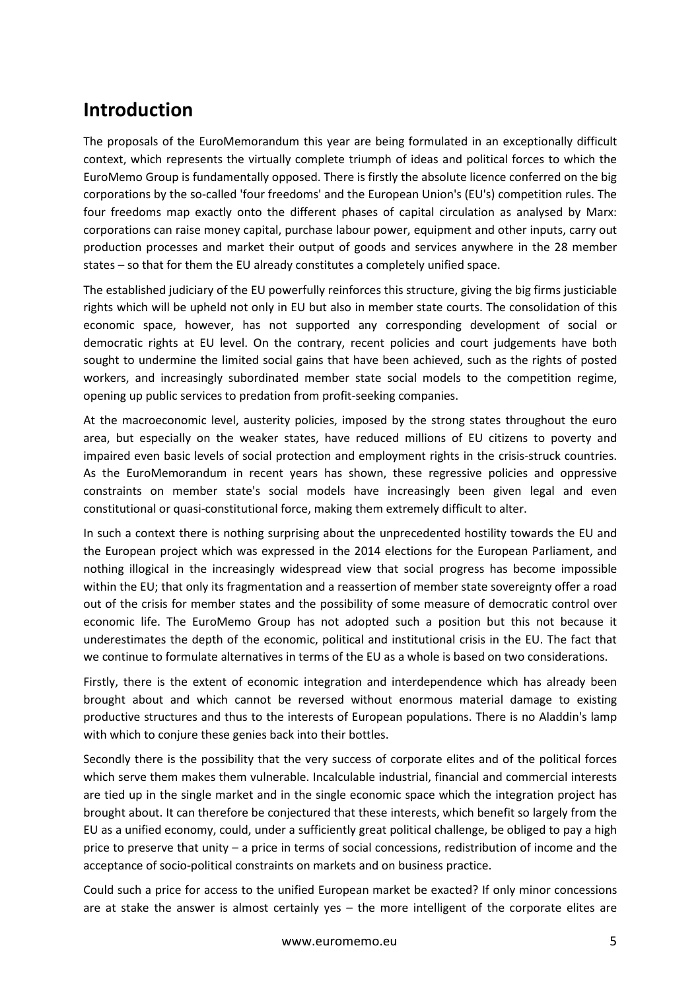## **Introduction**

The proposals of the EuroMemorandum this year are being formulated in an exceptionally difficult context, which represents the virtually complete triumph of ideas and political forces to which the EuroMemo Group is fundamentally opposed. There is firstly the absolute licence conferred on the big corporations by the so-called 'four freedoms' and the European Union's (EU's) competition rules. The four freedoms map exactly onto the different phases of capital circulation as analysed by Marx: corporations can raise money capital, purchase labour power, equipment and other inputs, carry out production processes and market their output of goods and services anywhere in the 28 member states – so that for them the EU already constitutes a completely unified space.

The established judiciary of the EU powerfully reinforces this structure, giving the big firms justiciable rights which will be upheld not only in EU but also in member state courts. The consolidation of this economic space, however, has not supported any corresponding development of social or democratic rights at EU level. On the contrary, recent policies and court judgements have both sought to undermine the limited social gains that have been achieved, such as the rights of posted workers, and increasingly subordinated member state social models to the competition regime, opening up public services to predation from profit-seeking companies.

At the macroeconomic level, austerity policies, imposed by the strong states throughout the euro area, but especially on the weaker states, have reduced millions of EU citizens to poverty and impaired even basic levels of social protection and employment rights in the crisis-struck countries. As the EuroMemorandum in recent years has shown, these regressive policies and oppressive constraints on member state's social models have increasingly been given legal and even constitutional or quasi-constitutional force, making them extremely difficult to alter.

In such a context there is nothing surprising about the unprecedented hostility towards the EU and the European project which was expressed in the 2014 elections for the European Parliament, and nothing illogical in the increasingly widespread view that social progress has become impossible within the EU; that only its fragmentation and a reassertion of member state sovereignty offer a road out of the crisis for member states and the possibility of some measure of democratic control over economic life. The EuroMemo Group has not adopted such a position but this not because it underestimates the depth of the economic, political and institutional crisis in the EU. The fact that we continue to formulate alternatives in terms of the EU as a whole is based on two considerations.

Firstly, there is the extent of economic integration and interdependence which has already been brought about and which cannot be reversed without enormous material damage to existing productive structures and thus to the interests of European populations. There is no Aladdin's lamp with which to conjure these genies back into their bottles.

Secondly there is the possibility that the very success of corporate elites and of the political forces which serve them makes them vulnerable. Incalculable industrial, financial and commercial interests are tied up in the single market and in the single economic space which the integration project has brought about. It can therefore be conjectured that these interests, which benefit so largely from the EU as a unified economy, could, under a sufficiently great political challenge, be obliged to pay a high price to preserve that unity – a price in terms of social concessions, redistribution of income and the acceptance of socio-political constraints on markets and on business practice.

Could such a price for access to the unified European market be exacted? If only minor concessions are at stake the answer is almost certainly yes – the more intelligent of the corporate elites are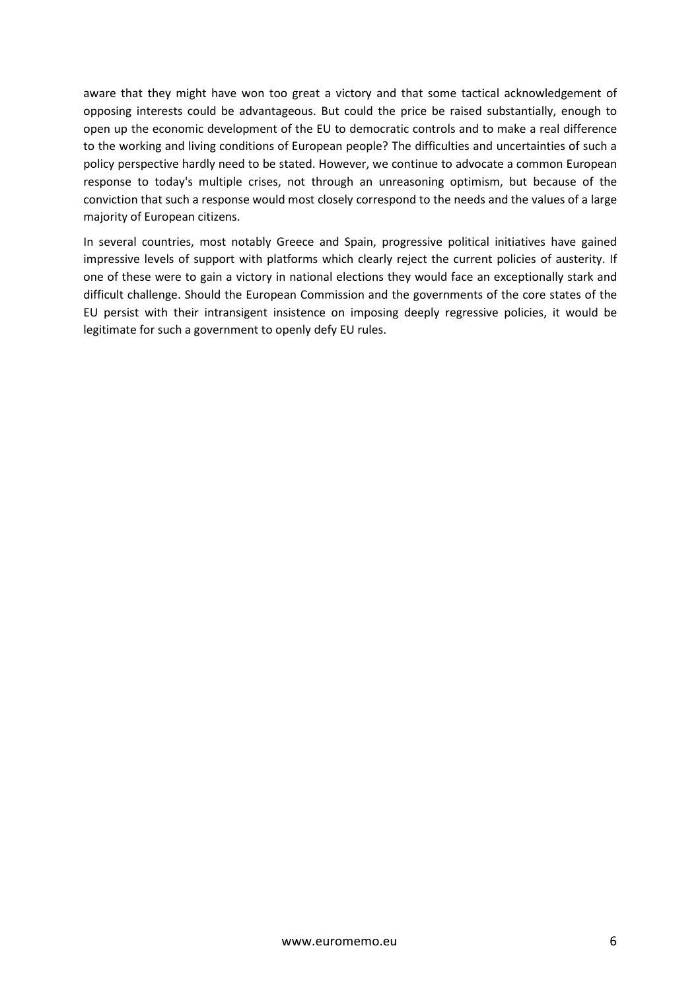aware that they might have won too great a victory and that some tactical acknowledgement of opposing interests could be advantageous. But could the price be raised substantially, enough to open up the economic development of the EU to democratic controls and to make a real difference to the working and living conditions of European people? The difficulties and uncertainties of such a policy perspective hardly need to be stated. However, we continue to advocate a common European response to today's multiple crises, not through an unreasoning optimism, but because of the conviction that such a response would most closely correspond to the needs and the values of a large majority of European citizens.

In several countries, most notably Greece and Spain, progressive political initiatives have gained impressive levels of support with platforms which clearly reject the current policies of austerity. If one of these were to gain a victory in national elections they would face an exceptionally stark and difficult challenge. Should the European Commission and the governments of the core states of the EU persist with their intransigent insistence on imposing deeply regressive policies, it would be legitimate for such a government to openly defy EU rules.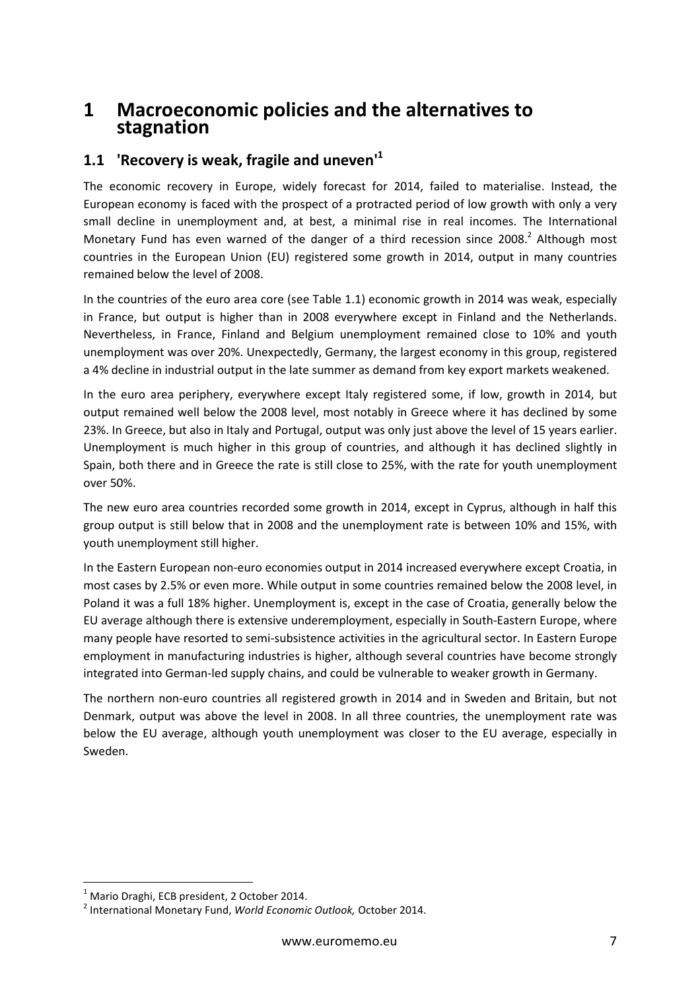## **1 Macroeconomic policies and the alternatives to stagnation**

### **1.1 'Recovery is weak, fragile and uneven'<sup>1</sup>**

The economic recovery in Europe, widely forecast for 2014, failed to materialise. Instead, the European economy is faced with the prospect of a protracted period of low growth with only a very small decline in unemployment and, at best, a minimal rise in real incomes. The International Monetary Fund has even warned of the danger of a third recession since 2008. $^2$  Although most countries in the European Union (EU) registered some growth in 2014, output in many countries remained below the level of 2008.

In the countries of the euro area core (see Table 1.1) economic growth in 2014 was weak, especially in France, but output is higher than in 2008 everywhere except in Finland and the Netherlands. Nevertheless, in France, Finland and Belgium unemployment remained close to 10% and youth unemployment was over 20%. Unexpectedly, Germany, the largest economy in this group, registered a 4% decline in industrial output in the late summer as demand from key export markets weakened.

In the euro area periphery, everywhere except Italy registered some, if low, growth in 2014, but output remained well below the 2008 level, most notably in Greece where it has declined by some 23%. In Greece, but also in Italy and Portugal, output was only just above the level of 15 years earlier. Unemployment is much higher in this group of countries, and although it has declined slightly in Spain, both there and in Greece the rate is still close to 25%, with the rate for youth unemployment over 50%.

The new euro area countries recorded some growth in 2014, except in Cyprus, although in half this group output is still below that in 2008 and the unemployment rate is between 10% and 15%, with youth unemployment still higher.

In the Eastern European non-euro economies output in 2014 increased everywhere except Croatia, in most cases by 2.5% or even more. While output in some countries remained below the 2008 level, in Poland it was a full 18% higher. Unemployment is, except in the case of Croatia, generally below the EU average although there is extensive underemployment, especially in South-Eastern Europe, where many people have resorted to semi-subsistence activities in the agricultural sector. In Eastern Europe employment in manufacturing industries is higher, although several countries have become strongly integrated into German-led supply chains, and could be vulnerable to weaker growth in Germany.

The northern non-euro countries all registered growth in 2014 and in Sweden and Britain, but not Denmark, output was above the level in 2008. In all three countries, the unemployment rate was below the EU average, although youth unemployment was closer to the EU average, especially in Sweden.

 $<sup>1</sup>$  Mario Draghi, ECB president, 2 October 2014.</sup>

<sup>2</sup> International Monetary Fund, *World Economic Outlook,* October 2014.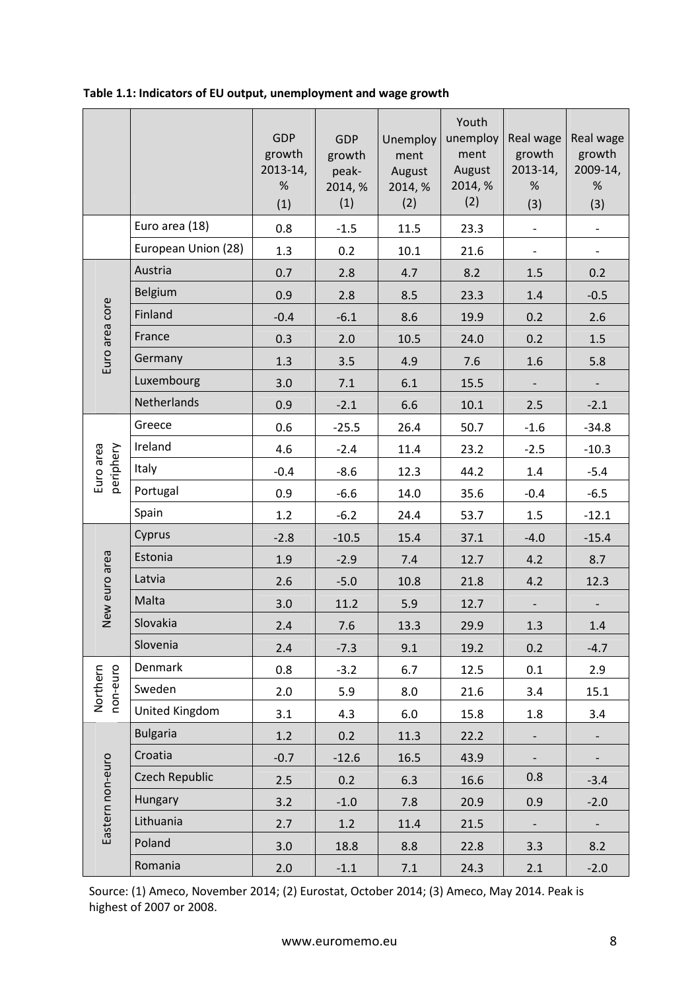|                        |                       | <b>GDP</b><br>growth<br>2013-14,<br>%<br>(1) | <b>GDP</b><br>growth<br>peak-<br>2014, %<br>(1) | Unemploy<br>ment<br>August<br>2014, %<br>(2) | Youth<br>unemploy<br>ment<br>August<br>2014, %<br>(2) | Real wage<br>growth<br>$2013 - 14,$<br>%<br>(3) | Real wage<br>growth<br>2009-14,<br>$\%$<br>(3) |
|------------------------|-----------------------|----------------------------------------------|-------------------------------------------------|----------------------------------------------|-------------------------------------------------------|-------------------------------------------------|------------------------------------------------|
|                        | Euro area (18)        | 0.8                                          | $-1.5$                                          | 11.5                                         | 23.3                                                  | $\qquad \qquad -$                               | $\overline{\phantom{a}}$                       |
|                        | European Union (28)   | 1.3                                          | 0.2                                             | 10.1                                         | 21.6                                                  | $\overline{\phantom{a}}$                        | $\overline{\phantom{a}}$                       |
|                        | Austria               | 0.7                                          | 2.8                                             | 4.7                                          | 8.2                                                   | 1.5                                             | 0.2                                            |
|                        | Belgium               | 0.9                                          | 2.8                                             | 8.5                                          | 23.3                                                  | 1.4                                             | $-0.5$                                         |
|                        | Finland               | $-0.4$                                       | $-6.1$                                          | 8.6                                          | 19.9                                                  | 0.2                                             | 2.6                                            |
|                        | France                | 0.3                                          | 2.0                                             | 10.5                                         | 24.0                                                  | 0.2                                             | 1.5                                            |
| Euro area core         | Germany               | 1.3                                          | 3.5                                             | 4.9                                          | 7.6                                                   | 1.6                                             | 5.8                                            |
|                        | Luxembourg            | 3.0                                          | 7.1                                             | 6.1                                          | 15.5                                                  |                                                 | $\overline{\phantom{0}}$                       |
|                        | Netherlands           | 0.9                                          | $-2.1$                                          | 6.6                                          | 10.1                                                  | 2.5                                             | $-2.1$                                         |
|                        | Greece                | 0.6                                          | $-25.5$                                         | 26.4                                         | 50.7                                                  | $-1.6$                                          | $-34.8$                                        |
|                        | Ireland               | 4.6                                          | $-2.4$                                          | 11.4                                         | 23.2                                                  | $-2.5$                                          | $-10.3$                                        |
| Euro area<br>periphery | Italy                 | $-0.4$                                       | $-8.6$                                          | 12.3                                         | 44.2                                                  | 1.4                                             | $-5.4$                                         |
|                        | Portugal              | 0.9                                          | $-6.6$                                          | 14.0                                         | 35.6                                                  | $-0.4$                                          | $-6.5$                                         |
|                        | Spain                 | 1.2                                          | $-6.2$                                          | 24.4                                         | 53.7                                                  | 1.5                                             | $-12.1$                                        |
|                        | Cyprus                | $-2.8$                                       | $-10.5$                                         | 15.4                                         | 37.1                                                  | $-4.0$                                          | $-15.4$                                        |
|                        | Estonia               | 1.9                                          | $-2.9$                                          | 7.4                                          | 12.7                                                  | 4.2                                             | 8.7                                            |
| New euro area          | Latvia                | 2.6                                          | $-5.0$                                          | 10.8                                         | 21.8                                                  | 4.2                                             | 12.3                                           |
|                        | Malta                 | 3.0                                          | 11.2                                            | 5.9                                          | 12.7                                                  |                                                 | $\overline{\phantom{a}}$                       |
|                        | Slovakia              | 2.4                                          | 7.6                                             | 13.3                                         | 29.9                                                  | 1.3                                             | 1.4                                            |
|                        | Slovenia              | 2.4                                          | $-7.3$                                          | 9.1                                          | 19.2                                                  | 0.2                                             | $-4.7$                                         |
|                        | Denmark               | 0.8                                          | $-3.2$                                          | 6.7                                          | 12.5                                                  | 0.1                                             | 2.9                                            |
| non-euro<br>Northern   | Sweden                | 2.0                                          | 5.9                                             | 8.0                                          | 21.6                                                  | 3.4                                             | 15.1                                           |
|                        | United Kingdom        | 3.1                                          | 4.3                                             | 6.0                                          | 15.8                                                  | 1.8                                             | 3.4                                            |
|                        | <b>Bulgaria</b>       | 1.2                                          | 0.2                                             | 11.3                                         | 22.2                                                  | $\overline{\phantom{0}}$                        | $\overline{\phantom{a}}$                       |
|                        | Croatia               | $-0.7$                                       | $-12.6$                                         | 16.5                                         | 43.9                                                  |                                                 | $\overline{\phantom{0}}$                       |
| Eastern non-euro       | <b>Czech Republic</b> | 2.5                                          | 0.2                                             | 6.3                                          | 16.6                                                  | 0.8                                             | $-3.4$                                         |
|                        | Hungary               | 3.2                                          | $-1.0$                                          | 7.8                                          | 20.9                                                  | 0.9                                             | $-2.0$                                         |
|                        | Lithuania             | 2.7                                          | 1.2                                             | 11.4                                         | 21.5                                                  | $\overline{\phantom{0}}$                        | $\overline{\phantom{0}}$                       |
|                        | Poland                | 3.0                                          | 18.8                                            | 8.8                                          | 22.8                                                  | 3.3                                             | 8.2                                            |
|                        | Romania               | 2.0                                          | $-1.1$                                          | 7.1                                          | 24.3                                                  | 2.1                                             | $-2.0$                                         |

#### **Table 1.1: Indicators of EU output, unemployment and wage growth**

Source: (1) Ameco, November 2014; (2) Eurostat, October 2014; (3) Ameco, May 2014. Peak is highest of 2007 or 2008.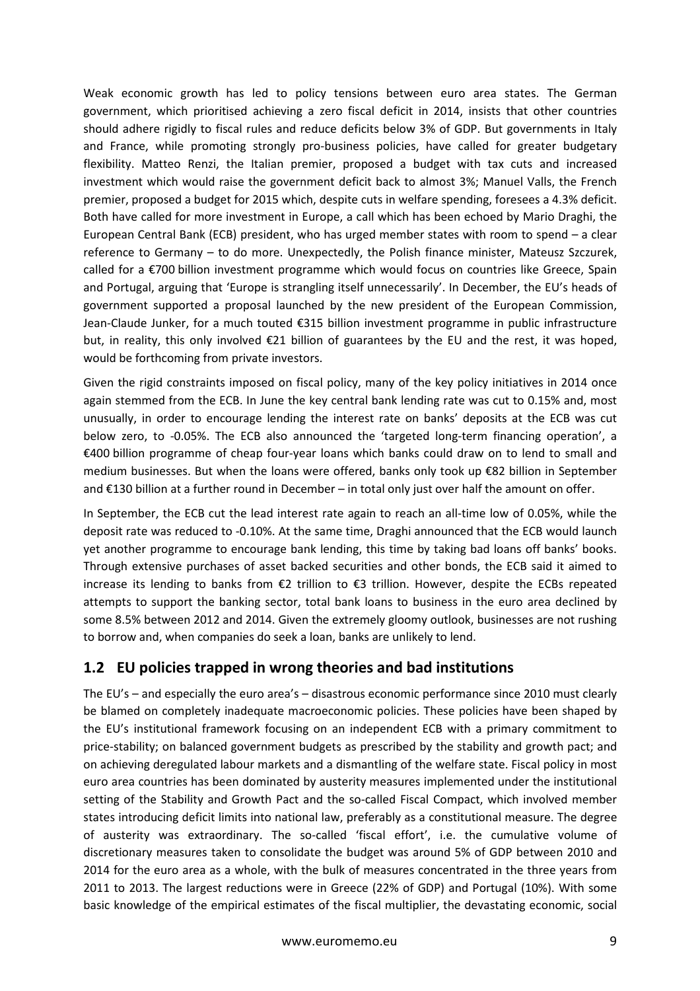Weak economic growth has led to policy tensions between euro area states. The German government, which prioritised achieving a zero fiscal deficit in 2014, insists that other countries should adhere rigidly to fiscal rules and reduce deficits below 3% of GDP. But governments in Italy and France, while promoting strongly pro-business policies, have called for greater budgetary flexibility. Matteo Renzi, the Italian premier, proposed a budget with tax cuts and increased investment which would raise the government deficit back to almost 3%; Manuel Valls, the French premier, proposed a budget for 2015 which, despite cuts in welfare spending, foresees a 4.3% deficit. Both have called for more investment in Europe, a call which has been echoed by Mario Draghi, the European Central Bank (ECB) president, who has urged member states with room to spend – a clear reference to Germany – to do more. Unexpectedly, the Polish finance minister, Mateusz Szczurek, called for a €700 billion investment programme which would focus on countries like Greece, Spain and Portugal, arguing that 'Europe is strangling itself unnecessarily'. In December, the EU's heads of government supported a proposal launched by the new president of the European Commission, Jean-Claude Junker, for a much touted €315 billion investment programme in public infrastructure but, in reality, this only involved €21 billion of guarantees by the EU and the rest, it was hoped, would be forthcoming from private investors.

Given the rigid constraints imposed on fiscal policy, many of the key policy initiatives in 2014 once again stemmed from the ECB. In June the key central bank lending rate was cut to 0.15% and, most unusually, in order to encourage lending the interest rate on banks' deposits at the ECB was cut below zero, to -0.05%. The ECB also announced the 'targeted long-term financing operation', a €400 billion programme of cheap four-year loans which banks could draw on to lend to small and medium businesses. But when the loans were offered, banks only took up €82 billion in September and €130 billion at a further round in December – in total only just over half the amount on offer.

In September, the ECB cut the lead interest rate again to reach an all-time low of 0.05%, while the deposit rate was reduced to -0.10%. At the same time, Draghi announced that the ECB would launch yet another programme to encourage bank lending, this time by taking bad loans off banks' books. Through extensive purchases of asset backed securities and other bonds, the ECB said it aimed to increase its lending to banks from €2 trillion to €3 trillion. However, despite the ECBs repeated attempts to support the banking sector, total bank loans to business in the euro area declined by some 8.5% between 2012 and 2014. Given the extremely gloomy outlook, businesses are not rushing to borrow and, when companies do seek a loan, banks are unlikely to lend.

## **1.2 EU policies trapped in wrong theories and bad institutions**

The EU's – and especially the euro area's – disastrous economic performance since 2010 must clearly be blamed on completely inadequate macroeconomic policies. These policies have been shaped by the EU's institutional framework focusing on an independent ECB with a primary commitment to price-stability; on balanced government budgets as prescribed by the stability and growth pact; and on achieving deregulated labour markets and a dismantling of the welfare state. Fiscal policy in most euro area countries has been dominated by austerity measures implemented under the institutional setting of the Stability and Growth Pact and the so-called Fiscal Compact, which involved member states introducing deficit limits into national law, preferably as a constitutional measure. The degree of austerity was extraordinary. The so-called 'fiscal effort', i.e. the cumulative volume of discretionary measures taken to consolidate the budget was around 5% of GDP between 2010 and 2014 for the euro area as a whole, with the bulk of measures concentrated in the three years from 2011 to 2013. The largest reductions were in Greece (22% of GDP) and Portugal (10%). With some basic knowledge of the empirical estimates of the fiscal multiplier, the devastating economic, social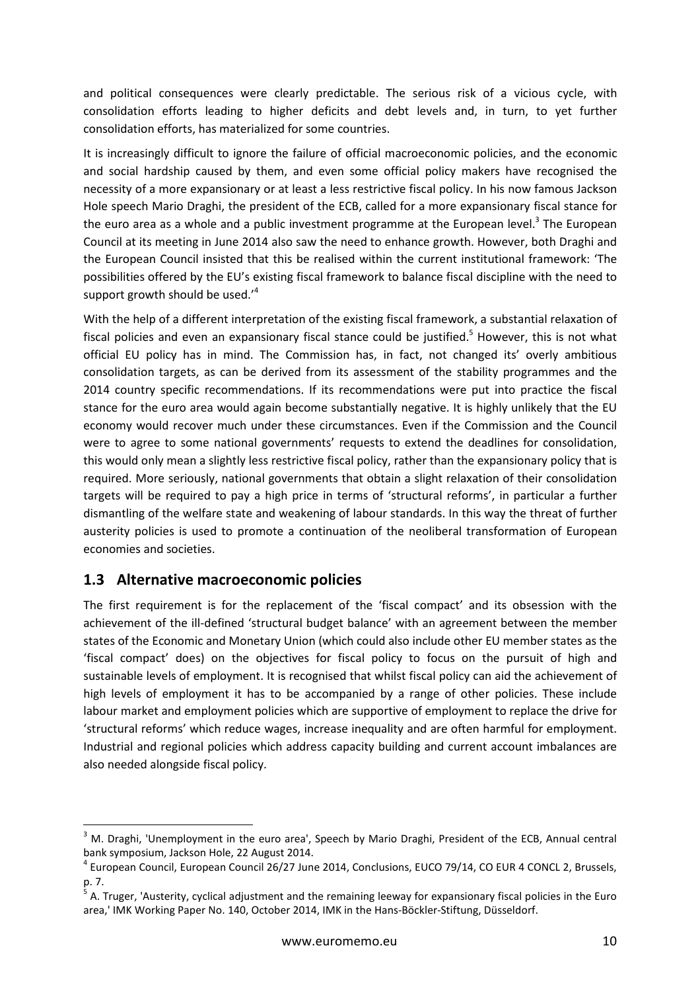and political consequences were clearly predictable. The serious risk of a vicious cycle, with consolidation efforts leading to higher deficits and debt levels and, in turn, to yet further consolidation efforts, has materialized for some countries.

It is increasingly difficult to ignore the failure of official macroeconomic policies, and the economic and social hardship caused by them, and even some official policy makers have recognised the necessity of a more expansionary or at least a less restrictive fiscal policy. In his now famous Jackson Hole speech Mario Draghi, the president of the ECB, called for a more expansionary fiscal stance for the euro area as a whole and a public investment programme at the European level.<sup>3</sup> The European Council at its meeting in June 2014 also saw the need to enhance growth. However, both Draghi and the European Council insisted that this be realised within the current institutional framework: 'The possibilities offered by the EU's existing fiscal framework to balance fiscal discipline with the need to support growth should be used. $^4$ 

With the help of a different interpretation of the existing fiscal framework, a substantial relaxation of fiscal policies and even an expansionary fiscal stance could be justified.<sup>5</sup> However, this is not what official EU policy has in mind. The Commission has, in fact, not changed its' overly ambitious consolidation targets, as can be derived from its assessment of the stability programmes and the 2014 country specific recommendations. If its recommendations were put into practice the fiscal stance for the euro area would again become substantially negative. It is highly unlikely that the EU economy would recover much under these circumstances. Even if the Commission and the Council were to agree to some national governments' requests to extend the deadlines for consolidation, this would only mean a slightly less restrictive fiscal policy, rather than the expansionary policy that is required. More seriously, national governments that obtain a slight relaxation of their consolidation targets will be required to pay a high price in terms of 'structural reforms', in particular a further dismantling of the welfare state and weakening of labour standards. In this way the threat of further austerity policies is used to promote a continuation of the neoliberal transformation of European economies and societies.

#### **1.3 Alternative macroeconomic policies**

l

The first requirement is for the replacement of the 'fiscal compact' and its obsession with the achievement of the ill-defined 'structural budget balance' with an agreement between the member states of the Economic and Monetary Union (which could also include other EU member states as the 'fiscal compact' does) on the objectives for fiscal policy to focus on the pursuit of high and sustainable levels of employment. It is recognised that whilst fiscal policy can aid the achievement of high levels of employment it has to be accompanied by a range of other policies. These include labour market and employment policies which are supportive of employment to replace the drive for 'structural reforms' which reduce wages, increase inequality and are often harmful for employment. Industrial and regional policies which address capacity building and current account imbalances are also needed alongside fiscal policy.

<sup>&</sup>lt;sup>3</sup> M. Draghi, 'Unemployment in the euro area', Speech by Mario Draghi, President of the ECB, Annual central bank symposium, Jackson Hole, 22 August 2014.

<sup>4</sup> European Council, European Council 26/27 June 2014, Conclusions, EUCO 79/14, CO EUR 4 CONCL 2, Brussels, p. 7.

<sup>&</sup>lt;sup>5</sup> A. Truger, 'Austerity, cyclical adjustment and the remaining leeway for expansionary fiscal policies in the Euro area,' IMK Working Paper No. 140, October 2014, IMK in the Hans-Böckler-Stiftung, Düsseldorf.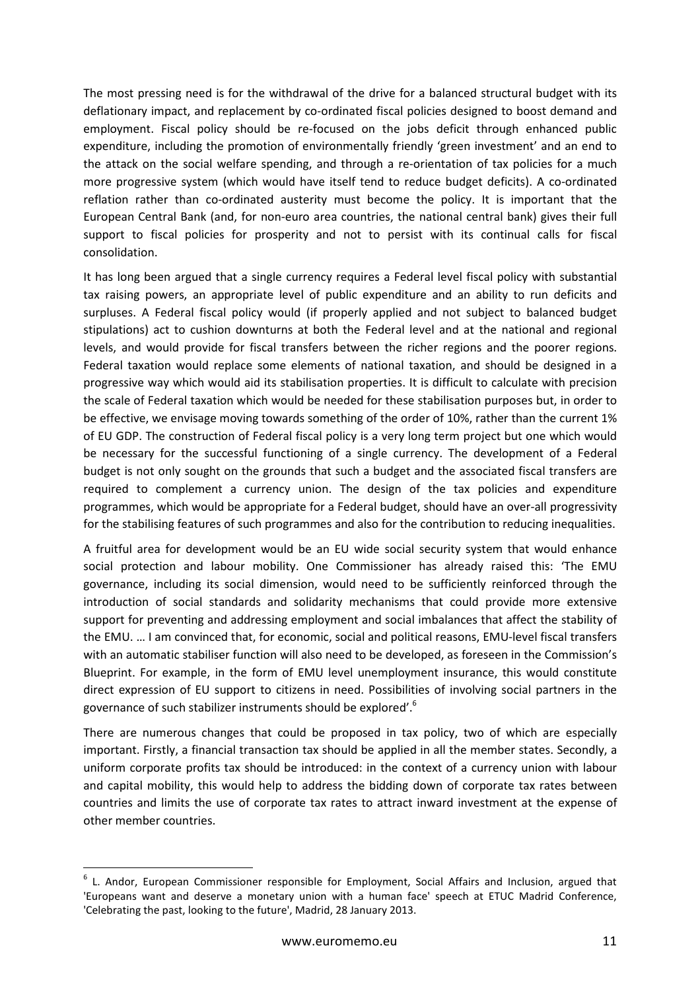The most pressing need is for the withdrawal of the drive for a balanced structural budget with its deflationary impact, and replacement by co-ordinated fiscal policies designed to boost demand and employment. Fiscal policy should be re-focused on the jobs deficit through enhanced public expenditure, including the promotion of environmentally friendly 'green investment' and an end to the attack on the social welfare spending, and through a re-orientation of tax policies for a much more progressive system (which would have itself tend to reduce budget deficits). A co-ordinated reflation rather than co-ordinated austerity must become the policy. It is important that the European Central Bank (and, for non-euro area countries, the national central bank) gives their full support to fiscal policies for prosperity and not to persist with its continual calls for fiscal consolidation.

It has long been argued that a single currency requires a Federal level fiscal policy with substantial tax raising powers, an appropriate level of public expenditure and an ability to run deficits and surpluses. A Federal fiscal policy would (if properly applied and not subject to balanced budget stipulations) act to cushion downturns at both the Federal level and at the national and regional levels, and would provide for fiscal transfers between the richer regions and the poorer regions. Federal taxation would replace some elements of national taxation, and should be designed in a progressive way which would aid its stabilisation properties. It is difficult to calculate with precision the scale of Federal taxation which would be needed for these stabilisation purposes but, in order to be effective, we envisage moving towards something of the order of 10%, rather than the current 1% of EU GDP. The construction of Federal fiscal policy is a very long term project but one which would be necessary for the successful functioning of a single currency. The development of a Federal budget is not only sought on the grounds that such a budget and the associated fiscal transfers are required to complement a currency union. The design of the tax policies and expenditure programmes, which would be appropriate for a Federal budget, should have an over-all progressivity for the stabilising features of such programmes and also for the contribution to reducing inequalities.

A fruitful area for development would be an EU wide social security system that would enhance social protection and labour mobility. One Commissioner has already raised this: 'The EMU governance, including its social dimension, would need to be sufficiently reinforced through the introduction of social standards and solidarity mechanisms that could provide more extensive support for preventing and addressing employment and social imbalances that affect the stability of the EMU. … I am convinced that, for economic, social and political reasons, EMU-level fiscal transfers with an automatic stabiliser function will also need to be developed, as foreseen in the Commission's Blueprint. For example, in the form of EMU level unemployment insurance, this would constitute direct expression of EU support to citizens in need. Possibilities of involving social partners in the governance of such stabilizer instruments should be explored'.<sup>6</sup>

There are numerous changes that could be proposed in tax policy, two of which are especially important. Firstly, a financial transaction tax should be applied in all the member states. Secondly, a uniform corporate profits tax should be introduced: in the context of a currency union with labour and capital mobility, this would help to address the bidding down of corporate tax rates between countries and limits the use of corporate tax rates to attract inward investment at the expense of other member countries.

<sup>&</sup>lt;sup>6</sup> L. Andor, European Commissioner responsible for Employment, Social Affairs and Inclusion, argued that 'Europeans want and deserve a monetary union with a human face' speech at ETUC Madrid Conference, 'Celebrating the past, looking to the future', Madrid, 28 January 2013.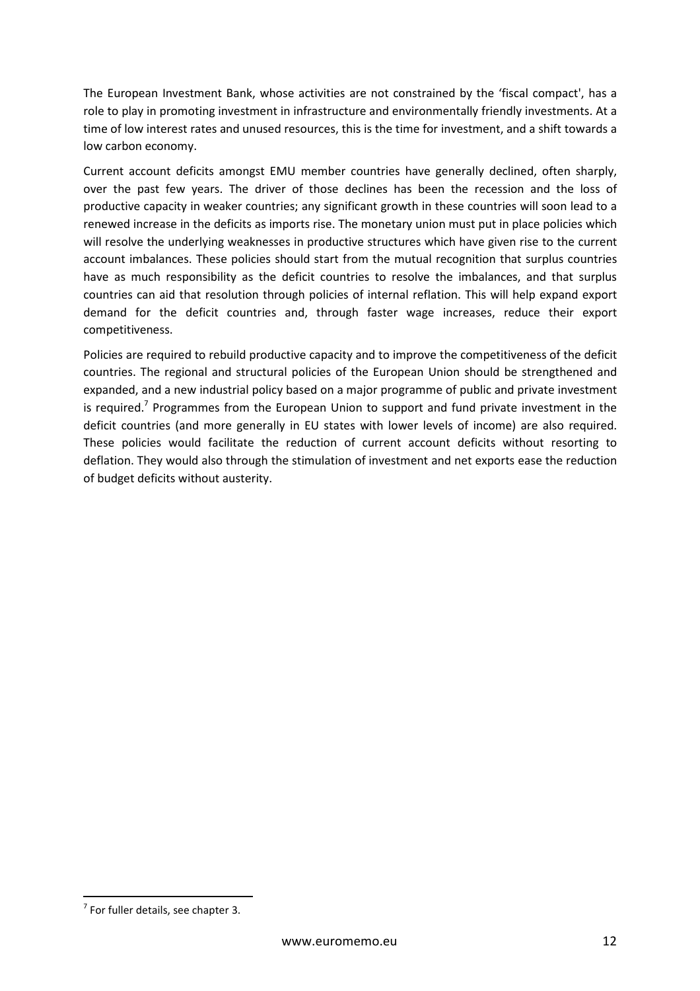The European Investment Bank, whose activities are not constrained by the 'fiscal compact', has a role to play in promoting investment in infrastructure and environmentally friendly investments. At a time of low interest rates and unused resources, this is the time for investment, and a shift towards a low carbon economy.

Current account deficits amongst EMU member countries have generally declined, often sharply, over the past few years. The driver of those declines has been the recession and the loss of productive capacity in weaker countries; any significant growth in these countries will soon lead to a renewed increase in the deficits as imports rise. The monetary union must put in place policies which will resolve the underlying weaknesses in productive structures which have given rise to the current account imbalances. These policies should start from the mutual recognition that surplus countries have as much responsibility as the deficit countries to resolve the imbalances, and that surplus countries can aid that resolution through policies of internal reflation. This will help expand export demand for the deficit countries and, through faster wage increases, reduce their export competitiveness.

Policies are required to rebuild productive capacity and to improve the competitiveness of the deficit countries. The regional and structural policies of the European Union should be strengthened and expanded, and a new industrial policy based on a major programme of public and private investment is required.<sup>7</sup> Programmes from the European Union to support and fund private investment in the deficit countries (and more generally in EU states with lower levels of income) are also required. These policies would facilitate the reduction of current account deficits without resorting to deflation. They would also through the stimulation of investment and net exports ease the reduction of budget deficits without austerity.

 $7$  For fuller details, see chapter 3.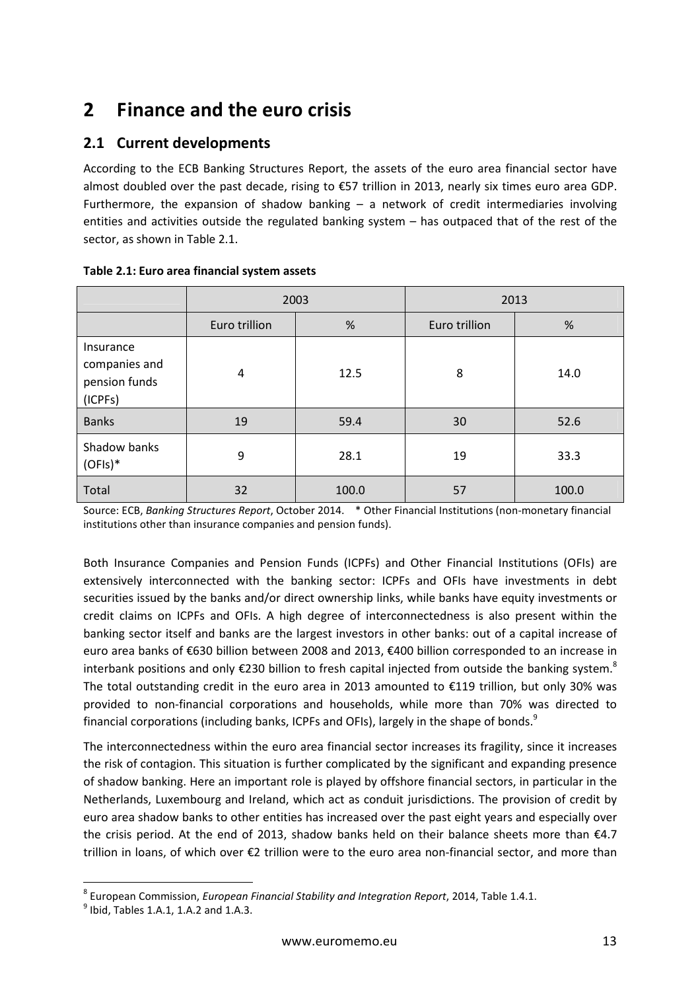## **2 Finance and the euro crisis**

## **2.1 Current developments**

According to the ECB Banking Structures Report, the assets of the euro area financial sector have almost doubled over the past decade, rising to €57 trillion in 2013, nearly six times euro area GDP. Furthermore, the expansion of shadow banking  $-$  a network of credit intermediaries involving entities and activities outside the regulated banking system – has outpaced that of the rest of the sector, as shown in Table 2.1.

|                                                        | 2003          |       | 2013          |       |
|--------------------------------------------------------|---------------|-------|---------------|-------|
|                                                        | Euro trillion | %     | Euro trillion | %     |
| Insurance<br>companies and<br>pension funds<br>(ICPFs) | 4             | 12.5  | 8             | 14.0  |
| <b>Banks</b>                                           | 19            | 59.4  | 30            | 52.6  |
| Shadow banks<br>$(OFIs)*$                              | 9             | 28.1  | 19            | 33.3  |
| Total                                                  | 32            | 100.0 | 57            | 100.0 |

**Table 2.1: Euro area financial system assets** 

Source: ECB, *Banking Structures Report*, October 2014. \* Other Financial Institutions (non-monetary financial institutions other than insurance companies and pension funds).

Both Insurance Companies and Pension Funds (ICPFs) and Other Financial Institutions (OFIs) are extensively interconnected with the banking sector: ICPFs and OFIs have investments in debt securities issued by the banks and/or direct ownership links, while banks have equity investments or credit claims on ICPFs and OFIs. A high degree of interconnectedness is also present within the banking sector itself and banks are the largest investors in other banks: out of a capital increase of euro area banks of €630 billion between 2008 and 2013, €400 billion corresponded to an increase in interbank positions and only  $\epsilon$ 230 billion to fresh capital injected from outside the banking system.<sup>8</sup> The total outstanding credit in the euro area in 2013 amounted to €119 trillion, but only 30% was provided to non-financial corporations and households, while more than 70% was directed to financial corporations (including banks, ICPFs and OFIs), largely in the shape of bonds.<sup>9</sup>

The interconnectedness within the euro area financial sector increases its fragility, since it increases the risk of contagion. This situation is further complicated by the significant and expanding presence of shadow banking. Here an important role is played by offshore financial sectors, in particular in the Netherlands, Luxembourg and Ireland, which act as conduit jurisdictions. The provision of credit by euro area shadow banks to other entities has increased over the past eight years and especially over the crisis period. At the end of 2013, shadow banks held on their balance sheets more than €4.7 trillion in loans, of which over €2 trillion were to the euro area non-financial sector, and more than

<sup>8</sup> European Commission, *European Financial Stability and Integration Report*, 2014, Table 1.4.1.

 $^{9}$  Ibid, Tables 1.A.1, 1.A.2 and 1.A.3.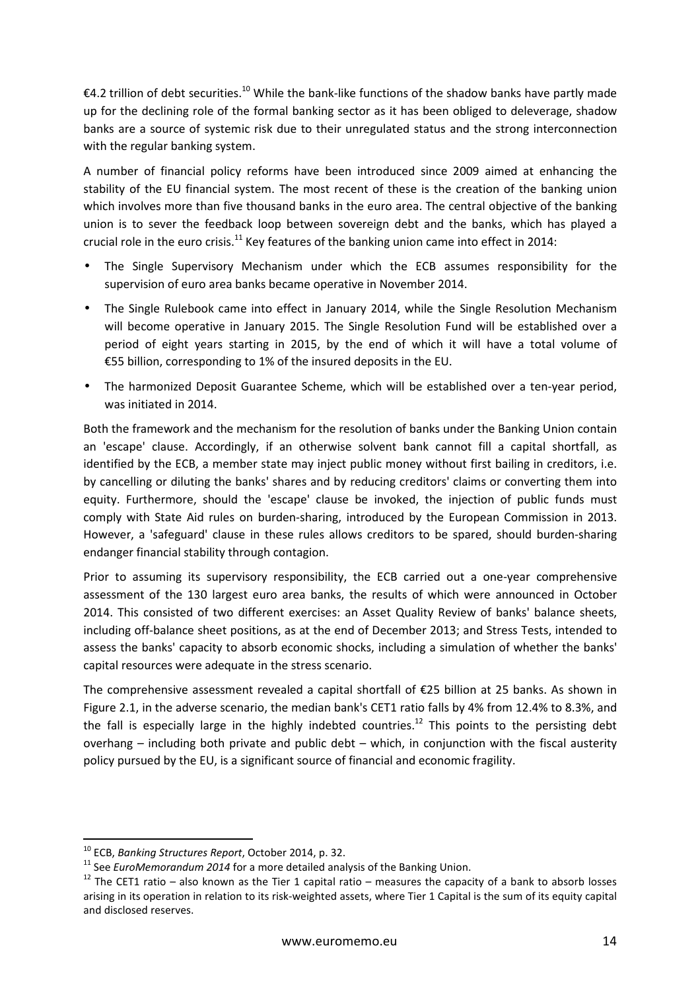€4.2 trillion of debt securities.<sup>10</sup> While the bank-like functions of the shadow banks have partly made up for the declining role of the formal banking sector as it has been obliged to deleverage, shadow banks are a source of systemic risk due to their unregulated status and the strong interconnection with the regular banking system.

A number of financial policy reforms have been introduced since 2009 aimed at enhancing the stability of the EU financial system. The most recent of these is the creation of the banking union which involves more than five thousand banks in the euro area. The central objective of the banking union is to sever the feedback loop between sovereign debt and the banks, which has played a crucial role in the euro crisis.<sup>11</sup> Key features of the banking union came into effect in 2014:

- The Single Supervisory Mechanism under which the ECB assumes responsibility for the supervision of euro area banks became operative in November 2014.
- The Single Rulebook came into effect in January 2014, while the Single Resolution Mechanism will become operative in January 2015. The Single Resolution Fund will be established over a period of eight years starting in 2015, by the end of which it will have a total volume of €55 billion, corresponding to 1% of the insured deposits in the EU.
- The harmonized Deposit Guarantee Scheme, which will be established over a ten-year period, was initiated in 2014.

Both the framework and the mechanism for the resolution of banks under the Banking Union contain an 'escape' clause. Accordingly, if an otherwise solvent bank cannot fill a capital shortfall, as identified by the ECB, a member state may inject public money without first bailing in creditors, i.e. by cancelling or diluting the banks' shares and by reducing creditors' claims or converting them into equity. Furthermore, should the 'escape' clause be invoked, the injection of public funds must comply with State Aid rules on burden-sharing, introduced by the European Commission in 2013. However, a 'safeguard' clause in these rules allows creditors to be spared, should burden-sharing endanger financial stability through contagion.

Prior to assuming its supervisory responsibility, the ECB carried out a one-year comprehensive assessment of the 130 largest euro area banks, the results of which were announced in October 2014. This consisted of two different exercises: an Asset Quality Review of banks' balance sheets, including off-balance sheet positions, as at the end of December 2013; and Stress Tests, intended to assess the banks' capacity to absorb economic shocks, including a simulation of whether the banks' capital resources were adequate in the stress scenario.

The comprehensive assessment revealed a capital shortfall of  $E$ 25 billion at 25 banks. As shown in Figure 2.1, in the adverse scenario, the median bank's CET1 ratio falls by 4% from 12.4% to 8.3%, and the fall is especially large in the highly indebted countries.<sup>12</sup> This points to the persisting debt overhang – including both private and public debt – which, in conjunction with the fiscal austerity policy pursued by the EU, is a significant source of financial and economic fragility.

<sup>10</sup> ECB, *Banking Structures Report*, October 2014, p. 32.

<sup>&</sup>lt;sup>11</sup> See *EuroMemorandum 2014* for a more detailed analysis of the Banking Union.

<sup>&</sup>lt;sup>12</sup> The CET1 ratio – also known as the Tier 1 capital ratio – measures the capacity of a bank to absorb losses arising in its operation in relation to its risk-weighted assets, where Tier 1 Capital is the sum of its equity capital and disclosed reserves.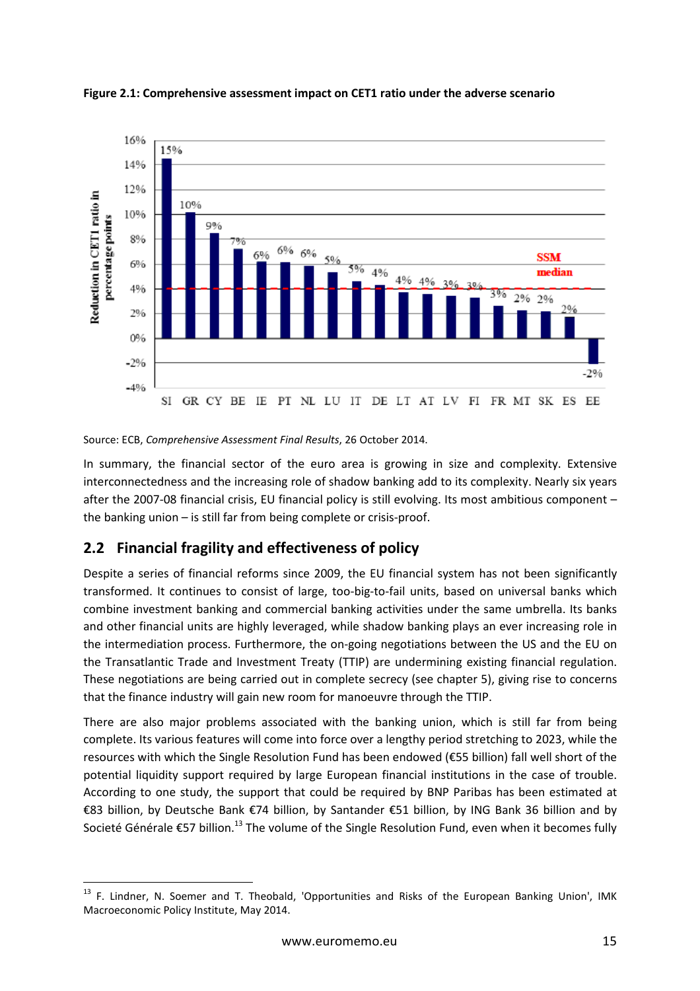

**Figure 2.1: Comprehensive assessment impact on CET1 ratio under the adverse scenario**

Source: ECB, *Comprehensive Assessment Final Results*, 26 October 2014.

In summary, the financial sector of the euro area is growing in size and complexity. Extensive interconnectedness and the increasing role of shadow banking add to its complexity. Nearly six years after the 2007-08 financial crisis, EU financial policy is still evolving. Its most ambitious component – the banking union – is still far from being complete or crisis-proof.

### **2.2 Financial fragility and effectiveness of policy**

l

Despite a series of financial reforms since 2009, the EU financial system has not been significantly transformed. It continues to consist of large, too-big-to-fail units, based on universal banks which combine investment banking and commercial banking activities under the same umbrella. Its banks and other financial units are highly leveraged, while shadow banking plays an ever increasing role in the intermediation process. Furthermore, the on-going negotiations between the US and the EU on the Transatlantic Trade and Investment Treaty (TTIP) are undermining existing financial regulation. These negotiations are being carried out in complete secrecy (see chapter 5), giving rise to concerns that the finance industry will gain new room for manoeuvre through the TTIP.

There are also major problems associated with the banking union, which is still far from being complete. Its various features will come into force over a lengthy period stretching to 2023, while the resources with which the Single Resolution Fund has been endowed (€55 billion) fall well short of the potential liquidity support required by large European financial institutions in the case of trouble. According to one study, the support that could be required by BNP Paribas has been estimated at €83 billion, by Deutsche Bank €74 billion, by Santander €51 billion, by ING Bank 36 billion and by Societé Générale €57 billion.<sup>13</sup> The volume of the Single Resolution Fund, even when it becomes fully

<sup>&</sup>lt;sup>13</sup> F. Lindner, N. Soemer and T. Theobald, 'Opportunities and Risks of the European Banking Union', IMK Macroeconomic Policy Institute, May 2014.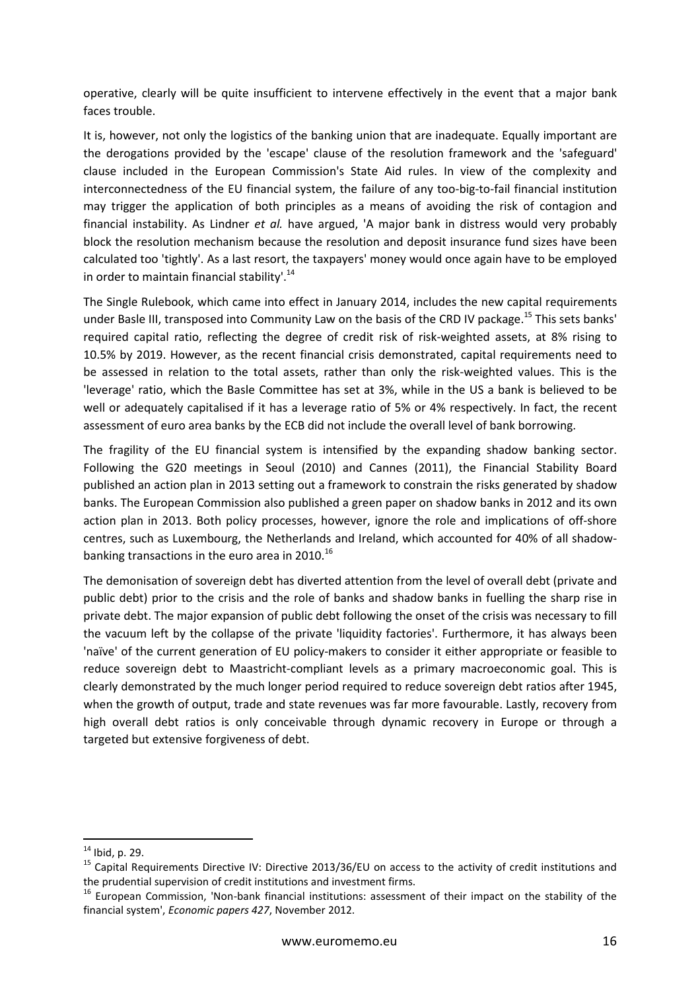operative, clearly will be quite insufficient to intervene effectively in the event that a major bank faces trouble.

It is, however, not only the logistics of the banking union that are inadequate. Equally important are the derogations provided by the 'escape' clause of the resolution framework and the 'safeguard' clause included in the European Commission's State Aid rules. In view of the complexity and interconnectedness of the EU financial system, the failure of any too-big-to-fail financial institution may trigger the application of both principles as a means of avoiding the risk of contagion and financial instability. As Lindner *et al.* have argued, 'A major bank in distress would very probably block the resolution mechanism because the resolution and deposit insurance fund sizes have been calculated too 'tightly'. As a last resort, the taxpayers' money would once again have to be employed in order to maintain financial stability'. $^{14}$ 

The Single Rulebook, which came into effect in January 2014, includes the new capital requirements under Basle III, transposed into Community Law on the basis of the CRD IV package.<sup>15</sup> This sets banks' required capital ratio, reflecting the degree of credit risk of risk-weighted assets, at 8% rising to 10.5% by 2019. However, as the recent financial crisis demonstrated, capital requirements need to be assessed in relation to the total assets, rather than only the risk-weighted values. This is the 'leverage' ratio, which the Basle Committee has set at 3%, while in the US a bank is believed to be well or adequately capitalised if it has a leverage ratio of 5% or 4% respectively. In fact, the recent assessment of euro area banks by the ECB did not include the overall level of bank borrowing.

The fragility of the EU financial system is intensified by the expanding shadow banking sector. Following the G20 meetings in Seoul (2010) and Cannes (2011), the Financial Stability Board published an action plan in 2013 setting out a framework to constrain the risks generated by shadow banks. The European Commission also published a green paper on shadow banks in 2012 and its own action plan in 2013. Both policy processes, however, ignore the role and implications of off-shore centres, such as Luxembourg, the Netherlands and Ireland, which accounted for 40% of all shadowbanking transactions in the euro area in 2010.<sup>16</sup>

The demonisation of sovereign debt has diverted attention from the level of overall debt (private and public debt) prior to the crisis and the role of banks and shadow banks in fuelling the sharp rise in private debt. The major expansion of public debt following the onset of the crisis was necessary to fill the vacuum left by the collapse of the private 'liquidity factories'. Furthermore, it has always been 'naïve' of the current generation of EU policy-makers to consider it either appropriate or feasible to reduce sovereign debt to Maastricht-compliant levels as a primary macroeconomic goal. This is clearly demonstrated by the much longer period required to reduce sovereign debt ratios after 1945, when the growth of output, trade and state revenues was far more favourable. Lastly, recovery from high overall debt ratios is only conceivable through dynamic recovery in Europe or through a targeted but extensive forgiveness of debt.

<sup>14</sup> Ibid, p. 29.

<sup>15</sup> Capital Requirements Directive IV: Directive 2013/36/EU on access to the activity of credit institutions and the prudential supervision of credit institutions and investment firms.

<sup>&</sup>lt;sup>16</sup> European Commission, 'Non-bank financial institutions: assessment of their impact on the stability of the financial system', *Economic papers 427*, November 2012.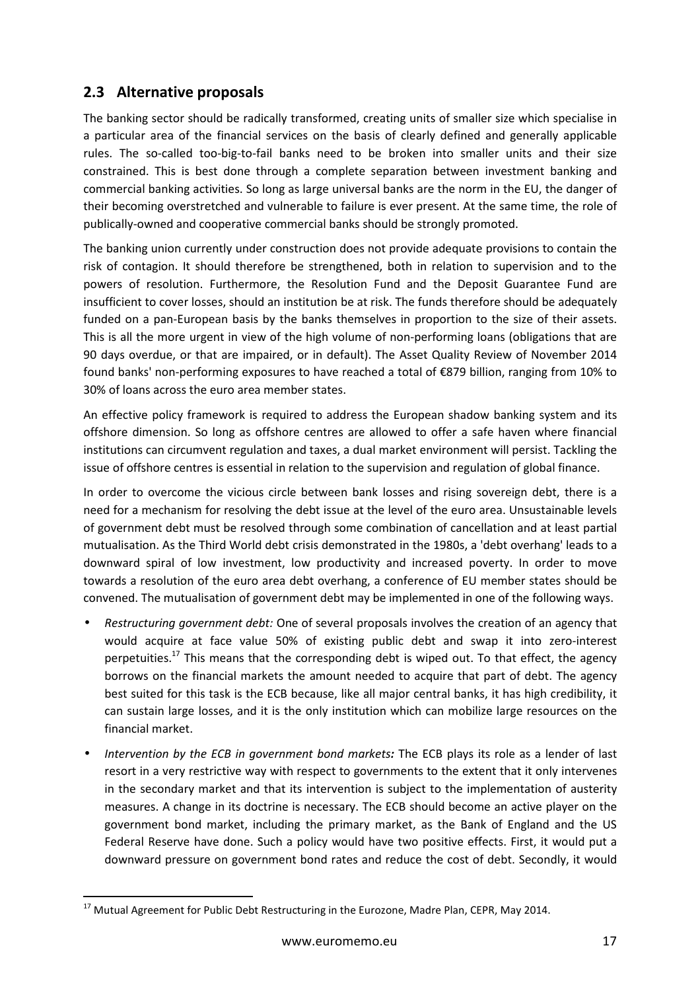## **2.3 Alternative proposals**

The banking sector should be radically transformed, creating units of smaller size which specialise in a particular area of the financial services on the basis of clearly defined and generally applicable rules. The so-called too-big-to-fail banks need to be broken into smaller units and their size constrained. This is best done through a complete separation between investment banking and commercial banking activities. So long as large universal banks are the norm in the EU, the danger of their becoming overstretched and vulnerable to failure is ever present. At the same time, the role of publically-owned and cooperative commercial banks should be strongly promoted.

The banking union currently under construction does not provide adequate provisions to contain the risk of contagion. It should therefore be strengthened, both in relation to supervision and to the powers of resolution. Furthermore, the Resolution Fund and the Deposit Guarantee Fund are insufficient to cover losses, should an institution be at risk. The funds therefore should be adequately funded on a pan-European basis by the banks themselves in proportion to the size of their assets. This is all the more urgent in view of the high volume of non-performing loans (obligations that are 90 days overdue, or that are impaired, or in default). The Asset Quality Review of November 2014 found banks' non-performing exposures to have reached a total of €879 billion, ranging from 10% to 30% of loans across the euro area member states.

An effective policy framework is required to address the European shadow banking system and its offshore dimension. So long as offshore centres are allowed to offer a safe haven where financial institutions can circumvent regulation and taxes, a dual market environment will persist. Tackling the issue of offshore centres is essential in relation to the supervision and regulation of global finance.

In order to overcome the vicious circle between bank losses and rising sovereign debt, there is a need for a mechanism for resolving the debt issue at the level of the euro area. Unsustainable levels of government debt must be resolved through some combination of cancellation and at least partial mutualisation. As the Third World debt crisis demonstrated in the 1980s, a 'debt overhang' leads to a downward spiral of low investment, low productivity and increased poverty. In order to move towards a resolution of the euro area debt overhang, a conference of EU member states should be convened. The mutualisation of government debt may be implemented in one of the following ways.

- *Restructuring government debt:* One of several proposals involves the creation of an agency that would acquire at face value 50% of existing public debt and swap it into zero-interest perpetuities.<sup>17</sup> This means that the corresponding debt is wiped out. To that effect, the agency borrows on the financial markets the amount needed to acquire that part of debt. The agency best suited for this task is the ECB because, like all major central banks, it has high credibility, it can sustain large losses, and it is the only institution which can mobilize large resources on the financial market.
- *Intervention by the ECB in government bond markets:* The ECB plays its role as a lender of last resort in a very restrictive way with respect to governments to the extent that it only intervenes in the secondary market and that its intervention is subject to the implementation of austerity measures. A change in its doctrine is necessary. The ECB should become an active player on the government bond market, including the primary market, as the Bank of England and the US Federal Reserve have done. Such a policy would have two positive effects. First, it would put a downward pressure on government bond rates and reduce the cost of debt. Secondly, it would

 $^{17}$  Mutual Agreement for Public Debt Restructuring in the Eurozone, Madre Plan, CEPR, May 2014.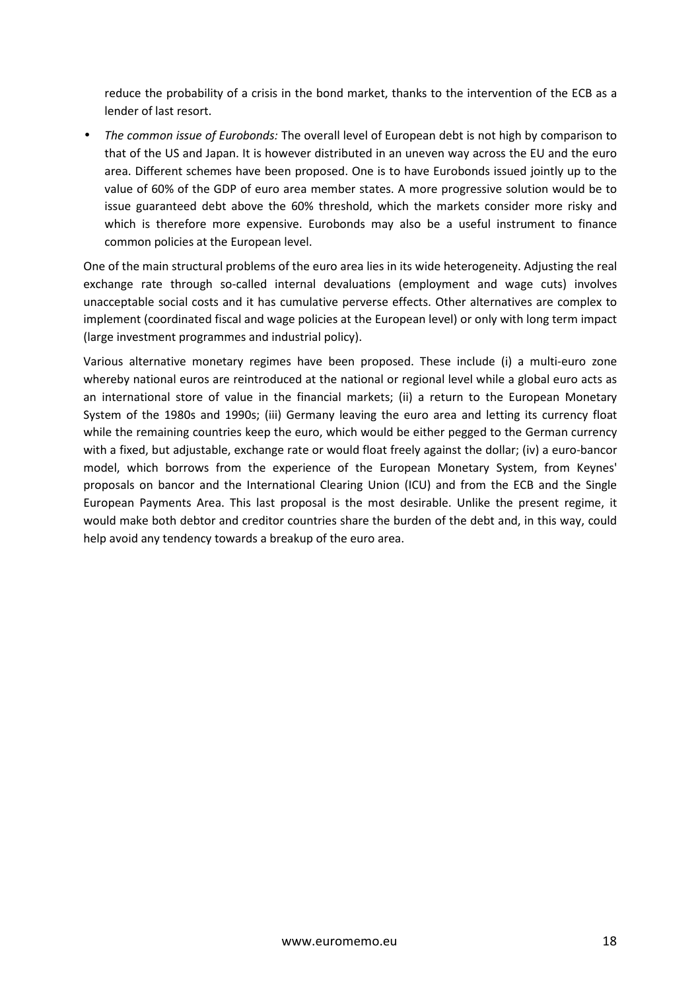reduce the probability of a crisis in the bond market, thanks to the intervention of the ECB as a lender of last resort.

• *The common issue of Eurobonds:* The overall level of European debt is not high by comparison to that of the US and Japan. It is however distributed in an uneven way across the EU and the euro area. Different schemes have been proposed. One is to have Eurobonds issued jointly up to the value of 60% of the GDP of euro area member states. A more progressive solution would be to issue guaranteed debt above the 60% threshold, which the markets consider more risky and which is therefore more expensive. Eurobonds may also be a useful instrument to finance common policies at the European level.

One of the main structural problems of the euro area lies in its wide heterogeneity. Adjusting the real exchange rate through so-called internal devaluations (employment and wage cuts) involves unacceptable social costs and it has cumulative perverse effects. Other alternatives are complex to implement (coordinated fiscal and wage policies at the European level) or only with long term impact (large investment programmes and industrial policy).

Various alternative monetary regimes have been proposed. These include (i) a multi-euro zone whereby national euros are reintroduced at the national or regional level while a global euro acts as an international store of value in the financial markets; (ii) a return to the European Monetary System of the 1980s and 1990s; (iii) Germany leaving the euro area and letting its currency float while the remaining countries keep the euro, which would be either pegged to the German currency with a fixed, but adjustable, exchange rate or would float freely against the dollar; (iv) a euro-bancor model, which borrows from the experience of the European Monetary System, from Keynes' proposals on bancor and the International Clearing Union (ICU) and from the ECB and the Single European Payments Area. This last proposal is the most desirable. Unlike the present regime, it would make both debtor and creditor countries share the burden of the debt and, in this way, could help avoid any tendency towards a breakup of the euro area.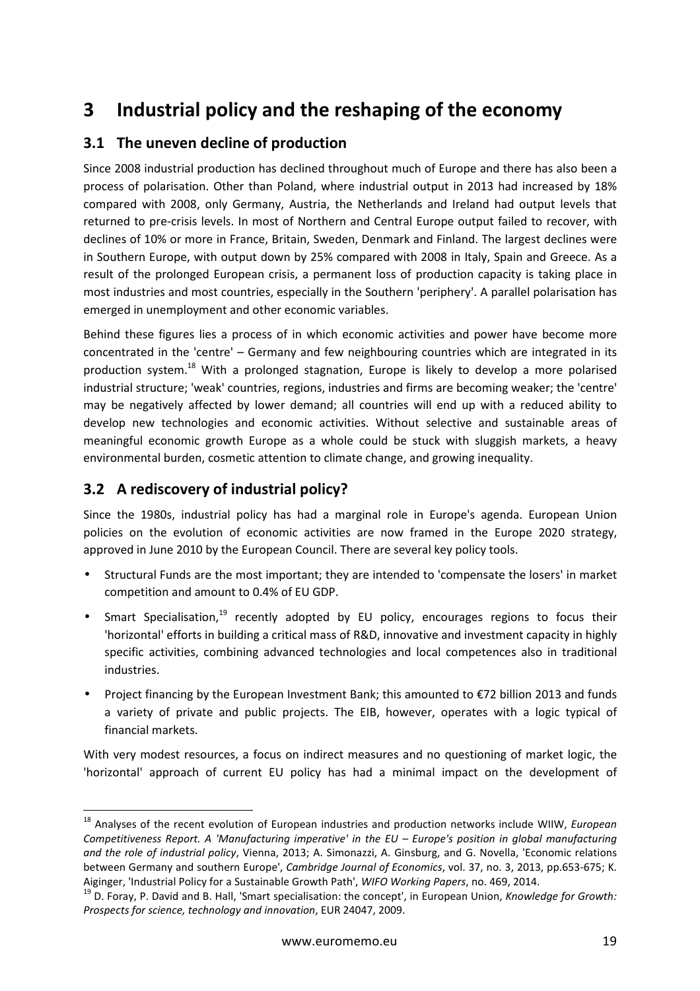## **3 Industrial policy and the reshaping of the economy**

## **3.1 The uneven decline of production**

Since 2008 industrial production has declined throughout much of Europe and there has also been a process of polarisation. Other than Poland, where industrial output in 2013 had increased by 18% compared with 2008, only Germany, Austria, the Netherlands and Ireland had output levels that returned to pre-crisis levels. In most of Northern and Central Europe output failed to recover, with declines of 10% or more in France, Britain, Sweden, Denmark and Finland. The largest declines were in Southern Europe, with output down by 25% compared with 2008 in Italy, Spain and Greece. As a result of the prolonged European crisis, a permanent loss of production capacity is taking place in most industries and most countries, especially in the Southern 'periphery'. A parallel polarisation has emerged in unemployment and other economic variables.

Behind these figures lies a process of in which economic activities and power have become more concentrated in the 'centre' – Germany and few neighbouring countries which are integrated in its production system.<sup>18</sup> With a prolonged stagnation, Europe is likely to develop a more polarised industrial structure; 'weak' countries, regions, industries and firms are becoming weaker; the 'centre' may be negatively affected by lower demand; all countries will end up with a reduced ability to develop new technologies and economic activities. Without selective and sustainable areas of meaningful economic growth Europe as a whole could be stuck with sluggish markets, a heavy environmental burden, cosmetic attention to climate change, and growing inequality.

## **3.2 A rediscovery of industrial policy?**

l

Since the 1980s, industrial policy has had a marginal role in Europe's agenda. European Union policies on the evolution of economic activities are now framed in the Europe 2020 strategy, approved in June 2010 by the European Council. There are several key policy tools.

- Structural Funds are the most important; they are intended to 'compensate the losers' in market competition and amount to 0.4% of EU GDP.
- Smart Specialisation,<sup>19</sup> recently adopted by EU policy, encourages regions to focus their 'horizontal' efforts in building a critical mass of R&D, innovative and investment capacity in highly specific activities, combining advanced technologies and local competences also in traditional industries.
- Project financing by the European Investment Bank; this amounted to €72 billion 2013 and funds a variety of private and public projects. The EIB, however, operates with a logic typical of financial markets.

With very modest resources, a focus on indirect measures and no questioning of market logic, the 'horizontal' approach of current EU policy has had a minimal impact on the development of

<sup>18</sup> Analyses of the recent evolution of European industries and production networks include WIIW, *European Competitiveness Report. A 'Manufacturing imperative' in the EU – Europe's position in global manufacturing and the role of industrial policy*, Vienna, 2013; A. Simonazzi, A. Ginsburg, and G. Novella, 'Economic relations between Germany and southern Europe', *Cambridge Journal of Economics*, vol. 37, no. 3, 2013, pp.653-675; K. Aiginger, 'Industrial Policy for a Sustainable Growth Path', *WIFO Working Papers*, no. 469, 2014.

<sup>19</sup> D. Foray, P. David and B. Hall, 'Smart specialisation: the concept', in European Union, *Knowledge for Growth: Prospects for science, technology and innovation*, EUR 24047, 2009.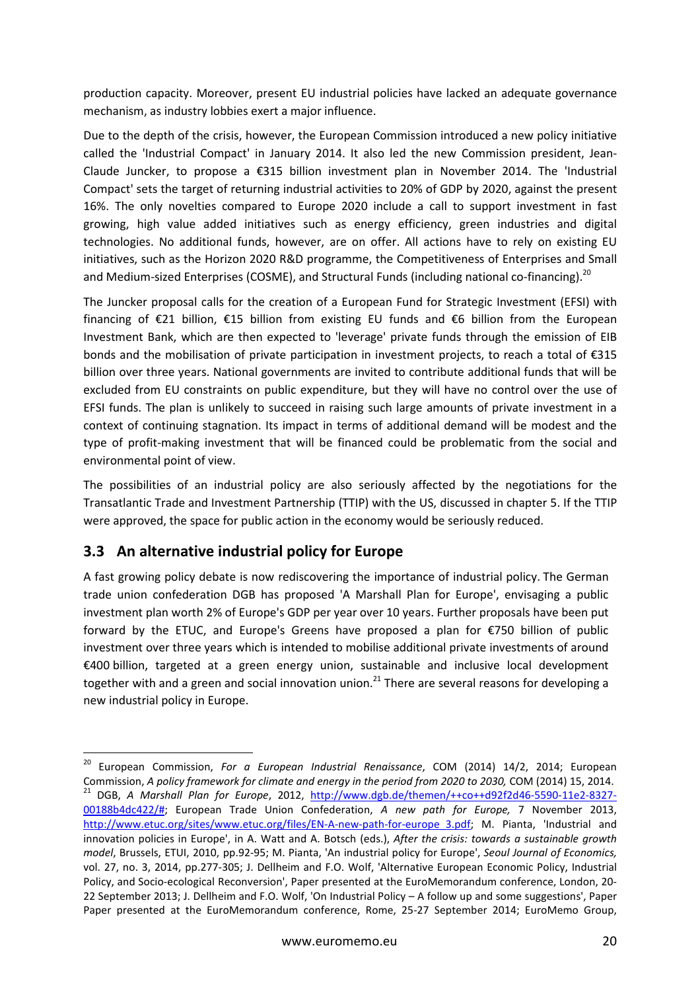production capacity. Moreover, present EU industrial policies have lacked an adequate governance mechanism, as industry lobbies exert a major influence.

Due to the depth of the crisis, however, the European Commission introduced a new policy initiative called the 'Industrial Compact' in January 2014. It also led the new Commission president, Jean-Claude Juncker, to propose a €315 billion investment plan in November 2014. The 'Industrial Compact' sets the target of returning industrial activities to 20% of GDP by 2020, against the present 16%. The only novelties compared to Europe 2020 include a call to support investment in fast growing, high value added initiatives such as energy efficiency, green industries and digital technologies. No additional funds, however, are on offer. All actions have to rely on existing EU initiatives, such as the Horizon 2020 R&D programme, the Competitiveness of Enterprises and Small and Medium-sized Enterprises (COSME), and Structural Funds (including national co-financing).<sup>20</sup>

The Juncker proposal calls for the creation of a European Fund for Strategic Investment (EFSI) with financing of €21 billion, €15 billion from existing EU funds and €6 billion from the European Investment Bank, which are then expected to 'leverage' private funds through the emission of EIB bonds and the mobilisation of private participation in investment projects, to reach a total of €315 billion over three years. National governments are invited to contribute additional funds that will be excluded from EU constraints on public expenditure, but they will have no control over the use of EFSI funds. The plan is unlikely to succeed in raising such large amounts of private investment in a context of continuing stagnation. Its impact in terms of additional demand will be modest and the type of profit-making investment that will be financed could be problematic from the social and environmental point of view.

The possibilities of an industrial policy are also seriously affected by the negotiations for the Transatlantic Trade and Investment Partnership (TTIP) with the US, discussed in chapter 5. If the TTIP were approved, the space for public action in the economy would be seriously reduced.

### **3.3 An alternative industrial policy for Europe**

A fast growing policy debate is now rediscovering the importance of industrial policy. The German trade union confederation DGB has proposed 'A Marshall Plan for Europe', envisaging a public investment plan worth 2% of Europe's GDP per year over 10 years. Further proposals have been put forward by the ETUC, and Europe's Greens have proposed a plan for €750 billion of public investment over three years which is intended to mobilise additional private investments of around €400 billion, targeted at a green energy union, sustainable and inclusive local development together with and a green and social innovation union.<sup>21</sup> There are several reasons for developing a new industrial policy in Europe.

l <sup>20</sup> European Commission, *For a European Industrial Renaissance*, COM (2014) 14/2, 2014; European Commission, *A policy framework for climate and energy in the period from 2020 to 2030,* COM (2014) 15, 2014. <sup>21</sup> DGB, A Marshall Plan for Europe, 2012, http://www.dgb.de/themen/++co++d92f2d46-5590-11e2-8327-00188b4dc422/#; European Trade Union Confederation, *A new path for Europe,* 7 November 2013, http://www.etuc.org/sites/www.etuc.org/files/EN-A-new-path-for-europe\_3.pdf; M. Pianta, 'Industrial and innovation policies in Europe', in A. Watt and A. Botsch (eds.), *After the crisis: towards a sustainable growth model*, Brussels, ETUI, 2010, pp.92-95; M. Pianta, 'An industrial policy for Europe', *Seoul Journal of Economics,*  vol. 27, no. 3, 2014, pp.277-305; J. Dellheim and F.O. Wolf, 'Alternative European Economic Policy, Industrial Policy, and Socio-ecological Reconversion', Paper presented at the EuroMemorandum conference, London, 20- 22 September 2013; J. Dellheim and F.O. Wolf, 'On Industrial Policy – A follow up and some suggestions', Paper Paper presented at the EuroMemorandum conference, Rome, 25-27 September 2014; EuroMemo Group,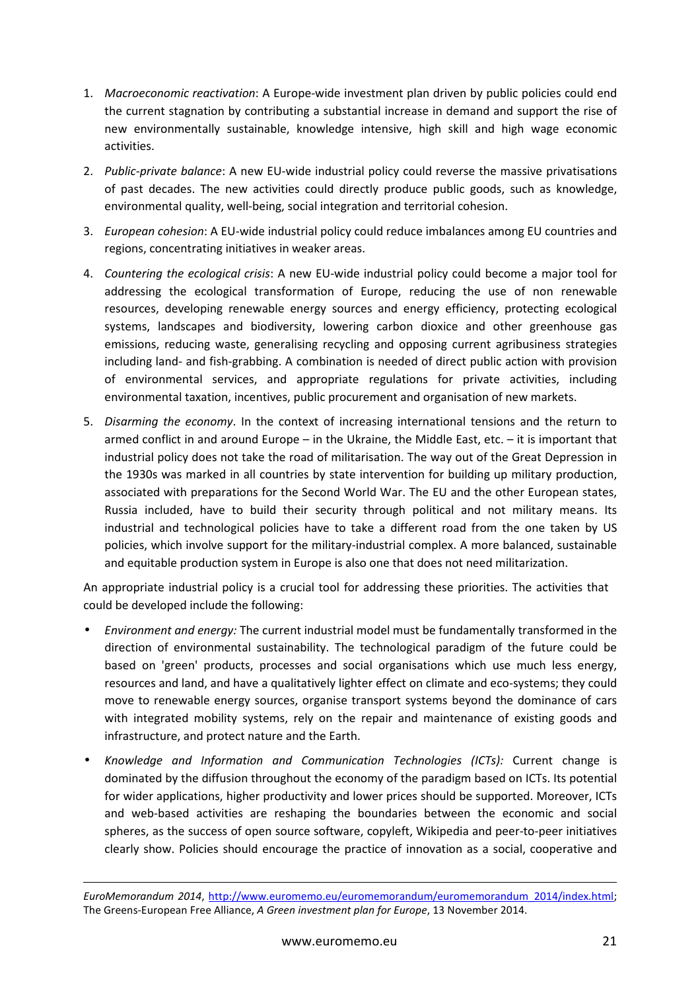- 1. *Macroeconomic reactivation*: A Europe-wide investment plan driven by public policies could end the current stagnation by contributing a substantial increase in demand and support the rise of new environmentally sustainable, knowledge intensive, high skill and high wage economic activities.
- 2. *Public-private balance*: A new EU-wide industrial policy could reverse the massive privatisations of past decades. The new activities could directly produce public goods, such as knowledge, environmental quality, well-being, social integration and territorial cohesion.
- 3. *European cohesion*: A EU-wide industrial policy could reduce imbalances among EU countries and regions, concentrating initiatives in weaker areas.
- 4. *Countering the ecological crisis*: A new EU-wide industrial policy could become a major tool for addressing the ecological transformation of Europe, reducing the use of non renewable resources, developing renewable energy sources and energy efficiency, protecting ecological systems, landscapes and biodiversity, lowering carbon dioxice and other greenhouse gas emissions, reducing waste, generalising recycling and opposing current agribusiness strategies including land- and fish-grabbing. A combination is needed of direct public action with provision of environmental services, and appropriate regulations for private activities, including environmental taxation, incentives, public procurement and organisation of new markets.
- 5. *Disarming the economy*. In the context of increasing international tensions and the return to armed conflict in and around Europe – in the Ukraine, the Middle East, etc. – it is important that industrial policy does not take the road of militarisation. The way out of the Great Depression in the 1930s was marked in all countries by state intervention for building up military production, associated with preparations for the Second World War. The EU and the other European states, Russia included, have to build their security through political and not military means. Its industrial and technological policies have to take a different road from the one taken by US policies, which involve support for the military-industrial complex. A more balanced, sustainable and equitable production system in Europe is also one that does not need militarization.

An appropriate industrial policy is a crucial tool for addressing these priorities. The activities that could be developed include the following:

- *Environment and energy:* The current industrial model must be fundamentally transformed in the direction of environmental sustainability. The technological paradigm of the future could be based on 'green' products, processes and social organisations which use much less energy, resources and land, and have a qualitatively lighter effect on climate and eco-systems; they could move to renewable energy sources, organise transport systems beyond the dominance of cars with integrated mobility systems, rely on the repair and maintenance of existing goods and infrastructure, and protect nature and the Earth.
- *Knowledge and Information and Communication Technologies (ICTs):* Current change is dominated by the diffusion throughout the economy of the paradigm based on ICTs. Its potential for wider applications, higher productivity and lower prices should be supported. Moreover, ICTs and web-based activities are reshaping the boundaries between the economic and social spheres, as the success of open source software, copyleft, Wikipedia and peer-to-peer initiatives clearly show. Policies should encourage the practice of innovation as a social, cooperative and

*EuroMemorandum 2014*, http://www.euromemo.eu/euromemorandum/euromemorandum\_2014/index.html; The Greens-European Free Alliance, *A Green investment plan for Europe*, 13 November 2014.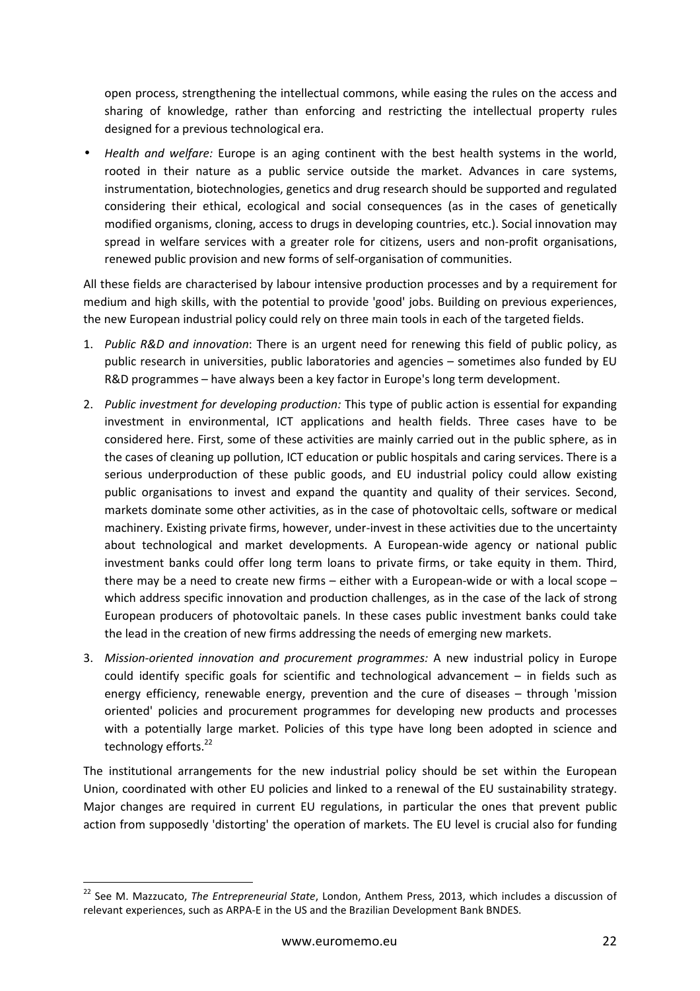open process, strengthening the intellectual commons, while easing the rules on the access and sharing of knowledge, rather than enforcing and restricting the intellectual property rules designed for a previous technological era.

• *Health and welfare:* Europe is an aging continent with the best health systems in the world, rooted in their nature as a public service outside the market. Advances in care systems, instrumentation, biotechnologies, genetics and drug research should be supported and regulated considering their ethical, ecological and social consequences (as in the cases of genetically modified organisms, cloning, access to drugs in developing countries, etc.). Social innovation may spread in welfare services with a greater role for citizens, users and non-profit organisations, renewed public provision and new forms of self-organisation of communities.

All these fields are characterised by labour intensive production processes and by a requirement for medium and high skills, with the potential to provide 'good' jobs. Building on previous experiences, the new European industrial policy could rely on three main tools in each of the targeted fields.

- 1. *Public R&D and innovation*: There is an urgent need for renewing this field of public policy, as public research in universities, public laboratories and agencies – sometimes also funded by EU R&D programmes – have always been a key factor in Europe's long term development.
- 2. *Public investment for developing production:* This type of public action is essential for expanding investment in environmental, ICT applications and health fields. Three cases have to be considered here. First, some of these activities are mainly carried out in the public sphere, as in the cases of cleaning up pollution, ICT education or public hospitals and caring services. There is a serious underproduction of these public goods, and EU industrial policy could allow existing public organisations to invest and expand the quantity and quality of their services. Second, markets dominate some other activities, as in the case of photovoltaic cells, software or medical machinery. Existing private firms, however, under-invest in these activities due to the uncertainty about technological and market developments. A European-wide agency or national public investment banks could offer long term loans to private firms, or take equity in them. Third, there may be a need to create new firms – either with a European-wide or with a local scope – which address specific innovation and production challenges, as in the case of the lack of strong European producers of photovoltaic panels. In these cases public investment banks could take the lead in the creation of new firms addressing the needs of emerging new markets.
- 3. *Mission-oriented innovation and procurement programmes:* A new industrial policy in Europe could identify specific goals for scientific and technological advancement – in fields such as energy efficiency, renewable energy, prevention and the cure of diseases – through 'mission oriented' policies and procurement programmes for developing new products and processes with a potentially large market. Policies of this type have long been adopted in science and technology efforts.<sup>22</sup>

The institutional arrangements for the new industrial policy should be set within the European Union, coordinated with other EU policies and linked to a renewal of the EU sustainability strategy. Major changes are required in current EU regulations, in particular the ones that prevent public action from supposedly 'distorting' the operation of markets. The EU level is crucial also for funding

<sup>22</sup> See M. Mazzucato, *The Entrepreneurial State*, London, Anthem Press, 2013, which includes a discussion of relevant experiences, such as ARPA-E in the US and the Brazilian Development Bank BNDES.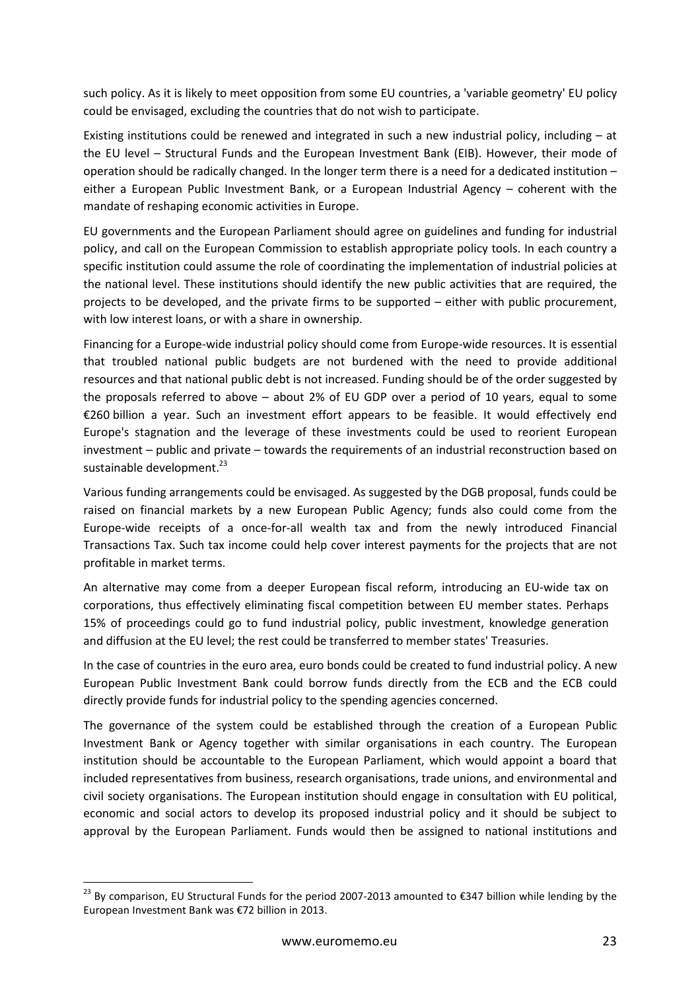such policy. As it is likely to meet opposition from some EU countries, a 'variable geometry' EU policy could be envisaged, excluding the countries that do not wish to participate.

Existing institutions could be renewed and integrated in such a new industrial policy, including – at the EU level – Structural Funds and the European Investment Bank (EIB). However, their mode of operation should be radically changed. In the longer term there is a need for a dedicated institution – either a European Public Investment Bank, or a European Industrial Agency – coherent with the mandate of reshaping economic activities in Europe.

EU governments and the European Parliament should agree on guidelines and funding for industrial policy, and call on the European Commission to establish appropriate policy tools. In each country a specific institution could assume the role of coordinating the implementation of industrial policies at the national level. These institutions should identify the new public activities that are required, the projects to be developed, and the private firms to be supported – either with public procurement, with low interest loans, or with a share in ownership.

Financing for a Europe-wide industrial policy should come from Europe-wide resources. It is essential that troubled national public budgets are not burdened with the need to provide additional resources and that national public debt is not increased. Funding should be of the order suggested by the proposals referred to above – about 2% of EU GDP over a period of 10 years, equal to some €260 billion a year. Such an investment effort appears to be feasible. It would effectively end Europe's stagnation and the leverage of these investments could be used to reorient European investment – public and private – towards the requirements of an industrial reconstruction based on sustainable development.<sup>23</sup>

Various funding arrangements could be envisaged. As suggested by the DGB proposal, funds could be raised on financial markets by a new European Public Agency; funds also could come from the Europe-wide receipts of a once-for-all wealth tax and from the newly introduced Financial Transactions Tax. Such tax income could help cover interest payments for the projects that are not profitable in market terms.

An alternative may come from a deeper European fiscal reform, introducing an EU-wide tax on corporations, thus effectively eliminating fiscal competition between EU member states. Perhaps 15% of proceedings could go to fund industrial policy, public investment, knowledge generation and diffusion at the EU level; the rest could be transferred to member states' Treasuries.

In the case of countries in the euro area, euro bonds could be created to fund industrial policy. A new European Public Investment Bank could borrow funds directly from the ECB and the ECB could directly provide funds for industrial policy to the spending agencies concerned.

The governance of the system could be established through the creation of a European Public Investment Bank or Agency together with similar organisations in each country. The European institution should be accountable to the European Parliament, which would appoint a board that included representatives from business, research organisations, trade unions, and environmental and civil society organisations. The European institution should engage in consultation with EU political, economic and social actors to develop its proposed industrial policy and it should be subject to approval by the European Parliament. Funds would then be assigned to national institutions and

<sup>&</sup>lt;sup>23</sup> Bv comparison, EU Structural Funds for the period 2007-2013 amounted to €347 billion while lending by the European Investment Bank was €72 billion in 2013.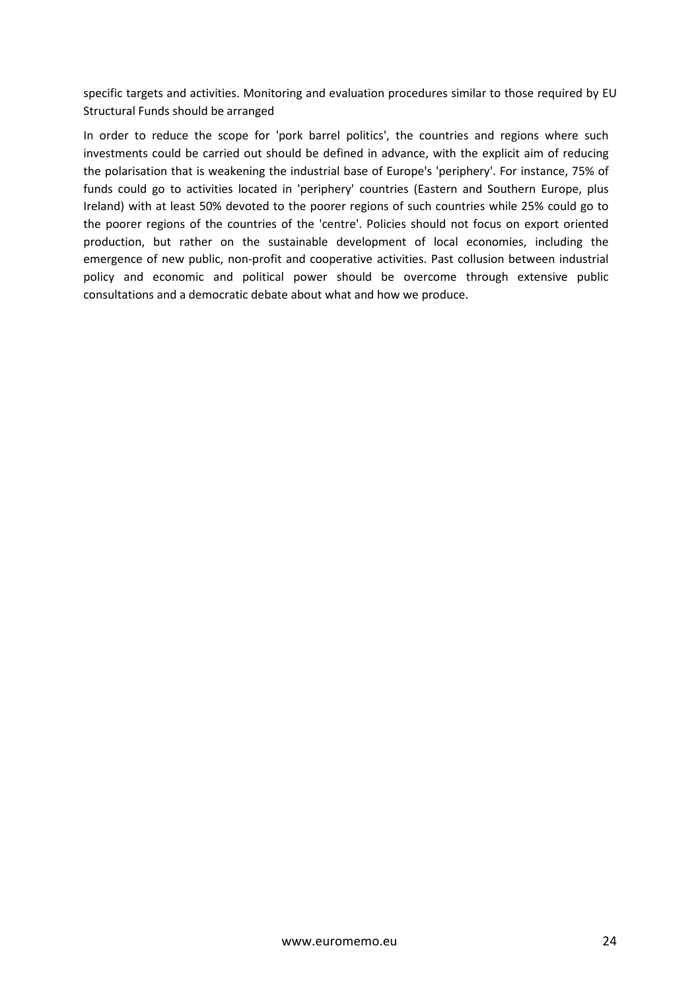specific targets and activities. Monitoring and evaluation procedures similar to those required by EU Structural Funds should be arranged

In order to reduce the scope for 'pork barrel politics', the countries and regions where such investments could be carried out should be defined in advance, with the explicit aim of reducing the polarisation that is weakening the industrial base of Europe's 'periphery'. For instance, 75% of funds could go to activities located in 'periphery' countries (Eastern and Southern Europe, plus Ireland) with at least 50% devoted to the poorer regions of such countries while 25% could go to the poorer regions of the countries of the 'centre'. Policies should not focus on export oriented production, but rather on the sustainable development of local economies, including the emergence of new public, non-profit and cooperative activities. Past collusion between industrial policy and economic and political power should be overcome through extensive public consultations and a democratic debate about what and how we produce.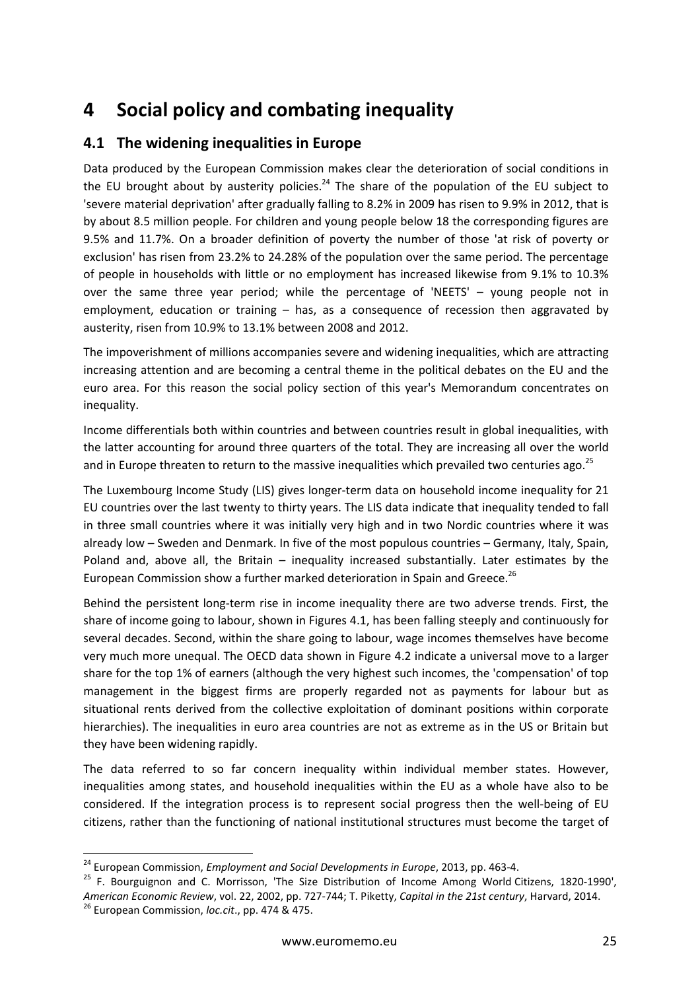## **4 Social policy and combating inequality**

### **4.1 The widening inequalities in Europe**

Data produced by the European Commission makes clear the deterioration of social conditions in the EU brought about by austerity policies.<sup>24</sup> The share of the population of the EU subject to 'severe material deprivation' after gradually falling to 8.2% in 2009 has risen to 9.9% in 2012, that is by about 8.5 million people. For children and young people below 18 the corresponding figures are 9.5% and 11.7%. On a broader definition of poverty the number of those 'at risk of poverty or exclusion' has risen from 23.2% to 24.28% of the population over the same period. The percentage of people in households with little or no employment has increased likewise from 9.1% to 10.3% over the same three year period; while the percentage of 'NEETS' – young people not in employment, education or training – has, as a consequence of recession then aggravated by austerity, risen from 10.9% to 13.1% between 2008 and 2012.

The impoverishment of millions accompanies severe and widening inequalities, which are attracting increasing attention and are becoming a central theme in the political debates on the EU and the euro area. For this reason the social policy section of this year's Memorandum concentrates on inequality.

Income differentials both within countries and between countries result in global inequalities, with the latter accounting for around three quarters of the total. They are increasing all over the world and in Europe threaten to return to the massive inequalities which prevailed two centuries ago.<sup>25</sup>

The Luxembourg Income Study (LIS) gives longer-term data on household income inequality for 21 EU countries over the last twenty to thirty years. The LIS data indicate that inequality tended to fall in three small countries where it was initially very high and in two Nordic countries where it was already low – Sweden and Denmark. In five of the most populous countries – Germany, Italy, Spain, Poland and, above all, the Britain – inequality increased substantially. Later estimates by the European Commission show a further marked deterioration in Spain and Greece.<sup>26</sup>

Behind the persistent long-term rise in income inequality there are two adverse trends. First, the share of income going to labour, shown in Figures 4.1, has been falling steeply and continuously for several decades. Second, within the share going to labour, wage incomes themselves have become very much more unequal. The OECD data shown in Figure 4.2 indicate a universal move to a larger share for the top 1% of earners (although the very highest such incomes, the 'compensation' of top management in the biggest firms are properly regarded not as payments for labour but as situational rents derived from the collective exploitation of dominant positions within corporate hierarchies). The inequalities in euro area countries are not as extreme as in the US or Britain but they have been widening rapidly.

The data referred to so far concern inequality within individual member states. However, inequalities among states, and household inequalities within the EU as a whole have also to be considered. If the integration process is to represent social progress then the well-being of EU citizens, rather than the functioning of national institutional structures must become the target of

<sup>24</sup> European Commission, *Employment and Social Developments in Europe*, 2013, pp. 463-4.

<sup>&</sup>lt;sup>25</sup> F. Bourguignon and C. Morrisson, 'The Size Distribution of Income Among World Citizens, 1820-1990', *American Economic Review*, vol. 22, 2002, pp. 727-744; T. Piketty, *Capital in the 21st century*, Harvard, 2014. <sup>26</sup> European Commission, *loc.cit*., pp. 474 & 475.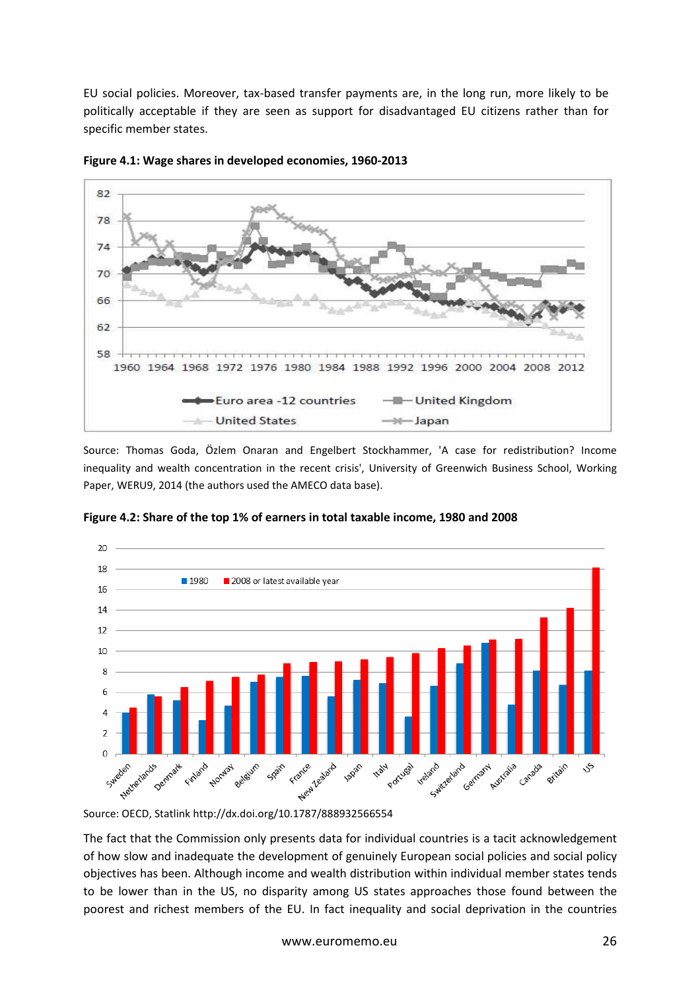EU social policies. Moreover, tax-based transfer payments are, in the long run, more likely to be politically acceptable if they are seen as support for disadvantaged EU citizens rather than for specific member states.



**Figure 4.1: Wage shares in developed economies, 1960-2013** 

Source: Thomas Goda, Özlem Onaran and Engelbert Stockhammer, 'A case for redistribution? Income inequality and wealth concentration in the recent crisis', University of Greenwich Business School, Working Paper, WERU9, 2014 (the authors used the AMECO data base).



**Figure 4.2: Share of the top 1% of earners in total taxable income, 1980 and 2008**

Source: OECD, Statlink http://dx.doi.org/10.1787/888932566554

The fact that the Commission only presents data for individual countries is a tacit acknowledgement of how slow and inadequate the development of genuinely European social policies and social policy objectives has been. Although income and wealth distribution within individual member states tends to be lower than in the US, no disparity among US states approaches those found between the poorest and richest members of the EU. In fact inequality and social deprivation in the countries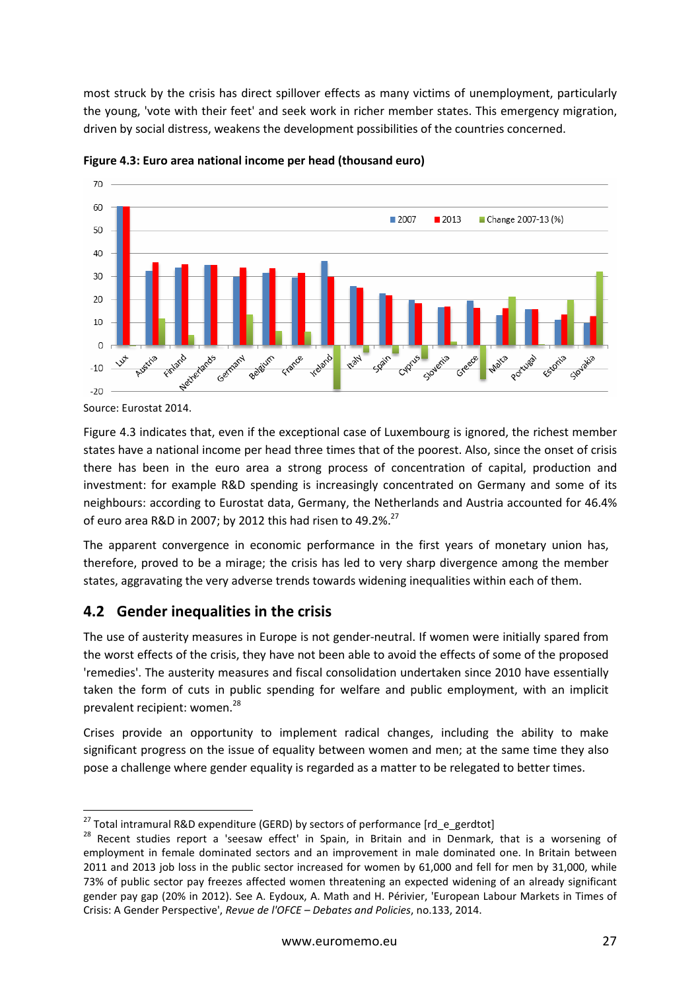most struck by the crisis has direct spillover effects as many victims of unemployment, particularly the young, 'vote with their feet' and seek work in richer member states. This emergency migration, driven by social distress, weakens the development possibilities of the countries concerned.



**Figure 4.3: Euro area national income per head (thousand euro)** 

Figure 4.3 indicates that, even if the exceptional case of Luxembourg is ignored, the richest member states have a national income per head three times that of the poorest. Also, since the onset of crisis there has been in the euro area a strong process of concentration of capital, production and investment: for example R&D spending is increasingly concentrated on Germany and some of its neighbours: according to Eurostat data, Germany, the Netherlands and Austria accounted for 46.4% of euro area R&D in 2007; by 2012 this had risen to 49.2%.<sup>27</sup>

The apparent convergence in economic performance in the first years of monetary union has, therefore, proved to be a mirage; the crisis has led to very sharp divergence among the member states, aggravating the very adverse trends towards widening inequalities within each of them.

## **4.2 Gender inequalities in the crisis**

The use of austerity measures in Europe is not gender-neutral. If women were initially spared from the worst effects of the crisis, they have not been able to avoid the effects of some of the proposed 'remedies'. The austerity measures and fiscal consolidation undertaken since 2010 have essentially taken the form of cuts in public spending for welfare and public employment, with an implicit prevalent recipient: women.<sup>28</sup>

Crises provide an opportunity to implement radical changes, including the ability to make significant progress on the issue of equality between women and men; at the same time they also pose a challenge where gender equality is regarded as a matter to be relegated to better times.

Source: Eurostat 2014.

l <sup>27</sup> Total intramural R&D expenditure (GERD) by sectors of performance [rd\_e\_gerdtot]

<sup>&</sup>lt;sup>28</sup> Recent studies report a 'seesaw effect' in Spain, in Britain and in Denmark, that is a worsening of employment in female dominated sectors and an improvement in male dominated one. In Britain between 2011 and 2013 job loss in the public sector increased for women by 61,000 and fell for men by 31,000, while 73% of public sector pay freezes affected women threatening an expected widening of an already significant gender pay gap (20% in 2012). See A. Eydoux, A. Math and H. Périvier, 'European Labour Markets in Times of Crisis: A Gender Perspective', *Revue de l'OFCE – Debates and Policies*, no.133, 2014.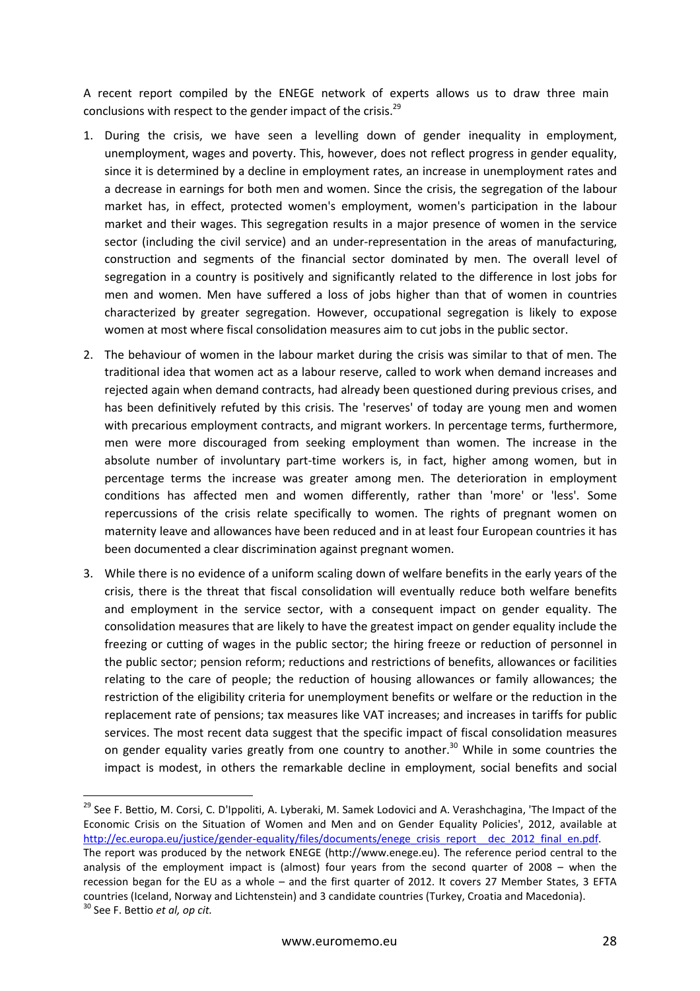A recent report compiled by the ENEGE network of experts allows us to draw three main conclusions with respect to the gender impact of the crisis.<sup>29</sup>

- 1. During the crisis, we have seen a levelling down of gender inequality in employment, unemployment, wages and poverty. This, however, does not reflect progress in gender equality, since it is determined by a decline in employment rates, an increase in unemployment rates and a decrease in earnings for both men and women. Since the crisis, the segregation of the labour market has, in effect, protected women's employment, women's participation in the labour market and their wages. This segregation results in a major presence of women in the service sector (including the civil service) and an under-representation in the areas of manufacturing, construction and segments of the financial sector dominated by men. The overall level of segregation in a country is positively and significantly related to the difference in lost jobs for men and women. Men have suffered a loss of jobs higher than that of women in countries characterized by greater segregation. However, occupational segregation is likely to expose women at most where fiscal consolidation measures aim to cut jobs in the public sector.
- 2. The behaviour of women in the labour market during the crisis was similar to that of men. The traditional idea that women act as a labour reserve, called to work when demand increases and rejected again when demand contracts, had already been questioned during previous crises, and has been definitively refuted by this crisis. The 'reserves' of today are young men and women with precarious employment contracts, and migrant workers. In percentage terms, furthermore, men were more discouraged from seeking employment than women. The increase in the absolute number of involuntary part-time workers is, in fact, higher among women, but in percentage terms the increase was greater among men. The deterioration in employment conditions has affected men and women differently, rather than 'more' or 'less'. Some repercussions of the crisis relate specifically to women. The rights of pregnant women on maternity leave and allowances have been reduced and in at least four European countries it has been documented a clear discrimination against pregnant women.
- 3. While there is no evidence of a uniform scaling down of welfare benefits in the early years of the crisis, there is the threat that fiscal consolidation will eventually reduce both welfare benefits and employment in the service sector, with a consequent impact on gender equality. The consolidation measures that are likely to have the greatest impact on gender equality include the freezing or cutting of wages in the public sector; the hiring freeze or reduction of personnel in the public sector; pension reform; reductions and restrictions of benefits, allowances or facilities relating to the care of people; the reduction of housing allowances or family allowances; the restriction of the eligibility criteria for unemployment benefits or welfare or the reduction in the replacement rate of pensions; tax measures like VAT increases; and increases in tariffs for public services. The most recent data suggest that the specific impact of fiscal consolidation measures on gender equality varies greatly from one country to another.<sup>30</sup> While in some countries the impact is modest, in others the remarkable decline in employment, social benefits and social

<sup>&</sup>lt;sup>29</sup> See F. Bettio, M. Corsi, C. D'Ippoliti, A. Lyberaki, M. Samek Lodovici and A. Verashchagina, 'The Impact of the Economic Crisis on the Situation of Women and Men and on Gender Equality Policies', 2012, available at http://ec.europa.eu/justice/gender-equality/files/documents/enege\_crisis\_report\_\_dec\_2012\_final\_en.pdf. The report was produced by the network ENEGE (http://www.enege.eu). The reference period central to the analysis of the employment impact is (almost) four years from the second quarter of 2008 – when the recession began for the EU as a whole – and the first quarter of 2012. It covers 27 Member States, 3 EFTA countries (Iceland, Norway and Lichtenstein) and 3 candidate countries (Turkey, Croatia and Macedonia).

<sup>30</sup> See F. Bettio *et al, op cit.*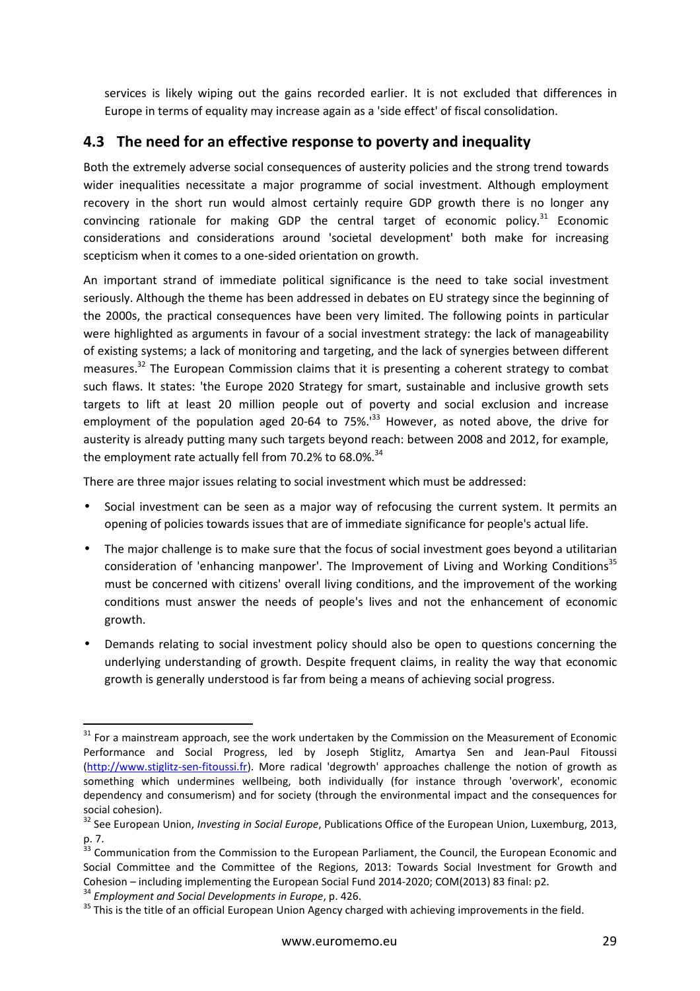services is likely wiping out the gains recorded earlier. It is not excluded that differences in Europe in terms of equality may increase again as a 'side effect' of fiscal consolidation.

### **4.3 The need for an effective response to poverty and inequality**

Both the extremely adverse social consequences of austerity policies and the strong trend towards wider inequalities necessitate a major programme of social investment. Although employment recovery in the short run would almost certainly require GDP growth there is no longer any convincing rationale for making GDP the central target of economic policy. $31$  Economic considerations and considerations around 'societal development' both make for increasing scepticism when it comes to a one-sided orientation on growth.

An important strand of immediate political significance is the need to take social investment seriously. Although the theme has been addressed in debates on EU strategy since the beginning of the 2000s, the practical consequences have been very limited. The following points in particular were highlighted as arguments in favour of a social investment strategy: the lack of manageability of existing systems; a lack of monitoring and targeting, and the lack of synergies between different measures.<sup>32</sup> The European Commission claims that it is presenting a coherent strategy to combat such flaws. It states: 'the Europe 2020 Strategy for smart, sustainable and inclusive growth sets targets to lift at least 20 million people out of poverty and social exclusion and increase employment of the population aged 20-64 to 75%.<sup>133</sup> However, as noted above, the drive for austerity is already putting many such targets beyond reach: between 2008 and 2012, for example, the employment rate actually fell from 70.2% to 68.0%.<sup>34</sup>

There are three major issues relating to social investment which must be addressed:

- Social investment can be seen as a major way of refocusing the current system. It permits an opening of policies towards issues that are of immediate significance for people's actual life.
- The major challenge is to make sure that the focus of social investment goes beyond a utilitarian consideration of 'enhancing manpower'. The Improvement of Living and Working Conditions<sup>35</sup> must be concerned with citizens' overall living conditions, and the improvement of the working conditions must answer the needs of people's lives and not the enhancement of economic growth.
- Demands relating to social investment policy should also be open to questions concerning the underlying understanding of growth. Despite frequent claims, in reality the way that economic growth is generally understood is far from being a means of achieving social progress.

 $31$  For a mainstream approach, see the work undertaken by the Commission on the Measurement of Economic Performance and Social Progress, led by Joseph Stiglitz, Amartya Sen and Jean-Paul Fitoussi (http://www.stiglitz-sen-fitoussi.fr). More radical 'degrowth' approaches challenge the notion of growth as something which undermines wellbeing, both individually (for instance through 'overwork', economic dependency and consumerism) and for society (through the environmental impact and the consequences for social cohesion).

<sup>32</sup> See European Union, *Investing in Social Europe*, Publications Office of the European Union, Luxemburg, 2013, p. 7.

<sup>&</sup>lt;sup>33</sup> Communication from the Commission to the European Parliament, the Council, the European Economic and Social Committee and the Committee of the Regions, 2013: Towards Social Investment for Growth and Cohesion – including implementing the European Social Fund 2014-2020; COM(2013) 83 final: p2.

<sup>34</sup> *Employment and Social Developments in Europe*, p. 426.

<sup>&</sup>lt;sup>35</sup> This is the title of an official European Union Agency charged with achieving improvements in the field.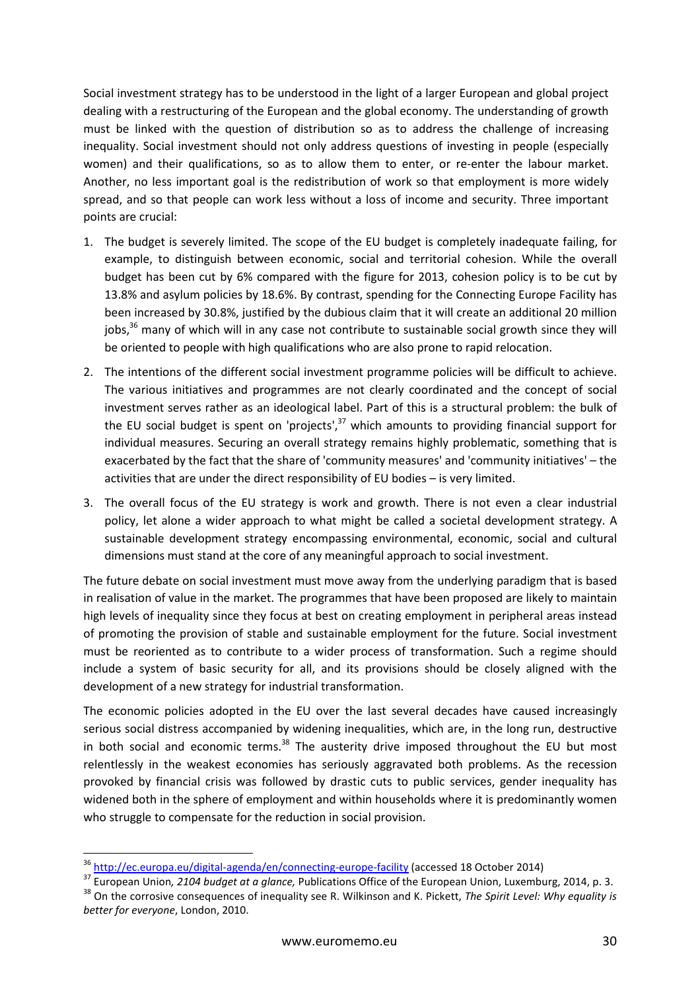Social investment strategy has to be understood in the light of a larger European and global project dealing with a restructuring of the European and the global economy. The understanding of growth must be linked with the question of distribution so as to address the challenge of increasing inequality. Social investment should not only address questions of investing in people (especially women) and their qualifications, so as to allow them to enter, or re-enter the labour market. Another, no less important goal is the redistribution of work so that employment is more widely spread, and so that people can work less without a loss of income and security. Three important points are crucial:

- 1. The budget is severely limited. The scope of the EU budget is completely inadequate failing, for example, to distinguish between economic, social and territorial cohesion. While the overall budget has been cut by 6% compared with the figure for 2013, cohesion policy is to be cut by 13.8% and asylum policies by 18.6%. By contrast, spending for the Connecting Europe Facility has been increased by 30.8%, justified by the dubious claim that it will create an additional 20 million jobs,<sup>36</sup> many of which will in any case not contribute to sustainable social growth since they will be oriented to people with high qualifications who are also prone to rapid relocation.
- 2. The intentions of the different social investment programme policies will be difficult to achieve. The various initiatives and programmes are not clearly coordinated and the concept of social investment serves rather as an ideological label. Part of this is a structural problem: the bulk of the EU social budget is spent on 'projects', $37$  which amounts to providing financial support for individual measures. Securing an overall strategy remains highly problematic, something that is exacerbated by the fact that the share of 'community measures' and 'community initiatives' – the activities that are under the direct responsibility of EU bodies – is very limited.
- 3. The overall focus of the EU strategy is work and growth. There is not even a clear industrial policy, let alone a wider approach to what might be called a societal development strategy. A sustainable development strategy encompassing environmental, economic, social and cultural dimensions must stand at the core of any meaningful approach to social investment.

The future debate on social investment must move away from the underlying paradigm that is based in realisation of value in the market. The programmes that have been proposed are likely to maintain high levels of inequality since they focus at best on creating employment in peripheral areas instead of promoting the provision of stable and sustainable employment for the future. Social investment must be reoriented as to contribute to a wider process of transformation. Such a regime should include a system of basic security for all, and its provisions should be closely aligned with the development of a new strategy for industrial transformation.

The economic policies adopted in the EU over the last several decades have caused increasingly serious social distress accompanied by widening inequalities, which are, in the long run, destructive in both social and economic terms. $38$  The austerity drive imposed throughout the EU but most relentlessly in the weakest economies has seriously aggravated both problems. As the recession provoked by financial crisis was followed by drastic cuts to public services, gender inequality has widened both in the sphere of employment and within households where it is predominantly women who struggle to compensate for the reduction in social provision.

<sup>36</sup> http://ec.europa.eu/digital-agenda/en/connecting-europe-facility (accessed 18 October 2014)

<sup>37</sup> European Union*, 2104 budget at a glance,* Publications Office of the European Union, Luxemburg, 2014, p. 3. <sup>38</sup> On the corrosive consequences of inequality see R. Wilkinson and K. Pickett, *The Spirit Level: Why equality is better for everyone*, London, 2010.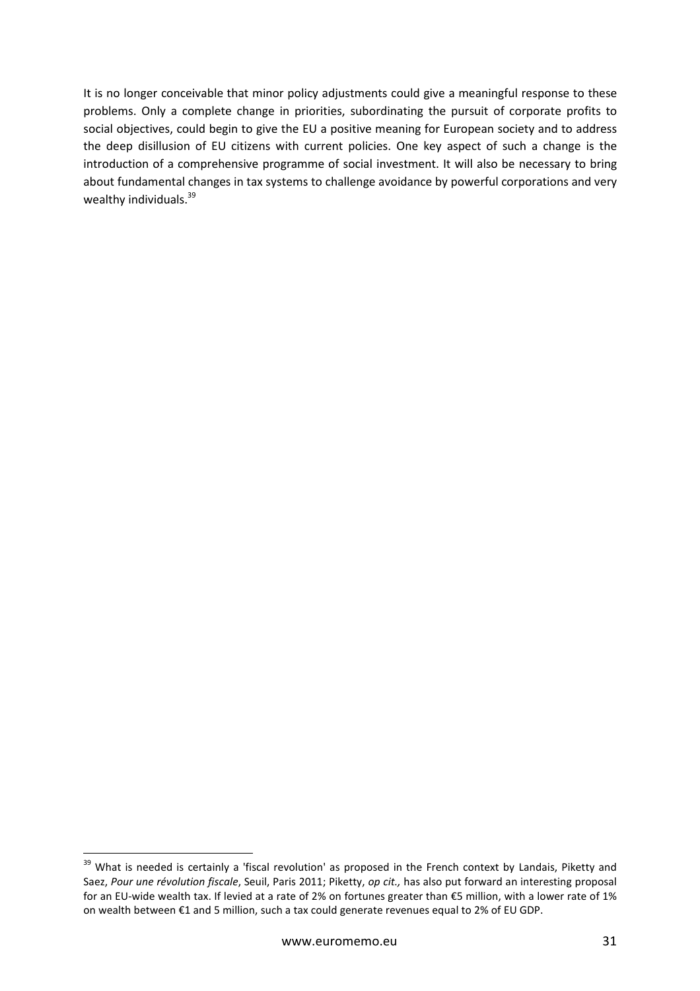It is no longer conceivable that minor policy adjustments could give a meaningful response to these problems. Only a complete change in priorities, subordinating the pursuit of corporate profits to social objectives, could begin to give the EU a positive meaning for European society and to address the deep disillusion of EU citizens with current policies. One key aspect of such a change is the introduction of a comprehensive programme of social investment. It will also be necessary to bring about fundamental changes in tax systems to challenge avoidance by powerful corporations and very wealthy individuals.<sup>39</sup>

<sup>&</sup>lt;sup>39</sup> What is needed is certainly a 'fiscal revolution' as proposed in the French context by Landais, Piketty and Saez, *Pour une révolution fiscale*, Seuil, Paris 2011; Piketty, *op cit.,* has also put forward an interesting proposal for an EU-wide wealth tax. If levied at a rate of 2% on fortunes greater than €5 million, with a lower rate of 1% on wealth between €1 and 5 million, such a tax could generate revenues equal to 2% of EU GDP.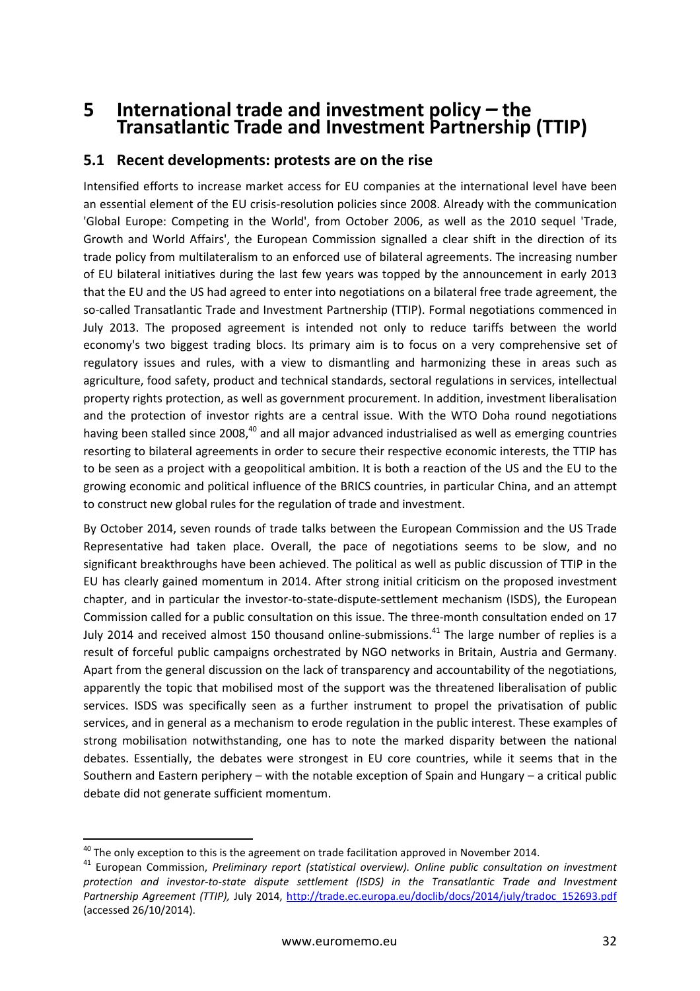## **5 International trade and investment policy** *–* **the Transatlantic Trade and Investment Partnership (TTIP)**

### **5.1 Recent developments: protests are on the rise**

Intensified efforts to increase market access for EU companies at the international level have been an essential element of the EU crisis-resolution policies since 2008. Already with the communication 'Global Europe: Competing in the World', from October 2006, as well as the 2010 sequel 'Trade, Growth and World Affairs', the European Commission signalled a clear shift in the direction of its trade policy from multilateralism to an enforced use of bilateral agreements. The increasing number of EU bilateral initiatives during the last few years was topped by the announcement in early 2013 that the EU and the US had agreed to enter into negotiations on a bilateral free trade agreement, the so-called Transatlantic Trade and Investment Partnership (TTIP). Formal negotiations commenced in July 2013. The proposed agreement is intended not only to reduce tariffs between the world economy's two biggest trading blocs. Its primary aim is to focus on a very comprehensive set of regulatory issues and rules, with a view to dismantling and harmonizing these in areas such as agriculture, food safety, product and technical standards, sectoral regulations in services, intellectual property rights protection, as well as government procurement. In addition, investment liberalisation and the protection of investor rights are a central issue. With the WTO Doha round negotiations having been stalled since 2008,<sup>40</sup> and all major advanced industrialised as well as emerging countries resorting to bilateral agreements in order to secure their respective economic interests, the TTIP has to be seen as a project with a geopolitical ambition. It is both a reaction of the US and the EU to the growing economic and political influence of the BRICS countries, in particular China, and an attempt to construct new global rules for the regulation of trade and investment.

By October 2014, seven rounds of trade talks between the European Commission and the US Trade Representative had taken place. Overall, the pace of negotiations seems to be slow, and no significant breakthroughs have been achieved. The political as well as public discussion of TTIP in the EU has clearly gained momentum in 2014. After strong initial criticism on the proposed investment chapter, and in particular the investor-to-state-dispute-settlement mechanism (ISDS), the European Commission called for a public consultation on this issue. The three-month consultation ended on 17 July 2014 and received almost 150 thousand online-submissions.<sup>41</sup> The large number of replies is a result of forceful public campaigns orchestrated by NGO networks in Britain, Austria and Germany. Apart from the general discussion on the lack of transparency and accountability of the negotiations, apparently the topic that mobilised most of the support was the threatened liberalisation of public services. ISDS was specifically seen as a further instrument to propel the privatisation of public services, and in general as a mechanism to erode regulation in the public interest. These examples of strong mobilisation notwithstanding, one has to note the marked disparity between the national debates. Essentially, the debates were strongest in EU core countries, while it seems that in the Southern and Eastern periphery – with the notable exception of Spain and Hungary – a critical public debate did not generate sufficient momentum.

 $40$  The only exception to this is the agreement on trade facilitation approved in November 2014.

<sup>41</sup> European Commission, *Preliminary report (statistical overview). Online public consultation on investment protection and investor-to-state dispute settlement (ISDS) in the Transatlantic Trade and Investment*  Partnership Agreement (TTIP), July 2014, http://trade.ec.europa.eu/doclib/docs/2014/july/tradoc\_152693.pdf (accessed 26/10/2014).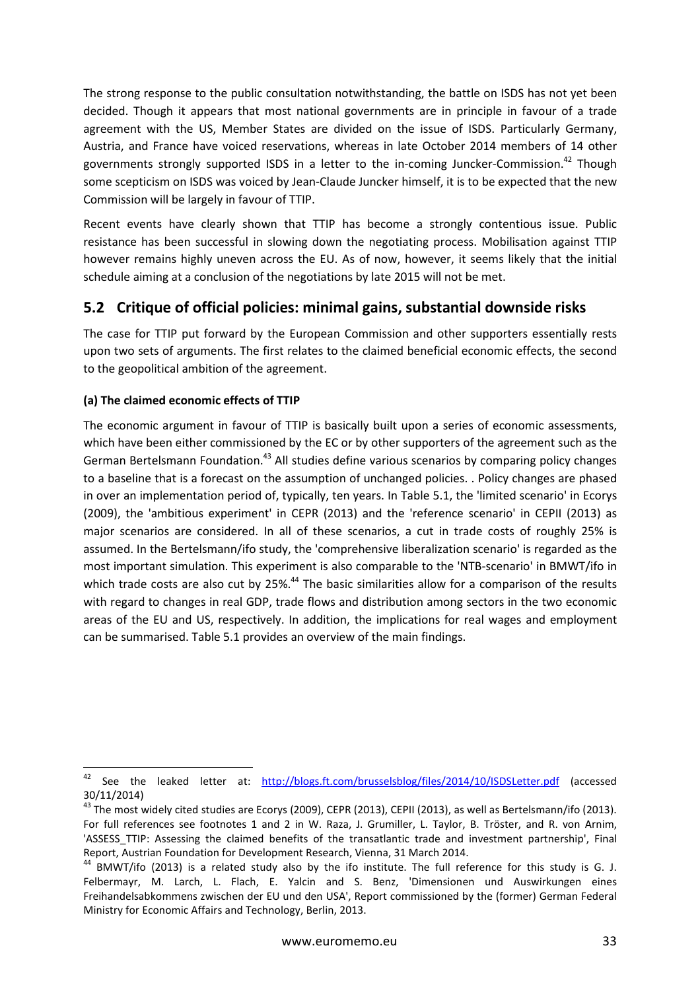The strong response to the public consultation notwithstanding, the battle on ISDS has not yet been decided. Though it appears that most national governments are in principle in favour of a trade agreement with the US, Member States are divided on the issue of ISDS. Particularly Germany, Austria, and France have voiced reservations, whereas in late October 2014 members of 14 other governments strongly supported ISDS in a letter to the in-coming Juncker-Commission.<sup>42</sup> Though some scepticism on ISDS was voiced by Jean-Claude Juncker himself, it is to be expected that the new Commission will be largely in favour of TTIP.

Recent events have clearly shown that TTIP has become a strongly contentious issue. Public resistance has been successful in slowing down the negotiating process. Mobilisation against TTIP however remains highly uneven across the EU. As of now, however, it seems likely that the initial schedule aiming at a conclusion of the negotiations by late 2015 will not be met.

### **5.2 Critique of official policies: minimal gains, substantial downside risks**

The case for TTIP put forward by the European Commission and other supporters essentially rests upon two sets of arguments. The first relates to the claimed beneficial economic effects, the second to the geopolitical ambition of the agreement.

#### **(a) The claimed economic effects of TTIP**

The economic argument in favour of TTIP is basically built upon a series of economic assessments, which have been either commissioned by the EC or by other supporters of the agreement such as the German Bertelsmann Foundation.<sup>43</sup> All studies define various scenarios by comparing policy changes to a baseline that is a forecast on the assumption of unchanged policies. . Policy changes are phased in over an implementation period of, typically, ten years. In Table 5.1, the 'limited scenario' in Ecorys (2009), the 'ambitious experiment' in CEPR (2013) and the 'reference scenario' in CEPII (2013) as major scenarios are considered. In all of these scenarios, a cut in trade costs of roughly 25% is assumed. In the Bertelsmann/ifo study, the 'comprehensive liberalization scenario' is regarded as the most important simulation. This experiment is also comparable to the 'NTB-scenario' in BMWT/ifo in which trade costs are also cut by 25%.<sup>44</sup> The basic similarities allow for a comparison of the results with regard to changes in real GDP, trade flows and distribution among sectors in the two economic areas of the EU and US, respectively. In addition, the implications for real wages and employment can be summarised. Table 5.1 provides an overview of the main findings.

<sup>42</sup> See the leaked letter at: http://blogs.ft.com/brusselsblog/files/2014/10/ISDSLetter.pdf (accessed 30/11/2014)

 $^{43}$  The most widely cited studies are Ecorys (2009), CEPR (2013), CEPII (2013), as well as Bertelsmann/ifo (2013). For full references see footnotes 1 and 2 in W. Raza, J. Grumiller, L. Taylor, B. Tröster, and R. von Arnim, 'ASSESS\_TTIP: Assessing the claimed benefits of the transatlantic trade and investment partnership', Final Report, Austrian Foundation for Development Research, Vienna, 31 March 2014.

<sup>&</sup>lt;sup>44</sup> BMWT/ifo (2013) is a related study also by the ifo institute. The full reference for this study is G. J. Felbermayr, M. Larch, L. Flach, E. Yalcin and S. Benz, 'Dimensionen und Auswirkungen eines Freihandelsabkommens zwischen der EU und den USA', Report commissioned by the (former) German Federal Ministry for Economic Affairs and Technology, Berlin, 2013.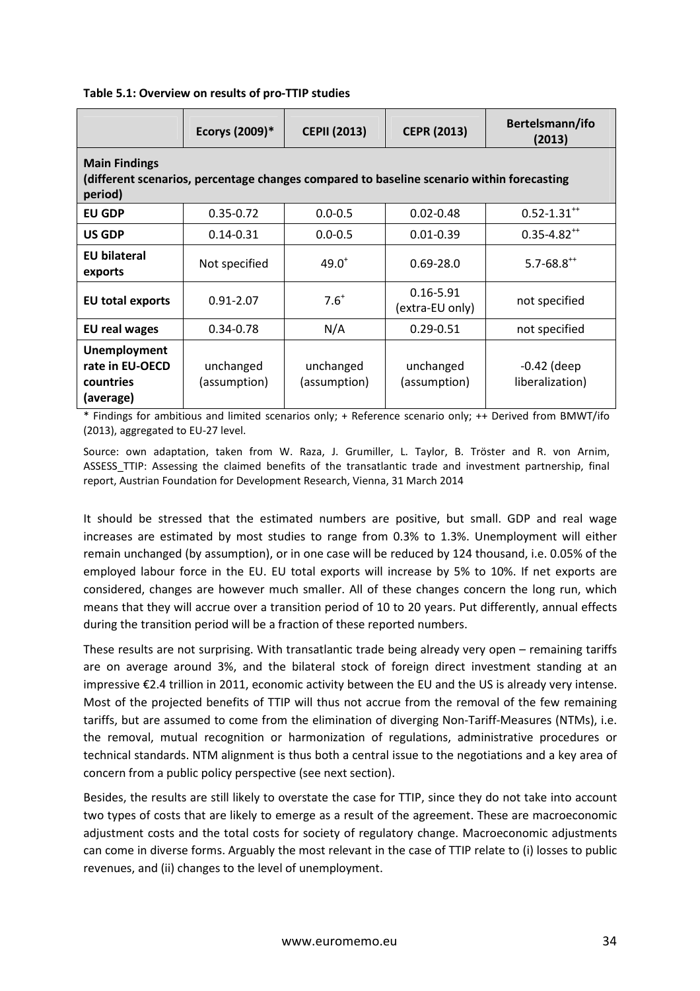|                                                                                                                              | Ecorys (2009)*            | <b>CEPII (2013)</b>       | <b>CEPR (2013)</b>               | Bertelsmann/ifo<br>(2013)        |  |  |  |
|------------------------------------------------------------------------------------------------------------------------------|---------------------------|---------------------------|----------------------------------|----------------------------------|--|--|--|
| <b>Main Findings</b><br>(different scenarios, percentage changes compared to baseline scenario within forecasting<br>period) |                           |                           |                                  |                                  |  |  |  |
| <b>EU GDP</b>                                                                                                                | $0.35 - 0.72$             | $0.0 - 0.5$               | $0.02 - 0.48$                    | $0.52 - 1.31^{+4}$               |  |  |  |
| US GDP                                                                                                                       | $0.14 - 0.31$             | $0.0 - 0.5$               | $0.01 - 0.39$                    | $0.35 - 4.82^{++}$               |  |  |  |
| <b>EU bilateral</b><br>exports                                                                                               | Not specified             | $49.0^{+}$                | $0.69 - 28.0$                    | $5.7 - 68.8^{++}$                |  |  |  |
| <b>EU total exports</b>                                                                                                      | $0.91 - 2.07$             | $7.6^{+}$                 | $0.16 - 5.91$<br>(extra-EU only) | not specified                    |  |  |  |
| <b>EU real wages</b>                                                                                                         | $0.34 - 0.78$             | N/A                       | $0.29 - 0.51$                    | not specified                    |  |  |  |
| <b>Unemployment</b><br>rate in EU-OECD<br>countries<br>(average)                                                             | unchanged<br>(assumption) | unchanged<br>(assumption) | unchanged<br>(assumption)        | $-0.42$ (deep<br>liberalization) |  |  |  |

#### **Table 5.1: Overview on results of pro-TTIP studies**

\* Findings for ambitious and limited scenarios only; + Reference scenario only; ++ Derived from BMWT/ifo (2013), aggregated to EU-27 level.

Source: own adaptation, taken from W. Raza, J. Grumiller, L. Taylor, B. Tröster and R. von Arnim, ASSESS\_TTIP: Assessing the claimed benefits of the transatlantic trade and investment partnership, final report, Austrian Foundation for Development Research, Vienna, 31 March 2014

It should be stressed that the estimated numbers are positive, but small. GDP and real wage increases are estimated by most studies to range from 0.3% to 1.3%. Unemployment will either remain unchanged (by assumption), or in one case will be reduced by 124 thousand, i.e. 0.05% of the employed labour force in the EU. EU total exports will increase by 5% to 10%. If net exports are considered, changes are however much smaller. All of these changes concern the long run, which means that they will accrue over a transition period of 10 to 20 years. Put differently, annual effects during the transition period will be a fraction of these reported numbers.

These results are not surprising. With transatlantic trade being already very open – remaining tariffs are on average around 3%, and the bilateral stock of foreign direct investment standing at an impressive €2.4 trillion in 2011, economic activity between the EU and the US is already very intense. Most of the projected benefits of TTIP will thus not accrue from the removal of the few remaining tariffs, but are assumed to come from the elimination of diverging Non-Tariff-Measures (NTMs), i.e. the removal, mutual recognition or harmonization of regulations, administrative procedures or technical standards. NTM alignment is thus both a central issue to the negotiations and a key area of concern from a public policy perspective (see next section).

Besides, the results are still likely to overstate the case for TTIP, since they do not take into account two types of costs that are likely to emerge as a result of the agreement. These are macroeconomic adjustment costs and the total costs for society of regulatory change. Macroeconomic adjustments can come in diverse forms. Arguably the most relevant in the case of TTIP relate to (i) losses to public revenues, and (ii) changes to the level of unemployment.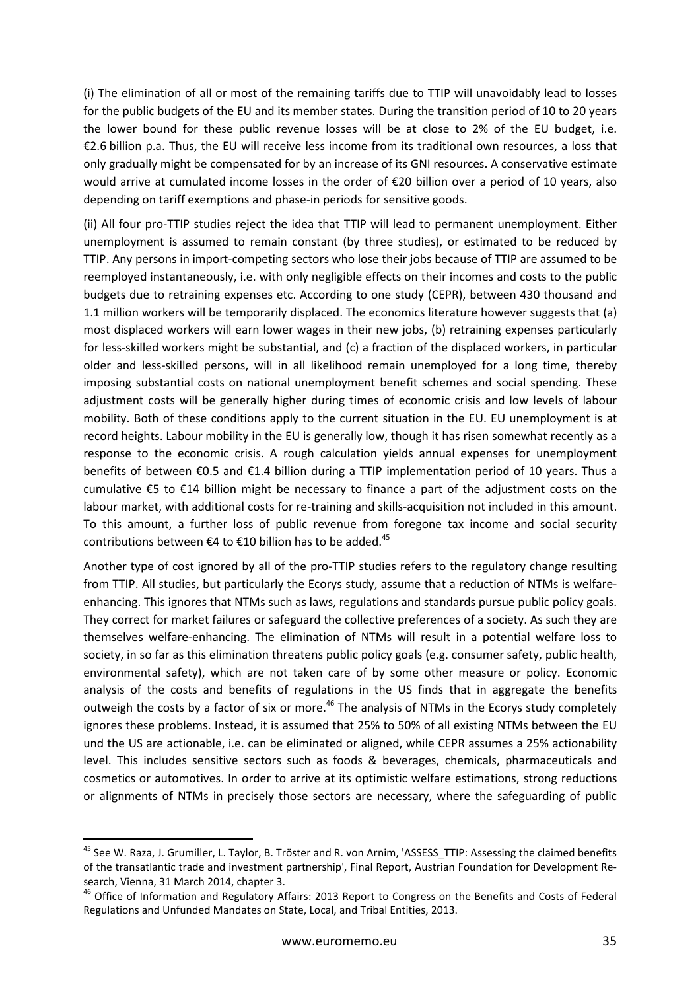(i) The elimination of all or most of the remaining tariffs due to TTIP will unavoidably lead to losses for the public budgets of the EU and its member states. During the transition period of 10 to 20 years the lower bound for these public revenue losses will be at close to 2% of the EU budget, i.e. €2.6 billion p.a. Thus, the EU will receive less income from its traditional own resources, a loss that only gradually might be compensated for by an increase of its GNI resources. A conservative estimate would arrive at cumulated income losses in the order of €20 billion over a period of 10 years, also depending on tariff exemptions and phase-in periods for sensitive goods.

(ii) All four pro-TTIP studies reject the idea that TTIP will lead to permanent unemployment. Either unemployment is assumed to remain constant (by three studies), or estimated to be reduced by TTIP. Any persons in import-competing sectors who lose their jobs because of TTIP are assumed to be reemployed instantaneously, i.e. with only negligible effects on their incomes and costs to the public budgets due to retraining expenses etc. According to one study (CEPR), between 430 thousand and 1.1 million workers will be temporarily displaced. The economics literature however suggests that (a) most displaced workers will earn lower wages in their new jobs, (b) retraining expenses particularly for less-skilled workers might be substantial, and (c) a fraction of the displaced workers, in particular older and less-skilled persons, will in all likelihood remain unemployed for a long time, thereby imposing substantial costs on national unemployment benefit schemes and social spending. These adjustment costs will be generally higher during times of economic crisis and low levels of labour mobility. Both of these conditions apply to the current situation in the EU. EU unemployment is at record heights. Labour mobility in the EU is generally low, though it has risen somewhat recently as a response to the economic crisis. A rough calculation yields annual expenses for unemployment benefits of between €0.5 and €1.4 billion during a TTIP implementation period of 10 years. Thus a cumulative €5 to €14 billion might be necessary to finance a part of the adjustment costs on the labour market, with additional costs for re-training and skills-acquisition not included in this amount. To this amount, a further loss of public revenue from foregone tax income and social security contributions between  $\epsilon$ 4 to  $\epsilon$ 10 billion has to be added.<sup>45</sup>

Another type of cost ignored by all of the pro-TTIP studies refers to the regulatory change resulting from TTIP. All studies, but particularly the Ecorys study, assume that a reduction of NTMs is welfareenhancing. This ignores that NTMs such as laws, regulations and standards pursue public policy goals. They correct for market failures or safeguard the collective preferences of a society. As such they are themselves welfare-enhancing. The elimination of NTMs will result in a potential welfare loss to society, in so far as this elimination threatens public policy goals (e.g. consumer safety, public health, environmental safety), which are not taken care of by some other measure or policy. Economic analysis of the costs and benefits of regulations in the US finds that in aggregate the benefits outweigh the costs by a factor of six or more.<sup>46</sup> The analysis of NTMs in the Ecorys study completely ignores these problems. Instead, it is assumed that 25% to 50% of all existing NTMs between the EU und the US are actionable, i.e. can be eliminated or aligned, while CEPR assumes a 25% actionability level. This includes sensitive sectors such as foods & beverages, chemicals, pharmaceuticals and cosmetics or automotives. In order to arrive at its optimistic welfare estimations, strong reductions or alignments of NTMs in precisely those sectors are necessary, where the safeguarding of public

<sup>&</sup>lt;sup>45</sup> See W. Raza, J. Grumiller, L. Taylor, B. Tröster and R. von Arnim, 'ASSESS\_TTIP: Assessing the claimed benefits of the transatlantic trade and investment partnership', Final Report, Austrian Foundation for Development Research, Vienna, 31 March 2014, chapter 3.

<sup>&</sup>lt;sup>46</sup> Office of Information and Regulatory Affairs: 2013 Report to Congress on the Benefits and Costs of Federal Regulations and Unfunded Mandates on State, Local, and Tribal Entities, 2013.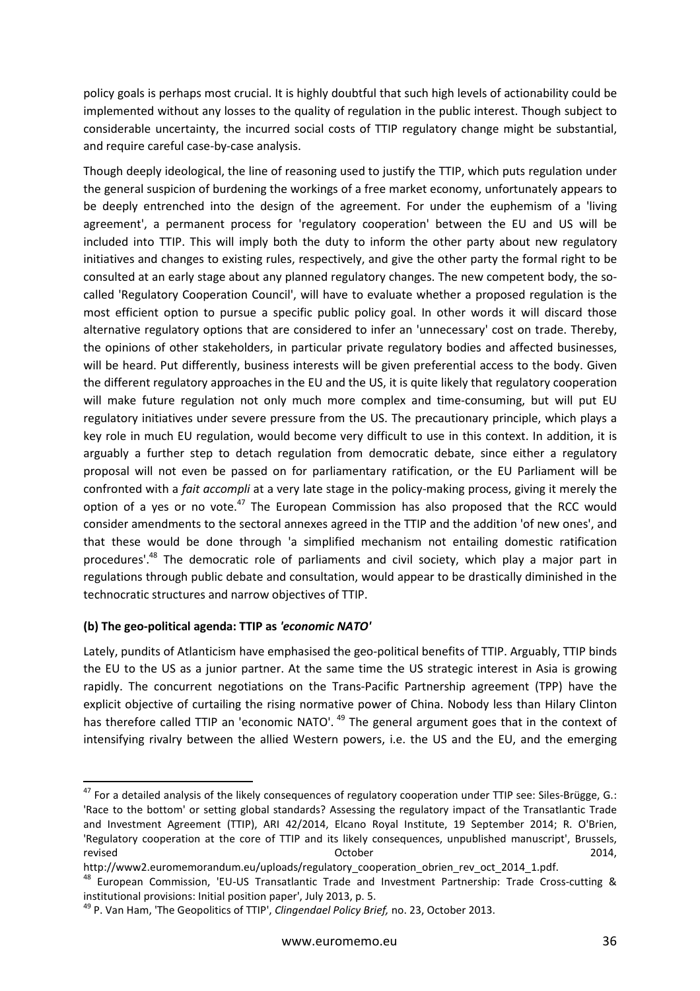policy goals is perhaps most crucial. It is highly doubtful that such high levels of actionability could be implemented without any losses to the quality of regulation in the public interest. Though subject to considerable uncertainty, the incurred social costs of TTIP regulatory change might be substantial, and require careful case-by-case analysis.

Though deeply ideological, the line of reasoning used to justify the TTIP, which puts regulation under the general suspicion of burdening the workings of a free market economy, unfortunately appears to be deeply entrenched into the design of the agreement. For under the euphemism of a 'living agreement', a permanent process for 'regulatory cooperation' between the EU and US will be included into TTIP. This will imply both the duty to inform the other party about new regulatory initiatives and changes to existing rules, respectively, and give the other party the formal right to be consulted at an early stage about any planned regulatory changes. The new competent body, the socalled 'Regulatory Cooperation Council', will have to evaluate whether a proposed regulation is the most efficient option to pursue a specific public policy goal. In other words it will discard those alternative regulatory options that are considered to infer an 'unnecessary' cost on trade. Thereby, the opinions of other stakeholders, in particular private regulatory bodies and affected businesses, will be heard. Put differently, business interests will be given preferential access to the body. Given the different regulatory approaches in the EU and the US, it is quite likely that regulatory cooperation will make future regulation not only much more complex and time-consuming, but will put EU regulatory initiatives under severe pressure from the US. The precautionary principle, which plays a key role in much EU regulation, would become very difficult to use in this context. In addition, it is arguably a further step to detach regulation from democratic debate, since either a regulatory proposal will not even be passed on for parliamentary ratification, or the EU Parliament will be confronted with a *fait accompli* at a very late stage in the policy-making process, giving it merely the option of a yes or no vote. $47$  The European Commission has also proposed that the RCC would consider amendments to the sectoral annexes agreed in the TTIP and the addition 'of new ones', and that these would be done through 'a simplified mechanism not entailing domestic ratification procedures'.<sup>48</sup> The democratic role of parliaments and civil society, which play a major part in regulations through public debate and consultation, would appear to be drastically diminished in the technocratic structures and narrow objectives of TTIP.

#### **(b) The geo-political agenda: TTIP as** *'economic NATO'*

l

Lately, pundits of Atlanticism have emphasised the geo-political benefits of TTIP. Arguably, TTIP binds the EU to the US as a junior partner. At the same time the US strategic interest in Asia is growing rapidly. The concurrent negotiations on the Trans-Pacific Partnership agreement (TPP) have the explicit objective of curtailing the rising normative power of China. Nobody less than Hilary Clinton has therefore called TTIP an 'economic NATO'.<sup>49</sup> The general argument goes that in the context of intensifying rivalry between the allied Western powers, i.e. the US and the EU, and the emerging

<sup>&</sup>lt;sup>47</sup> For a detailed analysis of the likely consequences of regulatory cooperation under TTIP see: Siles-Brügge, G.: 'Race to the bottom' or setting global standards? Assessing the regulatory impact of the Transatlantic Trade and Investment Agreement (TTIP), ARI 42/2014, Elcano Royal Institute, 19 September 2014; R. O'Brien, 'Regulatory cooperation at the core of TTIP and its likely consequences, unpublished manuscript', Brussels, revised October 2014,

http://www2.euromemorandum.eu/uploads/regulatory\_cooperation\_obrien\_rev\_oct\_2014\_1.pdf.

<sup>48</sup> European Commission, 'EU-US Transatlantic Trade and Investment Partnership: Trade Cross-cutting & institutional provisions: Initial position paper', July 2013, p. 5.

<sup>49</sup> P. Van Ham, 'The Geopolitics of TTIP', *Clingendael Policy Brief,* no. 23, October 2013.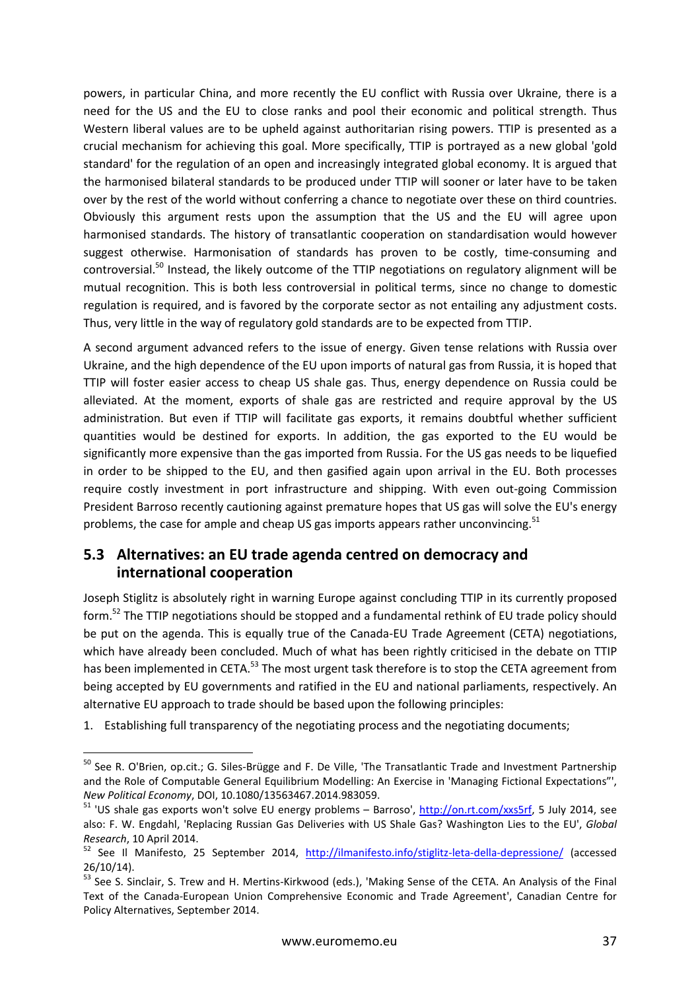powers, in particular China, and more recently the EU conflict with Russia over Ukraine, there is a need for the US and the EU to close ranks and pool their economic and political strength. Thus Western liberal values are to be upheld against authoritarian rising powers. TTIP is presented as a crucial mechanism for achieving this goal. More specifically, TTIP is portrayed as a new global 'gold standard' for the regulation of an open and increasingly integrated global economy. It is argued that the harmonised bilateral standards to be produced under TTIP will sooner or later have to be taken over by the rest of the world without conferring a chance to negotiate over these on third countries. Obviously this argument rests upon the assumption that the US and the EU will agree upon harmonised standards. The history of transatlantic cooperation on standardisation would however suggest otherwise. Harmonisation of standards has proven to be costly, time-consuming and controversial.<sup>50</sup> Instead, the likely outcome of the TTIP negotiations on regulatory alignment will be mutual recognition. This is both less controversial in political terms, since no change to domestic regulation is required, and is favored by the corporate sector as not entailing any adjustment costs. Thus, very little in the way of regulatory gold standards are to be expected from TTIP.

A second argument advanced refers to the issue of energy. Given tense relations with Russia over Ukraine, and the high dependence of the EU upon imports of natural gas from Russia, it is hoped that TTIP will foster easier access to cheap US shale gas. Thus, energy dependence on Russia could be alleviated. At the moment, exports of shale gas are restricted and require approval by the US administration. But even if TTIP will facilitate gas exports, it remains doubtful whether sufficient quantities would be destined for exports. In addition, the gas exported to the EU would be significantly more expensive than the gas imported from Russia. For the US gas needs to be liquefied in order to be shipped to the EU, and then gasified again upon arrival in the EU. Both processes require costly investment in port infrastructure and shipping. With even out-going Commission President Barroso recently cautioning against premature hopes that US gas will solve the EU's energy problems, the case for ample and cheap US gas imports appears rather unconvincing.<sup>51</sup>

### **5.3 Alternatives: an EU trade agenda centred on democracy and international cooperation**

Joseph Stiglitz is absolutely right in warning Europe against concluding TTIP in its currently proposed form.<sup>52</sup> The TTIP negotiations should be stopped and a fundamental rethink of EU trade policy should be put on the agenda. This is equally true of the Canada-EU Trade Agreement (CETA) negotiations, which have already been concluded. Much of what has been rightly criticised in the debate on TTIP has been implemented in CETA.<sup>53</sup> The most urgent task therefore is to stop the CETA agreement from being accepted by EU governments and ratified in the EU and national parliaments, respectively. An alternative EU approach to trade should be based upon the following principles:

1. Establishing full transparency of the negotiating process and the negotiating documents;

<sup>&</sup>lt;sup>50</sup> See R. O'Brien, op.cit.; G. Siles-Brügge and F. De Ville, 'The Transatlantic Trade and Investment Partnership and the Role of Computable General Equilibrium Modelling: An Exercise in 'Managing Fictional Expectations"', *New Political Economy*, DOI, 10.1080/13563467.2014.983059.

<sup>&</sup>lt;sup>51</sup> 'US shale gas exports won't solve EU energy problems – Barroso', http://on.rt.com/xxs5rf, 5 July 2014, see also: F. W. Engdahl, 'Replacing Russian Gas Deliveries with US Shale Gas? Washington Lies to the EU', *Global Research*, 10 April 2014.

<sup>52</sup> See Il Manifesto, 25 September 2014, http://ilmanifesto.info/stiglitz-leta-della-depressione/ (accessed 26/10/14).

<sup>53</sup> See S. Sinclair, S. Trew and H. Mertins-Kirkwood (eds.), 'Making Sense of the CETA. An Analysis of the Final Text of the Canada-European Union Comprehensive Economic and Trade Agreement', Canadian Centre for Policy Alternatives, September 2014.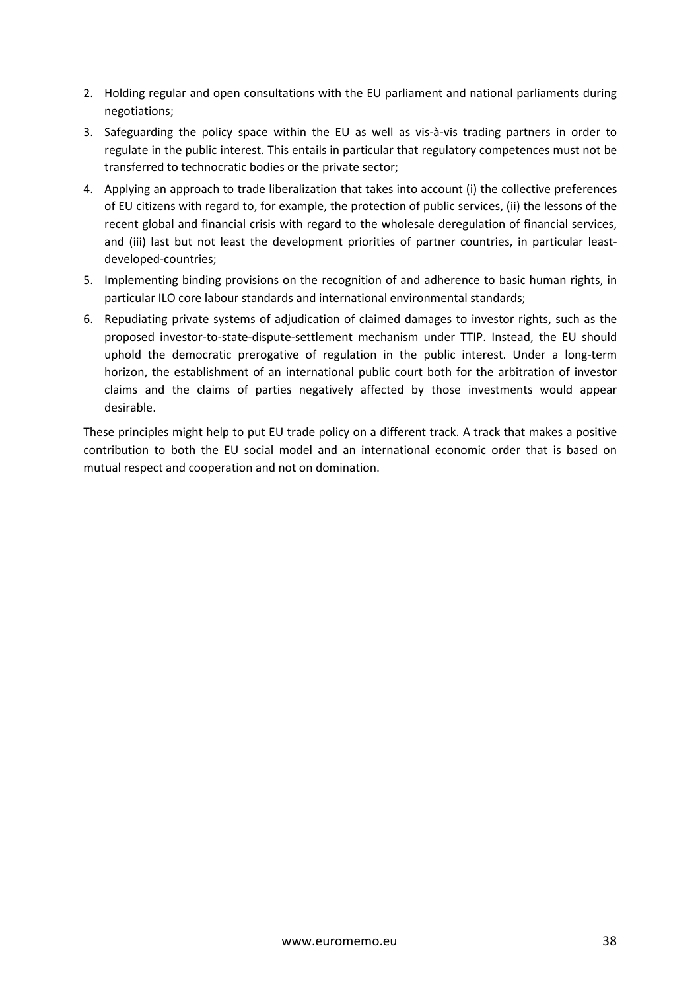- 2. Holding regular and open consultations with the EU parliament and national parliaments during negotiations;
- 3. Safeguarding the policy space within the EU as well as vis-à-vis trading partners in order to regulate in the public interest. This entails in particular that regulatory competences must not be transferred to technocratic bodies or the private sector;
- 4. Applying an approach to trade liberalization that takes into account (i) the collective preferences of EU citizens with regard to, for example, the protection of public services, (ii) the lessons of the recent global and financial crisis with regard to the wholesale deregulation of financial services, and (iii) last but not least the development priorities of partner countries, in particular leastdeveloped-countries;
- 5. Implementing binding provisions on the recognition of and adherence to basic human rights, in particular ILO core labour standards and international environmental standards;
- 6. Repudiating private systems of adjudication of claimed damages to investor rights, such as the proposed investor-to-state-dispute-settlement mechanism under TTIP. Instead, the EU should uphold the democratic prerogative of regulation in the public interest. Under a long-term horizon, the establishment of an international public court both for the arbitration of investor claims and the claims of parties negatively affected by those investments would appear desirable.

These principles might help to put EU trade policy on a different track. A track that makes a positive contribution to both the EU social model and an international economic order that is based on mutual respect and cooperation and not on domination.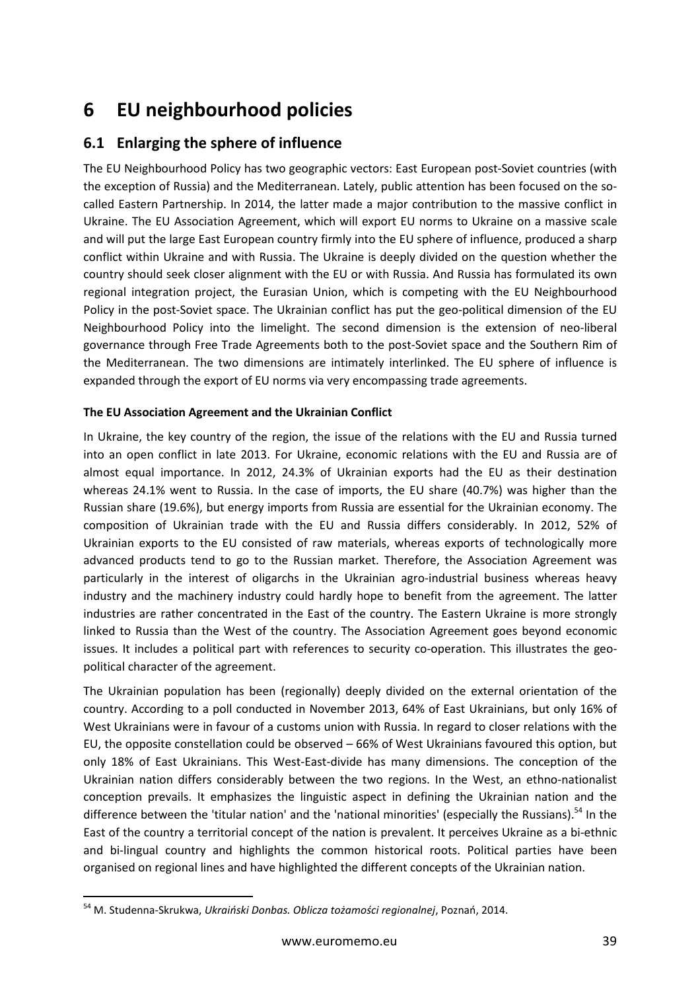## **6 EU neighbourhood policies**

## **6.1 Enlarging the sphere of influence**

The EU Neighbourhood Policy has two geographic vectors: East European post-Soviet countries (with the exception of Russia) and the Mediterranean. Lately, public attention has been focused on the socalled Eastern Partnership. In 2014, the latter made a major contribution to the massive conflict in Ukraine. The EU Association Agreement, which will export EU norms to Ukraine on a massive scale and will put the large East European country firmly into the EU sphere of influence, produced a sharp conflict within Ukraine and with Russia. The Ukraine is deeply divided on the question whether the country should seek closer alignment with the EU or with Russia. And Russia has formulated its own regional integration project, the Eurasian Union, which is competing with the EU Neighbourhood Policy in the post-Soviet space. The Ukrainian conflict has put the geo-political dimension of the EU Neighbourhood Policy into the limelight. The second dimension is the extension of neo-liberal governance through Free Trade Agreements both to the post-Soviet space and the Southern Rim of the Mediterranean. The two dimensions are intimately interlinked. The EU sphere of influence is expanded through the export of EU norms via very encompassing trade agreements.

#### **The EU Association Agreement and the Ukrainian Conflict**

In Ukraine, the key country of the region, the issue of the relations with the EU and Russia turned into an open conflict in late 2013. For Ukraine, economic relations with the EU and Russia are of almost equal importance. In 2012, 24.3% of Ukrainian exports had the EU as their destination whereas 24.1% went to Russia. In the case of imports, the EU share (40.7%) was higher than the Russian share (19.6%), but energy imports from Russia are essential for the Ukrainian economy. The composition of Ukrainian trade with the EU and Russia differs considerably. In 2012, 52% of Ukrainian exports to the EU consisted of raw materials, whereas exports of technologically more advanced products tend to go to the Russian market. Therefore, the Association Agreement was particularly in the interest of oligarchs in the Ukrainian agro-industrial business whereas heavy industry and the machinery industry could hardly hope to benefit from the agreement. The latter industries are rather concentrated in the East of the country. The Eastern Ukraine is more strongly linked to Russia than the West of the country. The Association Agreement goes beyond economic issues. It includes a political part with references to security co-operation. This illustrates the geopolitical character of the agreement.

The Ukrainian population has been (regionally) deeply divided on the external orientation of the country. According to a poll conducted in November 2013, 64% of East Ukrainians, but only 16% of West Ukrainians were in favour of a customs union with Russia. In regard to closer relations with the EU, the opposite constellation could be observed – 66% of West Ukrainians favoured this option, but only 18% of East Ukrainians. This West-East-divide has many dimensions. The conception of the Ukrainian nation differs considerably between the two regions. In the West, an ethno-nationalist conception prevails. It emphasizes the linguistic aspect in defining the Ukrainian nation and the difference between the 'titular nation' and the 'national minorities' (especially the Russians).<sup>54</sup> In the East of the country a territorial concept of the nation is prevalent. It perceives Ukraine as a bi-ethnic and bi-lingual country and highlights the common historical roots. Political parties have been organised on regional lines and have highlighted the different concepts of the Ukrainian nation.

<sup>54</sup> M. Studenna-Skrukwa, *Ukraiński Donbas. Oblicza tożamości regionalnej*, Poznań, 2014.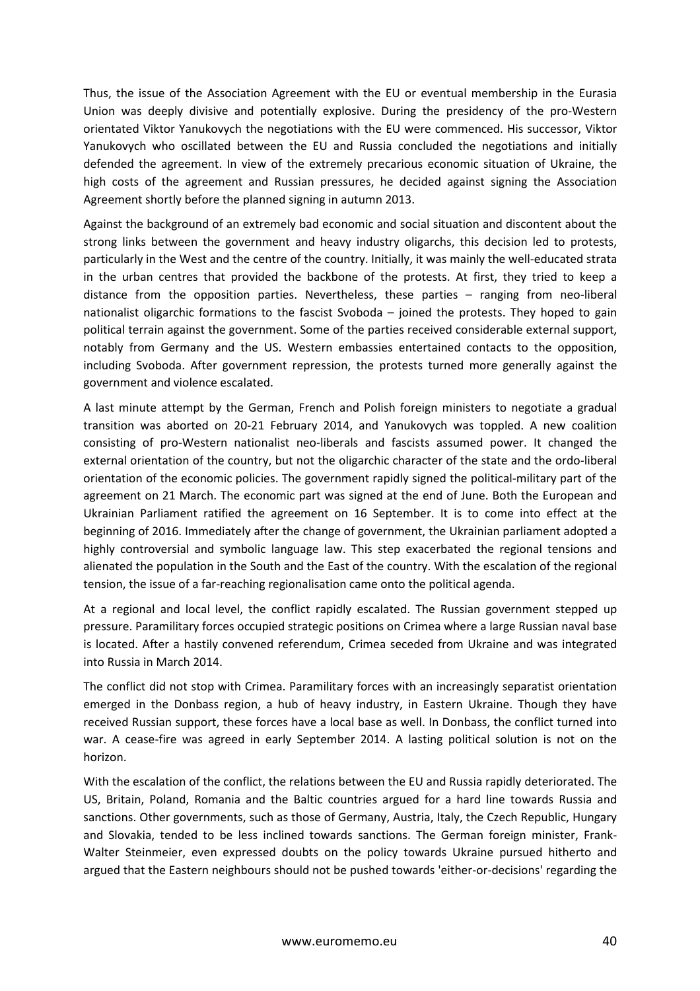Thus, the issue of the Association Agreement with the EU or eventual membership in the Eurasia Union was deeply divisive and potentially explosive. During the presidency of the pro-Western orientated Viktor Yanukovych the negotiations with the EU were commenced. His successor, Viktor Yanukovych who oscillated between the EU and Russia concluded the negotiations and initially defended the agreement. In view of the extremely precarious economic situation of Ukraine, the high costs of the agreement and Russian pressures, he decided against signing the Association Agreement shortly before the planned signing in autumn 2013.

Against the background of an extremely bad economic and social situation and discontent about the strong links between the government and heavy industry oligarchs, this decision led to protests, particularly in the West and the centre of the country. Initially, it was mainly the well-educated strata in the urban centres that provided the backbone of the protests. At first, they tried to keep a distance from the opposition parties. Nevertheless, these parties – ranging from neo-liberal nationalist oligarchic formations to the fascist Svoboda – joined the protests. They hoped to gain political terrain against the government. Some of the parties received considerable external support, notably from Germany and the US. Western embassies entertained contacts to the opposition, including Svoboda. After government repression, the protests turned more generally against the government and violence escalated.

A last minute attempt by the German, French and Polish foreign ministers to negotiate a gradual transition was aborted on 20-21 February 2014, and Yanukovych was toppled. A new coalition consisting of pro-Western nationalist neo-liberals and fascists assumed power. It changed the external orientation of the country, but not the oligarchic character of the state and the ordo-liberal orientation of the economic policies. The government rapidly signed the political-military part of the agreement on 21 March. The economic part was signed at the end of June. Both the European and Ukrainian Parliament ratified the agreement on 16 September. It is to come into effect at the beginning of 2016. Immediately after the change of government, the Ukrainian parliament adopted a highly controversial and symbolic language law. This step exacerbated the regional tensions and alienated the population in the South and the East of the country. With the escalation of the regional tension, the issue of a far-reaching regionalisation came onto the political agenda.

At a regional and local level, the conflict rapidly escalated. The Russian government stepped up pressure. Paramilitary forces occupied strategic positions on Crimea where a large Russian naval base is located. After a hastily convened referendum, Crimea seceded from Ukraine and was integrated into Russia in March 2014.

The conflict did not stop with Crimea. Paramilitary forces with an increasingly separatist orientation emerged in the Donbass region, a hub of heavy industry, in Eastern Ukraine. Though they have received Russian support, these forces have a local base as well. In Donbass, the conflict turned into war. A cease-fire was agreed in early September 2014. A lasting political solution is not on the horizon.

With the escalation of the conflict, the relations between the EU and Russia rapidly deteriorated. The US, Britain, Poland, Romania and the Baltic countries argued for a hard line towards Russia and sanctions. Other governments, such as those of Germany, Austria, Italy, the Czech Republic, Hungary and Slovakia, tended to be less inclined towards sanctions. The German foreign minister, Frank-Walter Steinmeier, even expressed doubts on the policy towards Ukraine pursued hitherto and argued that the Eastern neighbours should not be pushed towards 'either-or-decisions' regarding the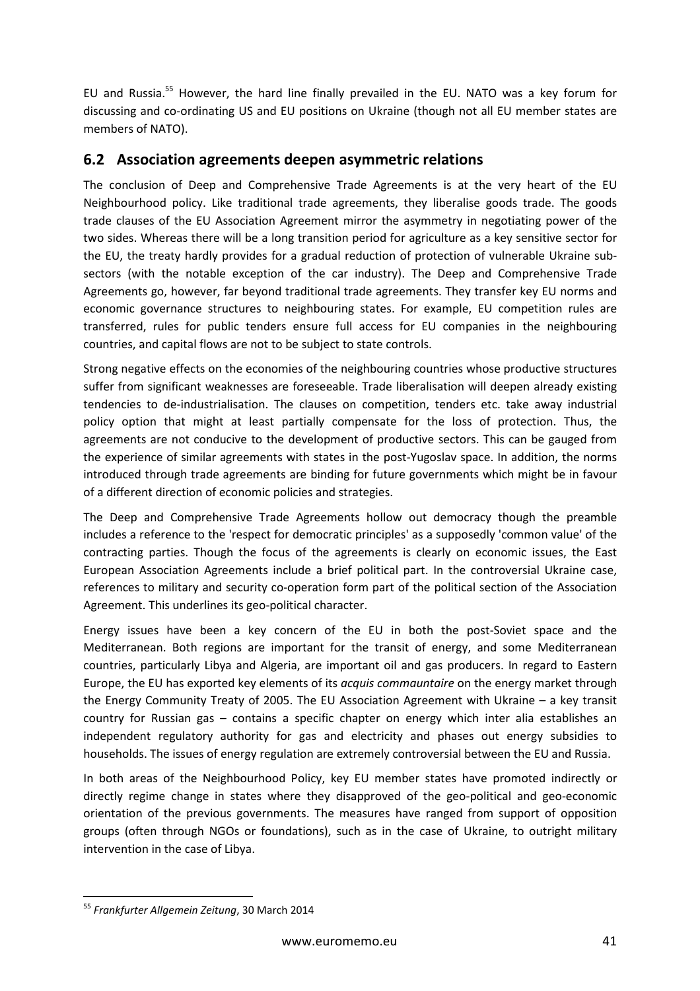EU and Russia.<sup>55</sup> However, the hard line finally prevailed in the EU. NATO was a key forum for discussing and co-ordinating US and EU positions on Ukraine (though not all EU member states are members of NATO).

### **6.2 Association agreements deepen asymmetric relations**

The conclusion of Deep and Comprehensive Trade Agreements is at the very heart of the EU Neighbourhood policy. Like traditional trade agreements, they liberalise goods trade. The goods trade clauses of the EU Association Agreement mirror the asymmetry in negotiating power of the two sides. Whereas there will be a long transition period for agriculture as a key sensitive sector for the EU, the treaty hardly provides for a gradual reduction of protection of vulnerable Ukraine subsectors (with the notable exception of the car industry). The Deep and Comprehensive Trade Agreements go, however, far beyond traditional trade agreements. They transfer key EU norms and economic governance structures to neighbouring states. For example, EU competition rules are transferred, rules for public tenders ensure full access for EU companies in the neighbouring countries, and capital flows are not to be subject to state controls.

Strong negative effects on the economies of the neighbouring countries whose productive structures suffer from significant weaknesses are foreseeable. Trade liberalisation will deepen already existing tendencies to de-industrialisation. The clauses on competition, tenders etc. take away industrial policy option that might at least partially compensate for the loss of protection. Thus, the agreements are not conducive to the development of productive sectors. This can be gauged from the experience of similar agreements with states in the post-Yugoslav space. In addition, the norms introduced through trade agreements are binding for future governments which might be in favour of a different direction of economic policies and strategies.

The Deep and Comprehensive Trade Agreements hollow out democracy though the preamble includes a reference to the 'respect for democratic principles' as a supposedly 'common value' of the contracting parties. Though the focus of the agreements is clearly on economic issues, the East European Association Agreements include a brief political part. In the controversial Ukraine case, references to military and security co-operation form part of the political section of the Association Agreement. This underlines its geo-political character.

Energy issues have been a key concern of the EU in both the post-Soviet space and the Mediterranean. Both regions are important for the transit of energy, and some Mediterranean countries, particularly Libya and Algeria, are important oil and gas producers. In regard to Eastern Europe, the EU has exported key elements of its *acquis commauntaire* on the energy market through the Energy Community Treaty of 2005. The EU Association Agreement with Ukraine – a key transit country for Russian gas – contains a specific chapter on energy which inter alia establishes an independent regulatory authority for gas and electricity and phases out energy subsidies to households. The issues of energy regulation are extremely controversial between the EU and Russia.

In both areas of the Neighbourhood Policy, key EU member states have promoted indirectly or directly regime change in states where they disapproved of the geo-political and geo-economic orientation of the previous governments. The measures have ranged from support of opposition groups (often through NGOs or foundations), such as in the case of Ukraine, to outright military intervention in the case of Libya.

<sup>55</sup> *Frankfurter Allgemein Zeitung*, 30 March 2014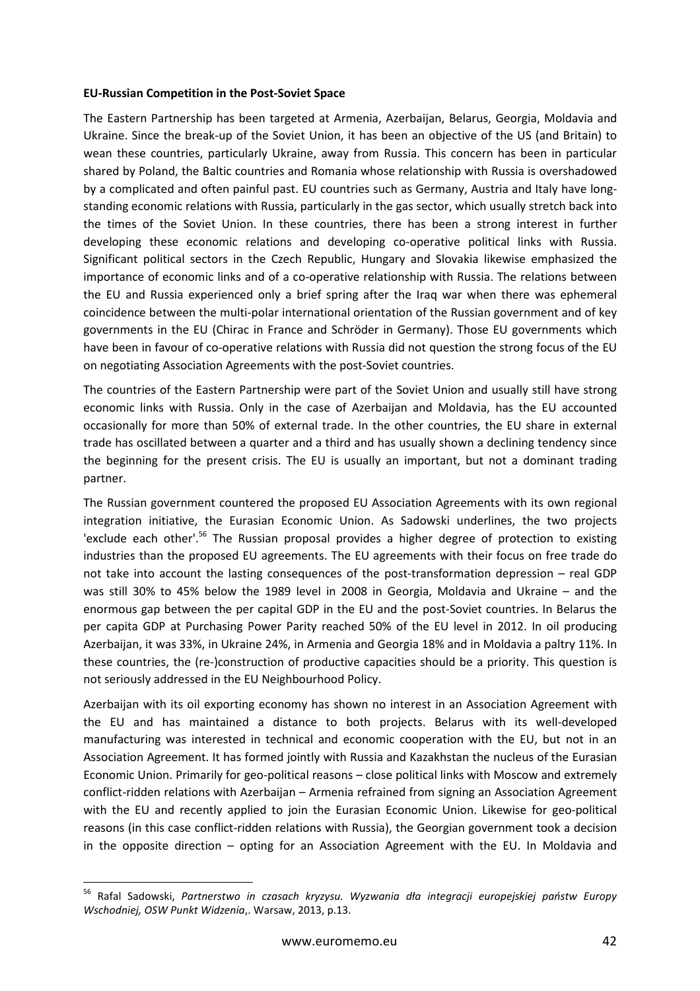#### **EU-Russian Competition in the Post-Soviet Space**

The Eastern Partnership has been targeted at Armenia, Azerbaijan, Belarus, Georgia, Moldavia and Ukraine. Since the break-up of the Soviet Union, it has been an objective of the US (and Britain) to wean these countries, particularly Ukraine, away from Russia. This concern has been in particular shared by Poland, the Baltic countries and Romania whose relationship with Russia is overshadowed by a complicated and often painful past. EU countries such as Germany, Austria and Italy have longstanding economic relations with Russia, particularly in the gas sector, which usually stretch back into the times of the Soviet Union. In these countries, there has been a strong interest in further developing these economic relations and developing co-operative political links with Russia. Significant political sectors in the Czech Republic, Hungary and Slovakia likewise emphasized the importance of economic links and of a co-operative relationship with Russia. The relations between the EU and Russia experienced only a brief spring after the Iraq war when there was ephemeral coincidence between the multi-polar international orientation of the Russian government and of key governments in the EU (Chirac in France and Schröder in Germany). Those EU governments which have been in favour of co-operative relations with Russia did not question the strong focus of the EU on negotiating Association Agreements with the post-Soviet countries.

The countries of the Eastern Partnership were part of the Soviet Union and usually still have strong economic links with Russia. Only in the case of Azerbaijan and Moldavia, has the EU accounted occasionally for more than 50% of external trade. In the other countries, the EU share in external trade has oscillated between a quarter and a third and has usually shown a declining tendency since the beginning for the present crisis. The EU is usually an important, but not a dominant trading partner.

The Russian government countered the proposed EU Association Agreements with its own regional integration initiative, the Eurasian Economic Union. As Sadowski underlines, the two projects 'exclude each other'.<sup>56</sup> The Russian proposal provides a higher degree of protection to existing industries than the proposed EU agreements. The EU agreements with their focus on free trade do not take into account the lasting consequences of the post-transformation depression – real GDP was still 30% to 45% below the 1989 level in 2008 in Georgia, Moldavia and Ukraine – and the enormous gap between the per capital GDP in the EU and the post-Soviet countries. In Belarus the per capita GDP at Purchasing Power Parity reached 50% of the EU level in 2012. In oil producing Azerbaijan, it was 33%, in Ukraine 24%, in Armenia and Georgia 18% and in Moldavia a paltry 11%. In these countries, the (re-)construction of productive capacities should be a priority. This question is not seriously addressed in the EU Neighbourhood Policy.

Azerbaijan with its oil exporting economy has shown no interest in an Association Agreement with the EU and has maintained a distance to both projects. Belarus with its well-developed manufacturing was interested in technical and economic cooperation with the EU, but not in an Association Agreement. It has formed jointly with Russia and Kazakhstan the nucleus of the Eurasian Economic Union. Primarily for geo-political reasons – close political links with Moscow and extremely conflict-ridden relations with Azerbaijan – Armenia refrained from signing an Association Agreement with the EU and recently applied to join the Eurasian Economic Union. Likewise for geo-political reasons (in this case conflict-ridden relations with Russia), the Georgian government took a decision in the opposite direction – opting for an Association Agreement with the EU. In Moldavia and

<sup>56</sup> Rafal Sadowski, *Partnerstwo in czasach kryzysu. Wyzwania dła integracji europejskiej państw Europy Wschodniej, OSW Punkt Widzenia*,. Warsaw, 2013, p.13.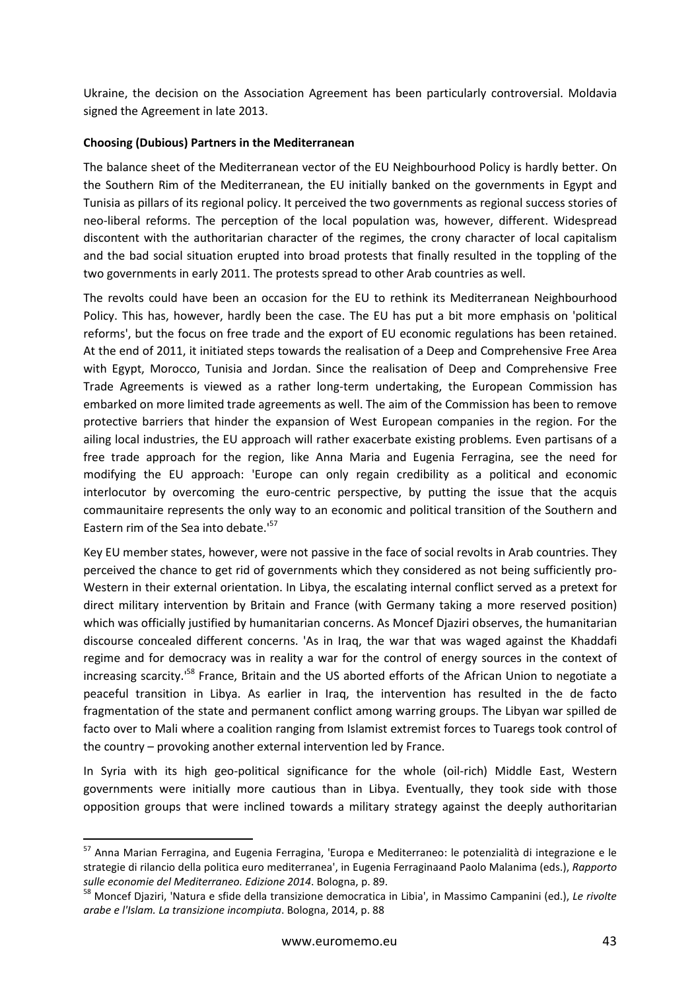Ukraine, the decision on the Association Agreement has been particularly controversial. Moldavia signed the Agreement in late 2013.

#### **Choosing (Dubious) Partners in the Mediterranean**

The balance sheet of the Mediterranean vector of the EU Neighbourhood Policy is hardly better. On the Southern Rim of the Mediterranean, the EU initially banked on the governments in Egypt and Tunisia as pillars of its regional policy. It perceived the two governments as regional success stories of neo-liberal reforms. The perception of the local population was, however, different. Widespread discontent with the authoritarian character of the regimes, the crony character of local capitalism and the bad social situation erupted into broad protests that finally resulted in the toppling of the two governments in early 2011. The protests spread to other Arab countries as well.

The revolts could have been an occasion for the EU to rethink its Mediterranean Neighbourhood Policy. This has, however, hardly been the case. The EU has put a bit more emphasis on 'political reforms', but the focus on free trade and the export of EU economic regulations has been retained. At the end of 2011, it initiated steps towards the realisation of a Deep and Comprehensive Free Area with Egypt, Morocco, Tunisia and Jordan. Since the realisation of Deep and Comprehensive Free Trade Agreements is viewed as a rather long-term undertaking, the European Commission has embarked on more limited trade agreements as well. The aim of the Commission has been to remove protective barriers that hinder the expansion of West European companies in the region. For the ailing local industries, the EU approach will rather exacerbate existing problems. Even partisans of a free trade approach for the region, like Anna Maria and Eugenia Ferragina, see the need for modifying the EU approach: 'Europe can only regain credibility as a political and economic interlocutor by overcoming the euro-centric perspective, by putting the issue that the acquis commaunitaire represents the only way to an economic and political transition of the Southern and Eastern rim of the Sea into debate.<sup>157</sup>

Key EU member states, however, were not passive in the face of social revolts in Arab countries. They perceived the chance to get rid of governments which they considered as not being sufficiently pro-Western in their external orientation. In Libya, the escalating internal conflict served as a pretext for direct military intervention by Britain and France (with Germany taking a more reserved position) which was officially justified by humanitarian concerns. As Moncef Djaziri observes, the humanitarian discourse concealed different concerns. 'As in Iraq, the war that was waged against the Khaddafi regime and for democracy was in reality a war for the control of energy sources in the context of increasing scarcity.<sup>158</sup> France, Britain and the US aborted efforts of the African Union to negotiate a peaceful transition in Libya. As earlier in Iraq, the intervention has resulted in the de facto fragmentation of the state and permanent conflict among warring groups. The Libyan war spilled de facto over to Mali where a coalition ranging from Islamist extremist forces to Tuaregs took control of the country – provoking another external intervention led by France.

In Syria with its high geo-political significance for the whole (oil-rich) Middle East, Western governments were initially more cautious than in Libya. Eventually, they took side with those opposition groups that were inclined towards a military strategy against the deeply authoritarian

<sup>57</sup> Anna Marian Ferragina, and Eugenia Ferragina, 'Europa e Mediterraneo: le potenzialità di integrazione e le strategie di rilancio della politica euro mediterranea', in Eugenia Ferraginaand Paolo Malanima (eds.), *Rapporto sulle economie del Mediterraneo. Edizione 2014*. Bologna, p. 89.

<sup>58</sup> Moncef Djaziri, 'Natura e sfide della transizione democratica in Libia', in Massimo Campanini (ed.), *Le rivolte arabe e l'Islam. La transizione incompiuta*. Bologna, 2014, p. 88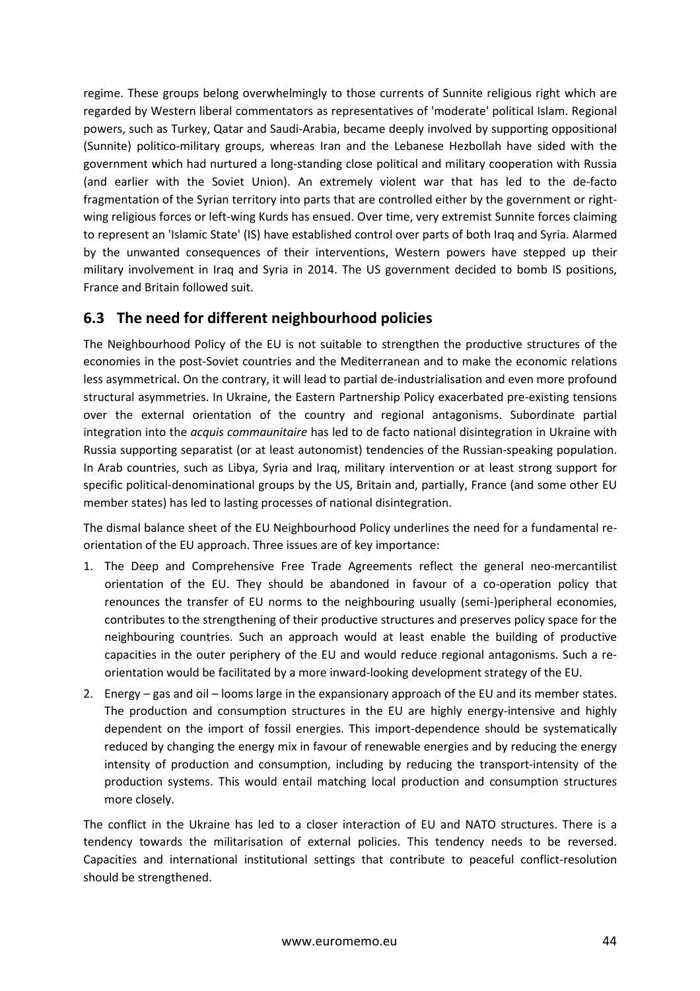regime. These groups belong overwhelmingly to those currents of Sunnite religious right which are regarded by Western liberal commentators as representatives of 'moderate' political Islam. Regional powers, such as Turkey, Qatar and Saudi-Arabia, became deeply involved by supporting oppositional (Sunnite) politico-military groups, whereas Iran and the Lebanese Hezbollah have sided with the government which had nurtured a long-standing close political and military cooperation with Russia (and earlier with the Soviet Union). An extremely violent war that has led to the de-facto fragmentation of the Syrian territory into parts that are controlled either by the government or rightwing religious forces or left-wing Kurds has ensued. Over time, very extremist Sunnite forces claiming to represent an 'Islamic State' (IS) have established control over parts of both Iraq and Syria. Alarmed by the unwanted consequences of their interventions, Western powers have stepped up their military involvement in Iraq and Syria in 2014. The US government decided to bomb IS positions, France and Britain followed suit.

### **6.3 The need for different neighbourhood policies**

The Neighbourhood Policy of the EU is not suitable to strengthen the productive structures of the economies in the post-Soviet countries and the Mediterranean and to make the economic relations less asymmetrical. On the contrary, it will lead to partial de-industrialisation and even more profound structural asymmetries. In Ukraine, the Eastern Partnership Policy exacerbated pre-existing tensions over the external orientation of the country and regional antagonisms. Subordinate partial integration into the *acquis commaunitaire* has led to de facto national disintegration in Ukraine with Russia supporting separatist (or at least autonomist) tendencies of the Russian-speaking population. In Arab countries, such as Libya, Syria and Iraq, military intervention or at least strong support for specific political-denominational groups by the US, Britain and, partially, France (and some other EU member states) has led to lasting processes of national disintegration.

The dismal balance sheet of the EU Neighbourhood Policy underlines the need for a fundamental reorientation of the EU approach. Three issues are of key importance:

- 1. The Deep and Comprehensive Free Trade Agreements reflect the general neo-mercantilist orientation of the EU. They should be abandoned in favour of a co-operation policy that renounces the transfer of EU norms to the neighbouring usually (semi-)peripheral economies, contributes to the strengthening of their productive structures and preserves policy space for the neighbouring countries. Such an approach would at least enable the building of productive capacities in the outer periphery of the EU and would reduce regional antagonisms. Such a reorientation would be facilitated by a more inward-looking development strategy of the EU.
- 2. Energy gas and oil looms large in the expansionary approach of the EU and its member states. The production and consumption structures in the EU are highly energy-intensive and highly dependent on the import of fossil energies. This import-dependence should be systematically reduced by changing the energy mix in favour of renewable energies and by reducing the energy intensity of production and consumption, including by reducing the transport-intensity of the production systems. This would entail matching local production and consumption structures more closely.

The conflict in the Ukraine has led to a closer interaction of EU and NATO structures. There is a tendency towards the militarisation of external policies. This tendency needs to be reversed. Capacities and international institutional settings that contribute to peaceful conflict-resolution should be strengthened.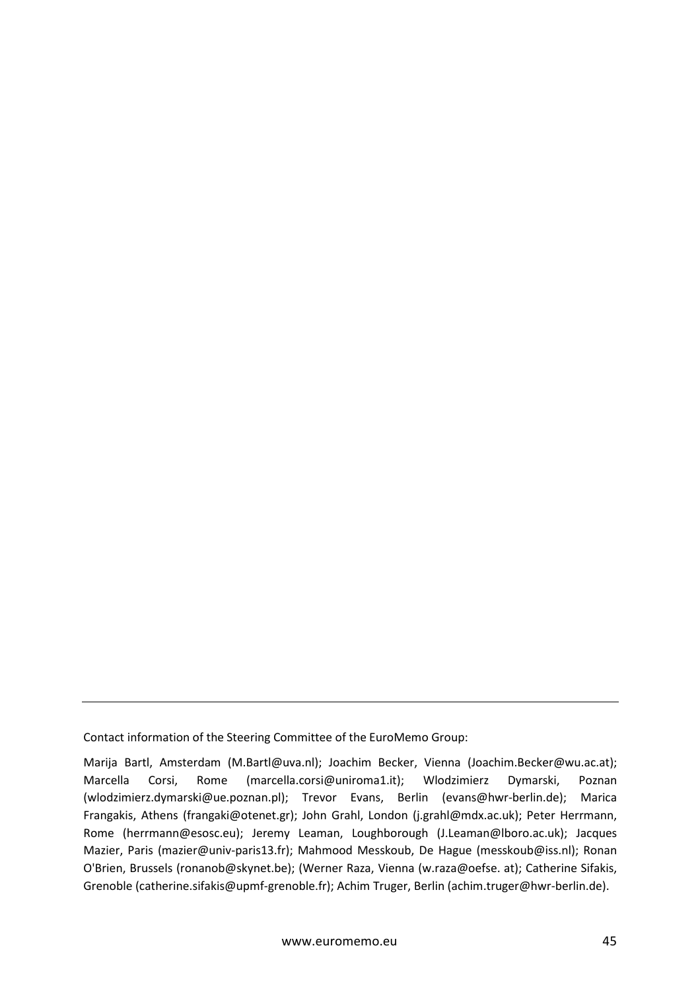Contact information of the Steering Committee of the EuroMemo Group:

Marija Bartl, Amsterdam (M.Bartl@uva.nl); Joachim Becker, Vienna (Joachim.Becker@wu.ac.at); Marcella Corsi, Rome (marcella.corsi@uniroma1.it); Wlodzimierz Dymarski, Poznan (wlodzimierz.dymarski@ue.poznan.pl); Trevor Evans, Berlin (evans@hwr-berlin.de); Marica Frangakis, Athens (frangaki@otenet.gr); John Grahl, London (j.grahl@mdx.ac.uk); Peter Herrmann, Rome (herrmann@esosc.eu); Jeremy Leaman, Loughborough (J.Leaman@lboro.ac.uk); Jacques Mazier, Paris (mazier@univ-paris13.fr); Mahmood Messkoub, De Hague (messkoub@iss.nl); Ronan O'Brien, Brussels (ronanob@skynet.be); (Werner Raza, Vienna (w.raza@oefse. at); Catherine Sifakis, Grenoble (catherine.sifakis@upmf-grenoble.fr); Achim Truger, Berlin (achim.truger@hwr-berlin.de).